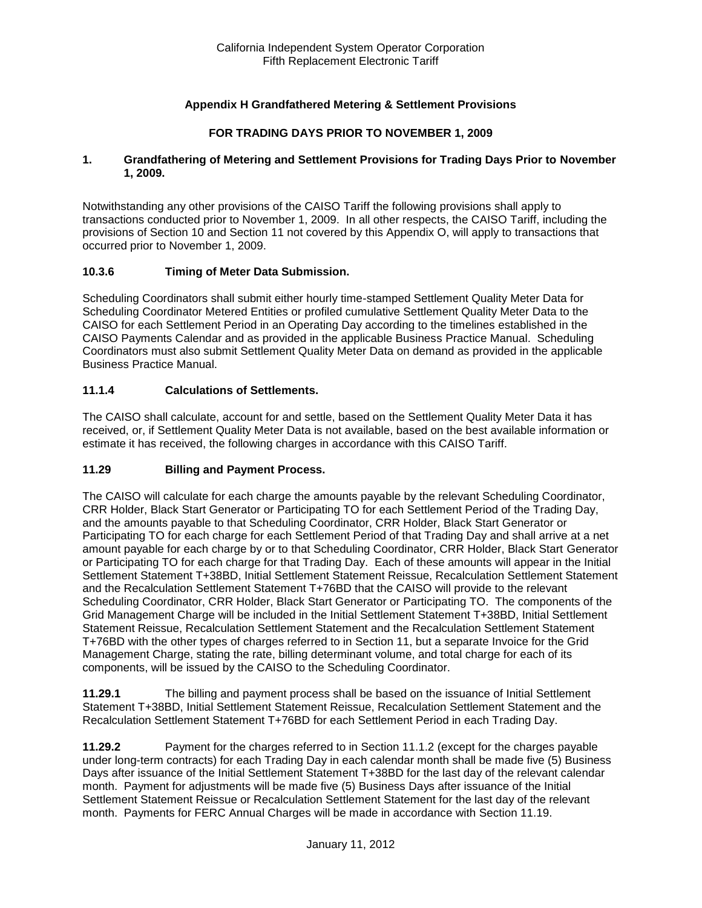## **Appendix H Grandfathered Metering & Settlement Provisions**

### **FOR TRADING DAYS PRIOR TO NOVEMBER 1, 2009**

#### **1. Grandfathering of Metering and Settlement Provisions for Trading Days Prior to November 1, 2009.**

Notwithstanding any other provisions of the CAISO Tariff the following provisions shall apply to transactions conducted prior to November 1, 2009. In all other respects, the CAISO Tariff, including the provisions of Section 10 and Section 11 not covered by this Appendix O, will apply to transactions that occurred prior to November 1, 2009.

### **10.3.6 Timing of Meter Data Submission.**

Scheduling Coordinators shall submit either hourly time-stamped Settlement Quality Meter Data for Scheduling Coordinator Metered Entities or profiled cumulative Settlement Quality Meter Data to the CAISO for each Settlement Period in an Operating Day according to the timelines established in the CAISO Payments Calendar and as provided in the applicable Business Practice Manual. Scheduling Coordinators must also submit Settlement Quality Meter Data on demand as provided in the applicable Business Practice Manual.

### **11.1.4 Calculations of Settlements.**

The CAISO shall calculate, account for and settle, based on the Settlement Quality Meter Data it has received, or, if Settlement Quality Meter Data is not available, based on the best available information or estimate it has received, the following charges in accordance with this CAISO Tariff.

### **11.29 Billing and Payment Process.**

The CAISO will calculate for each charge the amounts payable by the relevant Scheduling Coordinator, CRR Holder, Black Start Generator or Participating TO for each Settlement Period of the Trading Day, and the amounts payable to that Scheduling Coordinator, CRR Holder, Black Start Generator or Participating TO for each charge for each Settlement Period of that Trading Day and shall arrive at a net amount payable for each charge by or to that Scheduling Coordinator, CRR Holder, Black Start Generator or Participating TO for each charge for that Trading Day. Each of these amounts will appear in the Initial Settlement Statement T+38BD, Initial Settlement Statement Reissue, Recalculation Settlement Statement and the Recalculation Settlement Statement T+76BD that the CAISO will provide to the relevant Scheduling Coordinator, CRR Holder, Black Start Generator or Participating TO. The components of the Grid Management Charge will be included in the Initial Settlement Statement T+38BD, Initial Settlement Statement Reissue, Recalculation Settlement Statement and the Recalculation Settlement Statement T+76BD with the other types of charges referred to in Section 11, but a separate Invoice for the Grid Management Charge, stating the rate, billing determinant volume, and total charge for each of its components, will be issued by the CAISO to the Scheduling Coordinator.

**11.29.1** The billing and payment process shall be based on the issuance of Initial Settlement Statement T+38BD, Initial Settlement Statement Reissue, Recalculation Settlement Statement and the Recalculation Settlement Statement T+76BD for each Settlement Period in each Trading Day.

**11.29.2** Payment for the charges referred to in Section 11.1.2 (except for the charges payable under long-term contracts) for each Trading Day in each calendar month shall be made five (5) Business Days after issuance of the Initial Settlement Statement T+38BD for the last day of the relevant calendar month. Payment for adjustments will be made five (5) Business Days after issuance of the Initial Settlement Statement Reissue or Recalculation Settlement Statement for the last day of the relevant month. Payments for FERC Annual Charges will be made in accordance with Section 11.19.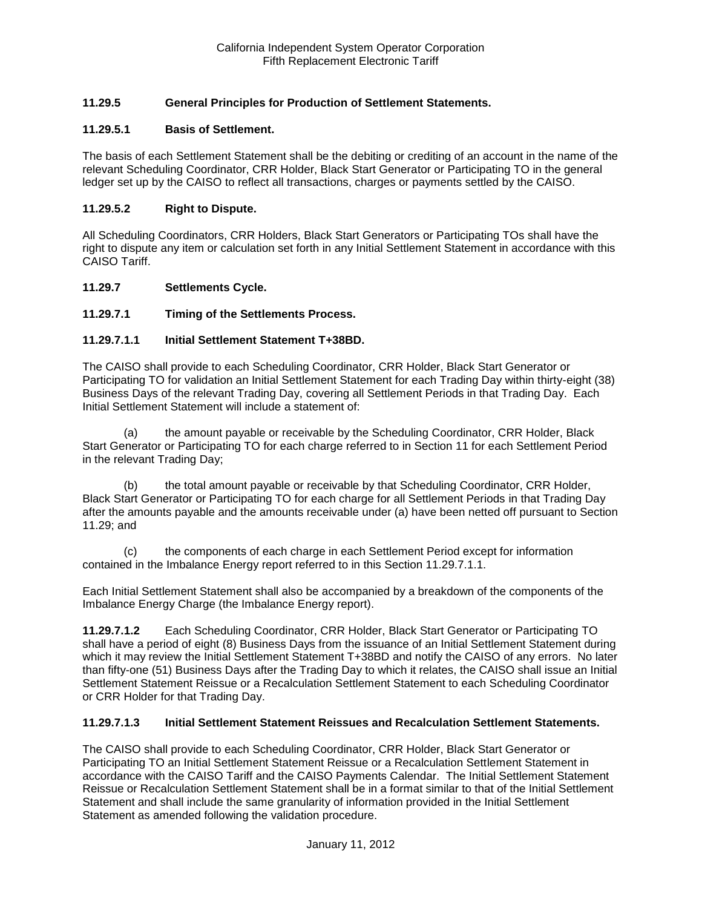## **11.29.5 General Principles for Production of Settlement Statements.**

### **11.29.5.1 Basis of Settlement.**

The basis of each Settlement Statement shall be the debiting or crediting of an account in the name of the relevant Scheduling Coordinator, CRR Holder, Black Start Generator or Participating TO in the general ledger set up by the CAISO to reflect all transactions, charges or payments settled by the CAISO.

#### **11.29.5.2 Right to Dispute.**

All Scheduling Coordinators, CRR Holders, Black Start Generators or Participating TOs shall have the right to dispute any item or calculation set forth in any Initial Settlement Statement in accordance with this CAISO Tariff.

#### **11.29.7 Settlements Cycle.**

### **11.29.7.1 Timing of the Settlements Process.**

#### **11.29.7.1.1 Initial Settlement Statement T+38BD.**

The CAISO shall provide to each Scheduling Coordinator, CRR Holder, Black Start Generator or Participating TO for validation an Initial Settlement Statement for each Trading Day within thirty-eight (38) Business Days of the relevant Trading Day, covering all Settlement Periods in that Trading Day. Each Initial Settlement Statement will include a statement of:

(a) the amount payable or receivable by the Scheduling Coordinator, CRR Holder, Black Start Generator or Participating TO for each charge referred to in Section 11 for each Settlement Period in the relevant Trading Day;

(b) the total amount payable or receivable by that Scheduling Coordinator, CRR Holder, Black Start Generator or Participating TO for each charge for all Settlement Periods in that Trading Day after the amounts payable and the amounts receivable under (a) have been netted off pursuant to Section 11.29; and

(c) the components of each charge in each Settlement Period except for information contained in the Imbalance Energy report referred to in this Section 11.29.7.1.1.

Each Initial Settlement Statement shall also be accompanied by a breakdown of the components of the Imbalance Energy Charge (the Imbalance Energy report).

**11.29.7.1.2** Each Scheduling Coordinator, CRR Holder, Black Start Generator or Participating TO shall have a period of eight (8) Business Days from the issuance of an Initial Settlement Statement during which it may review the Initial Settlement Statement T+38BD and notify the CAISO of any errors. No later than fifty-one (51) Business Days after the Trading Day to which it relates, the CAISO shall issue an Initial Settlement Statement Reissue or a Recalculation Settlement Statement to each Scheduling Coordinator or CRR Holder for that Trading Day.

#### **11.29.7.1.3 Initial Settlement Statement Reissues and Recalculation Settlement Statements.**

The CAISO shall provide to each Scheduling Coordinator, CRR Holder, Black Start Generator or Participating TO an Initial Settlement Statement Reissue or a Recalculation Settlement Statement in accordance with the CAISO Tariff and the CAISO Payments Calendar. The Initial Settlement Statement Reissue or Recalculation Settlement Statement shall be in a format similar to that of the Initial Settlement Statement and shall include the same granularity of information provided in the Initial Settlement Statement as amended following the validation procedure.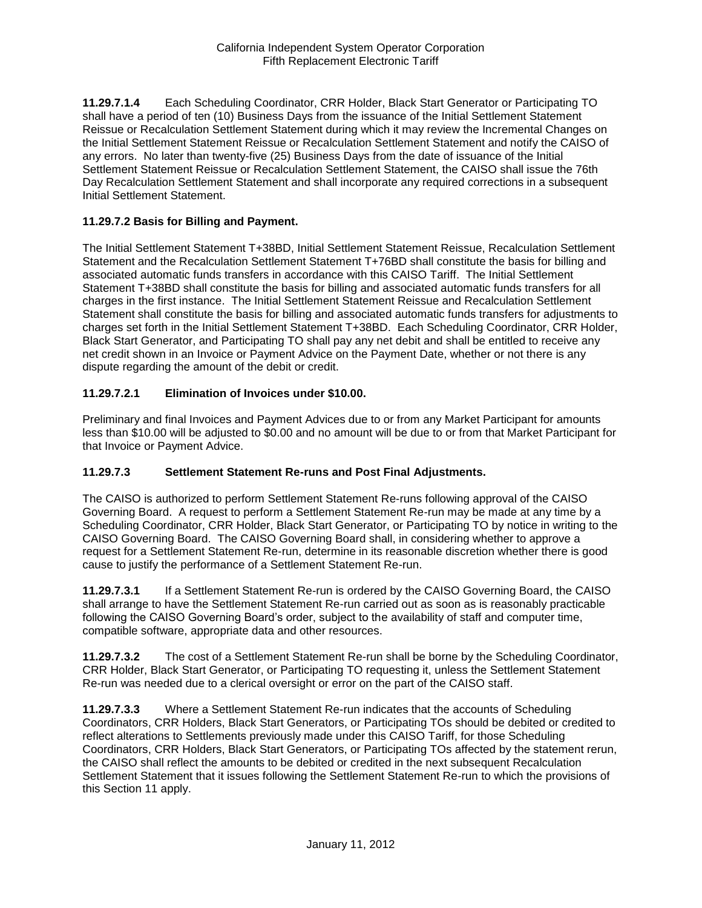**11.29.7.1.4** Each Scheduling Coordinator, CRR Holder, Black Start Generator or Participating TO shall have a period of ten (10) Business Days from the issuance of the Initial Settlement Statement Reissue or Recalculation Settlement Statement during which it may review the Incremental Changes on the Initial Settlement Statement Reissue or Recalculation Settlement Statement and notify the CAISO of any errors. No later than twenty-five (25) Business Days from the date of issuance of the Initial Settlement Statement Reissue or Recalculation Settlement Statement, the CAISO shall issue the 76th Day Recalculation Settlement Statement and shall incorporate any required corrections in a subsequent Initial Settlement Statement.

#### **11.29.7.2 Basis for Billing and Payment.**

The Initial Settlement Statement T+38BD, Initial Settlement Statement Reissue, Recalculation Settlement Statement and the Recalculation Settlement Statement T+76BD shall constitute the basis for billing and associated automatic funds transfers in accordance with this CAISO Tariff. The Initial Settlement Statement T+38BD shall constitute the basis for billing and associated automatic funds transfers for all charges in the first instance. The Initial Settlement Statement Reissue and Recalculation Settlement Statement shall constitute the basis for billing and associated automatic funds transfers for adjustments to charges set forth in the Initial Settlement Statement T+38BD. Each Scheduling Coordinator, CRR Holder, Black Start Generator, and Participating TO shall pay any net debit and shall be entitled to receive any net credit shown in an Invoice or Payment Advice on the Payment Date, whether or not there is any dispute regarding the amount of the debit or credit.

### **11.29.7.2.1 Elimination of Invoices under \$10.00.**

Preliminary and final Invoices and Payment Advices due to or from any Market Participant for amounts less than \$10.00 will be adjusted to \$0.00 and no amount will be due to or from that Market Participant for that Invoice or Payment Advice.

### **11.29.7.3 Settlement Statement Re-runs and Post Final Adjustments.**

The CAISO is authorized to perform Settlement Statement Re-runs following approval of the CAISO Governing Board. A request to perform a Settlement Statement Re-run may be made at any time by a Scheduling Coordinator, CRR Holder, Black Start Generator, or Participating TO by notice in writing to the CAISO Governing Board. The CAISO Governing Board shall, in considering whether to approve a request for a Settlement Statement Re-run, determine in its reasonable discretion whether there is good cause to justify the performance of a Settlement Statement Re-run.

**11.29.7.3.1** If a Settlement Statement Re-run is ordered by the CAISO Governing Board, the CAISO shall arrange to have the Settlement Statement Re-run carried out as soon as is reasonably practicable following the CAISO Governing Board's order, subject to the availability of staff and computer time, compatible software, appropriate data and other resources.

**11.29.7.3.2** The cost of a Settlement Statement Re-run shall be borne by the Scheduling Coordinator, CRR Holder, Black Start Generator, or Participating TO requesting it, unless the Settlement Statement Re-run was needed due to a clerical oversight or error on the part of the CAISO staff.

**11.29.7.3.3** Where a Settlement Statement Re-run indicates that the accounts of Scheduling Coordinators, CRR Holders, Black Start Generators, or Participating TOs should be debited or credited to reflect alterations to Settlements previously made under this CAISO Tariff, for those Scheduling Coordinators, CRR Holders, Black Start Generators, or Participating TOs affected by the statement rerun, the CAISO shall reflect the amounts to be debited or credited in the next subsequent Recalculation Settlement Statement that it issues following the Settlement Statement Re-run to which the provisions of this Section 11 apply.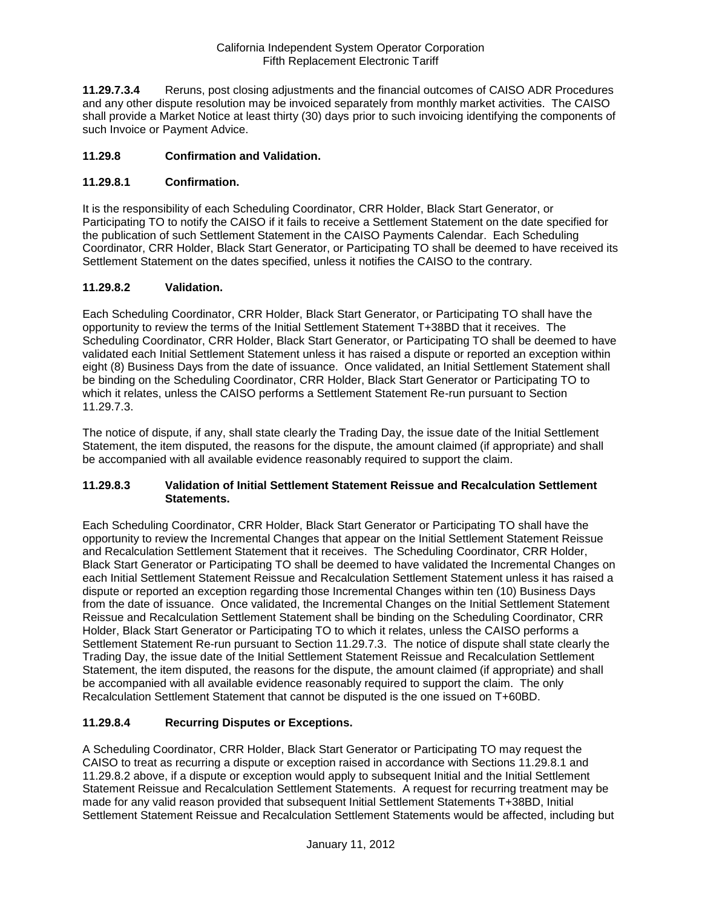**11.29.7.3.4** Reruns, post closing adjustments and the financial outcomes of CAISO ADR Procedures and any other dispute resolution may be invoiced separately from monthly market activities. The CAISO shall provide a Market Notice at least thirty (30) days prior to such invoicing identifying the components of such Invoice or Payment Advice.

### **11.29.8 Confirmation and Validation.**

## **11.29.8.1 Confirmation.**

It is the responsibility of each Scheduling Coordinator, CRR Holder, Black Start Generator, or Participating TO to notify the CAISO if it fails to receive a Settlement Statement on the date specified for the publication of such Settlement Statement in the CAISO Payments Calendar. Each Scheduling Coordinator, CRR Holder, Black Start Generator, or Participating TO shall be deemed to have received its Settlement Statement on the dates specified, unless it notifies the CAISO to the contrary.

## **11.29.8.2 Validation.**

Each Scheduling Coordinator, CRR Holder, Black Start Generator, or Participating TO shall have the opportunity to review the terms of the Initial Settlement Statement T+38BD that it receives. The Scheduling Coordinator, CRR Holder, Black Start Generator, or Participating TO shall be deemed to have validated each Initial Settlement Statement unless it has raised a dispute or reported an exception within eight (8) Business Days from the date of issuance. Once validated, an Initial Settlement Statement shall be binding on the Scheduling Coordinator, CRR Holder, Black Start Generator or Participating TO to which it relates, unless the CAISO performs a Settlement Statement Re-run pursuant to Section 11.29.7.3.

The notice of dispute, if any, shall state clearly the Trading Day, the issue date of the Initial Settlement Statement, the item disputed, the reasons for the dispute, the amount claimed (if appropriate) and shall be accompanied with all available evidence reasonably required to support the claim.

### **11.29.8.3 Validation of Initial Settlement Statement Reissue and Recalculation Settlement Statements.**

Each Scheduling Coordinator, CRR Holder, Black Start Generator or Participating TO shall have the opportunity to review the Incremental Changes that appear on the Initial Settlement Statement Reissue and Recalculation Settlement Statement that it receives. The Scheduling Coordinator, CRR Holder, Black Start Generator or Participating TO shall be deemed to have validated the Incremental Changes on each Initial Settlement Statement Reissue and Recalculation Settlement Statement unless it has raised a dispute or reported an exception regarding those Incremental Changes within ten (10) Business Days from the date of issuance. Once validated, the Incremental Changes on the Initial Settlement Statement Reissue and Recalculation Settlement Statement shall be binding on the Scheduling Coordinator, CRR Holder, Black Start Generator or Participating TO to which it relates, unless the CAISO performs a Settlement Statement Re-run pursuant to Section 11.29.7.3. The notice of dispute shall state clearly the Trading Day, the issue date of the Initial Settlement Statement Reissue and Recalculation Settlement Statement, the item disputed, the reasons for the dispute, the amount claimed (if appropriate) and shall be accompanied with all available evidence reasonably required to support the claim. The only Recalculation Settlement Statement that cannot be disputed is the one issued on T+60BD.

### **11.29.8.4 Recurring Disputes or Exceptions.**

A Scheduling Coordinator, CRR Holder, Black Start Generator or Participating TO may request the CAISO to treat as recurring a dispute or exception raised in accordance with Sections 11.29.8.1 and 11.29.8.2 above, if a dispute or exception would apply to subsequent Initial and the Initial Settlement Statement Reissue and Recalculation Settlement Statements. A request for recurring treatment may be made for any valid reason provided that subsequent Initial Settlement Statements T+38BD, Initial Settlement Statement Reissue and Recalculation Settlement Statements would be affected, including but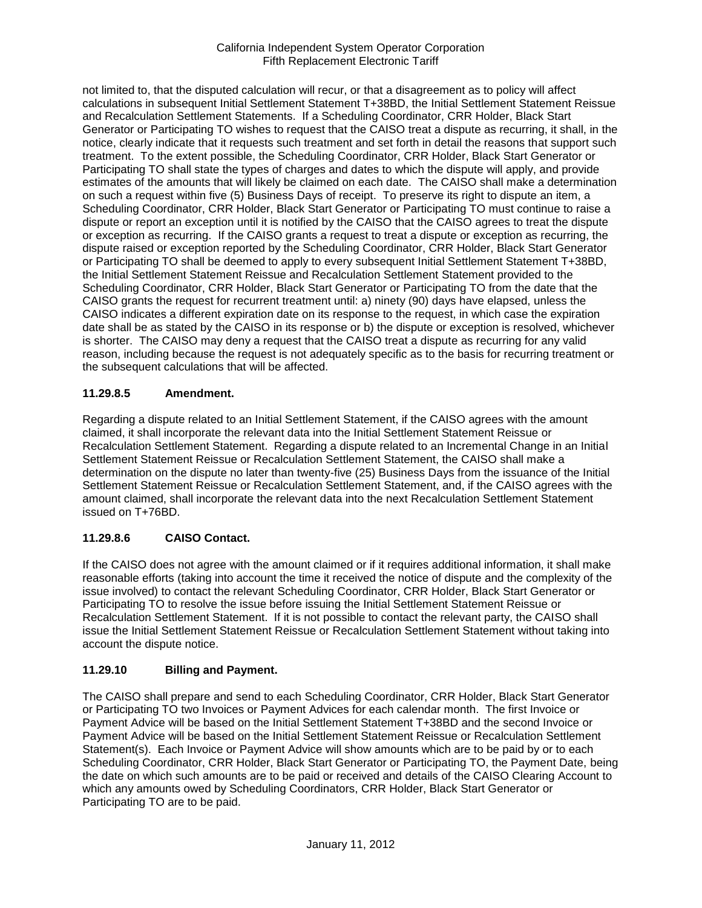not limited to, that the disputed calculation will recur, or that a disagreement as to policy will affect calculations in subsequent Initial Settlement Statement T+38BD, the Initial Settlement Statement Reissue and Recalculation Settlement Statements. If a Scheduling Coordinator, CRR Holder, Black Start Generator or Participating TO wishes to request that the CAISO treat a dispute as recurring, it shall, in the notice, clearly indicate that it requests such treatment and set forth in detail the reasons that support such treatment. To the extent possible, the Scheduling Coordinator, CRR Holder, Black Start Generator or Participating TO shall state the types of charges and dates to which the dispute will apply, and provide estimates of the amounts that will likely be claimed on each date. The CAISO shall make a determination on such a request within five (5) Business Days of receipt. To preserve its right to dispute an item, a Scheduling Coordinator, CRR Holder, Black Start Generator or Participating TO must continue to raise a dispute or report an exception until it is notified by the CAISO that the CAISO agrees to treat the dispute or exception as recurring. If the CAISO grants a request to treat a dispute or exception as recurring, the dispute raised or exception reported by the Scheduling Coordinator, CRR Holder, Black Start Generator or Participating TO shall be deemed to apply to every subsequent Initial Settlement Statement T+38BD, the Initial Settlement Statement Reissue and Recalculation Settlement Statement provided to the Scheduling Coordinator, CRR Holder, Black Start Generator or Participating TO from the date that the CAISO grants the request for recurrent treatment until: a) ninety (90) days have elapsed, unless the CAISO indicates a different expiration date on its response to the request, in which case the expiration date shall be as stated by the CAISO in its response or b) the dispute or exception is resolved, whichever is shorter. The CAISO may deny a request that the CAISO treat a dispute as recurring for any valid reason, including because the request is not adequately specific as to the basis for recurring treatment or the subsequent calculations that will be affected.

# **11.29.8.5 Amendment.**

Regarding a dispute related to an Initial Settlement Statement, if the CAISO agrees with the amount claimed, it shall incorporate the relevant data into the Initial Settlement Statement Reissue or Recalculation Settlement Statement. Regarding a dispute related to an Incremental Change in an Initial Settlement Statement Reissue or Recalculation Settlement Statement, the CAISO shall make a determination on the dispute no later than twenty-five (25) Business Days from the issuance of the Initial Settlement Statement Reissue or Recalculation Settlement Statement, and, if the CAISO agrees with the amount claimed, shall incorporate the relevant data into the next Recalculation Settlement Statement issued on T+76BD.

# **11.29.8.6 CAISO Contact.**

If the CAISO does not agree with the amount claimed or if it requires additional information, it shall make reasonable efforts (taking into account the time it received the notice of dispute and the complexity of the issue involved) to contact the relevant Scheduling Coordinator, CRR Holder, Black Start Generator or Participating TO to resolve the issue before issuing the Initial Settlement Statement Reissue or Recalculation Settlement Statement. If it is not possible to contact the relevant party, the CAISO shall issue the Initial Settlement Statement Reissue or Recalculation Settlement Statement without taking into account the dispute notice.

# **11.29.10 Billing and Payment.**

The CAISO shall prepare and send to each Scheduling Coordinator, CRR Holder, Black Start Generator or Participating TO two Invoices or Payment Advices for each calendar month. The first Invoice or Payment Advice will be based on the Initial Settlement Statement T+38BD and the second Invoice or Payment Advice will be based on the Initial Settlement Statement Reissue or Recalculation Settlement Statement(s). Each Invoice or Payment Advice will show amounts which are to be paid by or to each Scheduling Coordinator, CRR Holder, Black Start Generator or Participating TO, the Payment Date, being the date on which such amounts are to be paid or received and details of the CAISO Clearing Account to which any amounts owed by Scheduling Coordinators, CRR Holder, Black Start Generator or Participating TO are to be paid.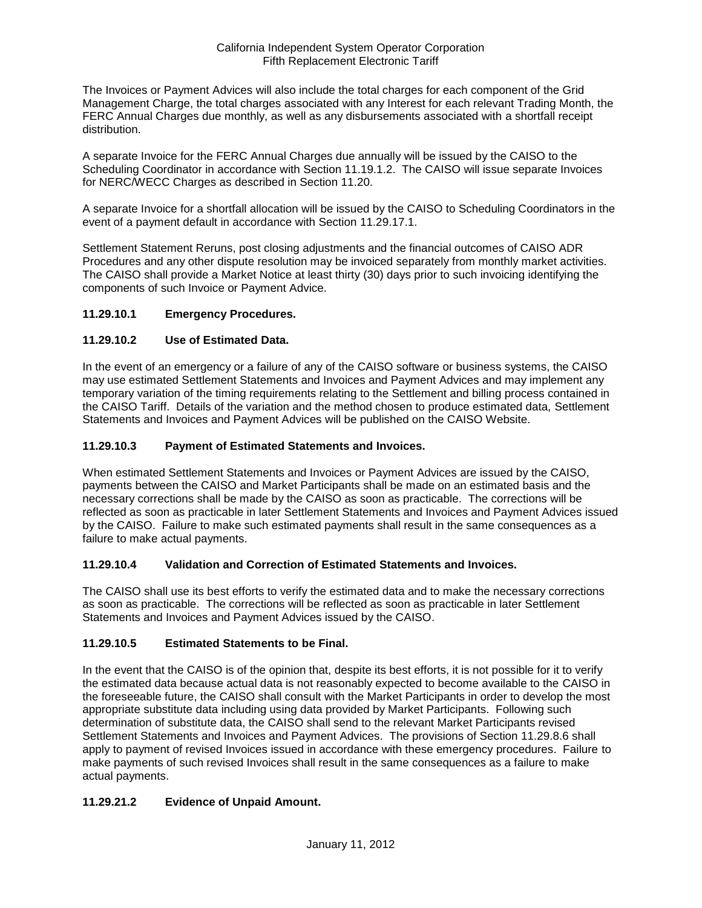The Invoices or Payment Advices will also include the total charges for each component of the Grid Management Charge, the total charges associated with any Interest for each relevant Trading Month, the FERC Annual Charges due monthly, as well as any disbursements associated with a shortfall receipt distribution.

A separate Invoice for the FERC Annual Charges due annually will be issued by the CAISO to the Scheduling Coordinator in accordance with Section 11.19.1.2. The CAISO will issue separate Invoices for NERC/WECC Charges as described in Section 11.20.

A separate Invoice for a shortfall allocation will be issued by the CAISO to Scheduling Coordinators in the event of a payment default in accordance with Section 11.29.17.1.

Settlement Statement Reruns, post closing adjustments and the financial outcomes of CAISO ADR Procedures and any other dispute resolution may be invoiced separately from monthly market activities. The CAISO shall provide a Market Notice at least thirty (30) days prior to such invoicing identifying the components of such Invoice or Payment Advice.

## **11.29.10.1 Emergency Procedures.**

## **11.29.10.2 Use of Estimated Data.**

In the event of an emergency or a failure of any of the CAISO software or business systems, the CAISO may use estimated Settlement Statements and Invoices and Payment Advices and may implement any temporary variation of the timing requirements relating to the Settlement and billing process contained in the CAISO Tariff. Details of the variation and the method chosen to produce estimated data, Settlement Statements and Invoices and Payment Advices will be published on the CAISO Website.

### **11.29.10.3 Payment of Estimated Statements and Invoices.**

When estimated Settlement Statements and Invoices or Payment Advices are issued by the CAISO, payments between the CAISO and Market Participants shall be made on an estimated basis and the necessary corrections shall be made by the CAISO as soon as practicable. The corrections will be reflected as soon as practicable in later Settlement Statements and Invoices and Payment Advices issued by the CAISO. Failure to make such estimated payments shall result in the same consequences as a failure to make actual payments.

### **11.29.10.4 Validation and Correction of Estimated Statements and Invoices.**

The CAISO shall use its best efforts to verify the estimated data and to make the necessary corrections as soon as practicable. The corrections will be reflected as soon as practicable in later Settlement Statements and Invoices and Payment Advices issued by the CAISO.

### **11.29.10.5 Estimated Statements to be Final.**

In the event that the CAISO is of the opinion that, despite its best efforts, it is not possible for it to verify the estimated data because actual data is not reasonably expected to become available to the CAISO in the foreseeable future, the CAISO shall consult with the Market Participants in order to develop the most appropriate substitute data including using data provided by Market Participants. Following such determination of substitute data, the CAISO shall send to the relevant Market Participants revised Settlement Statements and Invoices and Payment Advices. The provisions of Section 11.29.8.6 shall apply to payment of revised Invoices issued in accordance with these emergency procedures. Failure to make payments of such revised Invoices shall result in the same consequences as a failure to make actual payments.

# **11.29.21.2 Evidence of Unpaid Amount.**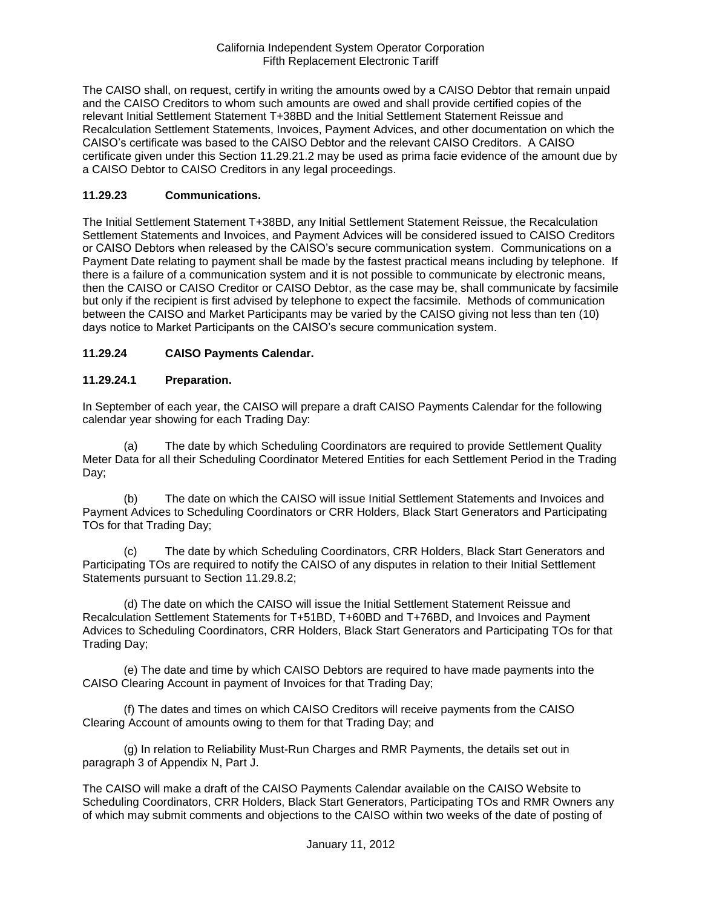The CAISO shall, on request, certify in writing the amounts owed by a CAISO Debtor that remain unpaid and the CAISO Creditors to whom such amounts are owed and shall provide certified copies of the relevant Initial Settlement Statement T+38BD and the Initial Settlement Statement Reissue and Recalculation Settlement Statements, Invoices, Payment Advices, and other documentation on which the CAISO's certificate was based to the CAISO Debtor and the relevant CAISO Creditors. A CAISO certificate given under this Section 11.29.21.2 may be used as prima facie evidence of the amount due by a CAISO Debtor to CAISO Creditors in any legal proceedings.

### **11.29.23 Communications.**

The Initial Settlement Statement T+38BD, any Initial Settlement Statement Reissue, the Recalculation Settlement Statements and Invoices, and Payment Advices will be considered issued to CAISO Creditors or CAISO Debtors when released by the CAISO's secure communication system. Communications on a Payment Date relating to payment shall be made by the fastest practical means including by telephone. If there is a failure of a communication system and it is not possible to communicate by electronic means, then the CAISO or CAISO Creditor or CAISO Debtor, as the case may be, shall communicate by facsimile but only if the recipient is first advised by telephone to expect the facsimile. Methods of communication between the CAISO and Market Participants may be varied by the CAISO giving not less than ten (10) days notice to Market Participants on the CAISO's secure communication system.

## **11.29.24 CAISO Payments Calendar.**

### **11.29.24.1 Preparation.**

In September of each year, the CAISO will prepare a draft CAISO Payments Calendar for the following calendar year showing for each Trading Day:

(a) The date by which Scheduling Coordinators are required to provide Settlement Quality Meter Data for all their Scheduling Coordinator Metered Entities for each Settlement Period in the Trading Day;

(b) The date on which the CAISO will issue Initial Settlement Statements and Invoices and Payment Advices to Scheduling Coordinators or CRR Holders, Black Start Generators and Participating TOs for that Trading Day;

(c) The date by which Scheduling Coordinators, CRR Holders, Black Start Generators and Participating TOs are required to notify the CAISO of any disputes in relation to their Initial Settlement Statements pursuant to Section 11.29.8.2;

(d) The date on which the CAISO will issue the Initial Settlement Statement Reissue and Recalculation Settlement Statements for T+51BD, T+60BD and T+76BD, and Invoices and Payment Advices to Scheduling Coordinators, CRR Holders, Black Start Generators and Participating TOs for that Trading Day;

(e) The date and time by which CAISO Debtors are required to have made payments into the CAISO Clearing Account in payment of Invoices for that Trading Day;

(f) The dates and times on which CAISO Creditors will receive payments from the CAISO Clearing Account of amounts owing to them for that Trading Day; and

(g) In relation to Reliability Must-Run Charges and RMR Payments, the details set out in paragraph 3 of Appendix N, Part J.

The CAISO will make a draft of the CAISO Payments Calendar available on the CAISO Website to Scheduling Coordinators, CRR Holders, Black Start Generators, Participating TOs and RMR Owners any of which may submit comments and objections to the CAISO within two weeks of the date of posting of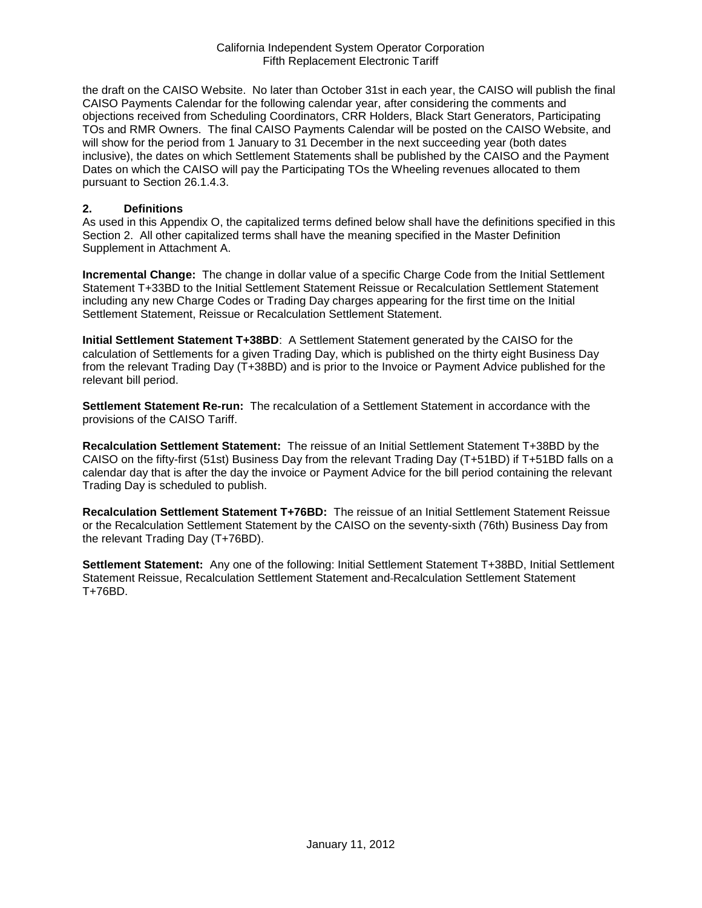the draft on the CAISO Website. No later than October 31st in each year, the CAISO will publish the final CAISO Payments Calendar for the following calendar year, after considering the comments and objections received from Scheduling Coordinators, CRR Holders, Black Start Generators, Participating TOs and RMR Owners. The final CAISO Payments Calendar will be posted on the CAISO Website, and will show for the period from 1 January to 31 December in the next succeeding year (both dates inclusive), the dates on which Settlement Statements shall be published by the CAISO and the Payment Dates on which the CAISO will pay the Participating TOs the Wheeling revenues allocated to them pursuant to Section 26.1.4.3.

#### **2. Definitions**

As used in this Appendix O, the capitalized terms defined below shall have the definitions specified in this Section 2. All other capitalized terms shall have the meaning specified in the Master Definition Supplement in Attachment A.

**Incremental Change:** The change in dollar value of a specific Charge Code from the Initial Settlement Statement T+33BD to the Initial Settlement Statement Reissue or Recalculation Settlement Statement including any new Charge Codes or Trading Day charges appearing for the first time on the Initial Settlement Statement, Reissue or Recalculation Settlement Statement.

**Initial Settlement Statement T+38BD**: A Settlement Statement generated by the CAISO for the calculation of Settlements for a given Trading Day, which is published on the thirty eight Business Day from the relevant Trading Day (T+38BD) and is prior to the Invoice or Payment Advice published for the relevant bill period.

**Settlement Statement Re-run:** The recalculation of a Settlement Statement in accordance with the provisions of the CAISO Tariff.

**Recalculation Settlement Statement:** The reissue of an Initial Settlement Statement T+38BD by the CAISO on the fifty-first (51st) Business Day from the relevant Trading Day (T+51BD) if T+51BD falls on a calendar day that is after the day the invoice or Payment Advice for the bill period containing the relevant Trading Day is scheduled to publish.

**Recalculation Settlement Statement T+76BD:** The reissue of an Initial Settlement Statement Reissue or the Recalculation Settlement Statement by the CAISO on the seventy-sixth (76th) Business Day from the relevant Trading Day (T+76BD).

**Settlement Statement:** Any one of the following: Initial Settlement Statement T+38BD, Initial Settlement Statement Reissue, Recalculation Settlement Statement and Recalculation Settlement Statement T+76BD.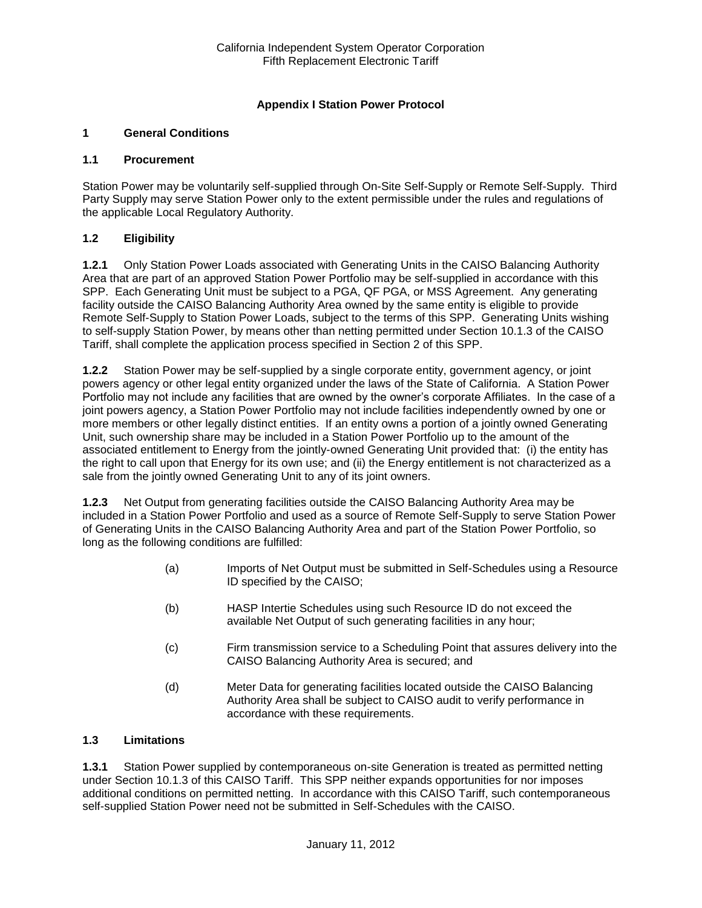## **Appendix I Station Power Protocol**

### **1 General Conditions**

#### **1.1 Procurement**

Station Power may be voluntarily self-supplied through On-Site Self-Supply or Remote Self-Supply. Third Party Supply may serve Station Power only to the extent permissible under the rules and regulations of the applicable Local Regulatory Authority.

### **1.2 Eligibility**

**1.2.1** Only Station Power Loads associated with Generating Units in the CAISO Balancing Authority Area that are part of an approved Station Power Portfolio may be self-supplied in accordance with this SPP. Each Generating Unit must be subject to a PGA, QF PGA, or MSS Agreement. Any generating facility outside the CAISO Balancing Authority Area owned by the same entity is eligible to provide Remote Self-Supply to Station Power Loads, subject to the terms of this SPP. Generating Units wishing to self-supply Station Power, by means other than netting permitted under Section 10.1.3 of the CAISO Tariff, shall complete the application process specified in Section 2 of this SPP.

**1.2.2** Station Power may be self-supplied by a single corporate entity, government agency, or joint powers agency or other legal entity organized under the laws of the State of California. A Station Power Portfolio may not include any facilities that are owned by the owner's corporate Affiliates. In the case of a joint powers agency, a Station Power Portfolio may not include facilities independently owned by one or more members or other legally distinct entities. If an entity owns a portion of a jointly owned Generating Unit, such ownership share may be included in a Station Power Portfolio up to the amount of the associated entitlement to Energy from the jointly-owned Generating Unit provided that: (i) the entity has the right to call upon that Energy for its own use; and (ii) the Energy entitlement is not characterized as a sale from the jointly owned Generating Unit to any of its joint owners.

**1.2.3** Net Output from generating facilities outside the CAISO Balancing Authority Area may be included in a Station Power Portfolio and used as a source of Remote Self-Supply to serve Station Power of Generating Units in the CAISO Balancing Authority Area and part of the Station Power Portfolio, so long as the following conditions are fulfilled:

- (a) Imports of Net Output must be submitted in Self-Schedules using a Resource ID specified by the CAISO;
- (b) HASP Intertie Schedules using such Resource ID do not exceed the available Net Output of such generating facilities in any hour;
- (c) Firm transmission service to a Scheduling Point that assures delivery into the CAISO Balancing Authority Area is secured; and
- (d) Meter Data for generating facilities located outside the CAISO Balancing Authority Area shall be subject to CAISO audit to verify performance in accordance with these requirements.

### **1.3 Limitations**

**1.3.1** Station Power supplied by contemporaneous on-site Generation is treated as permitted netting under Section 10.1.3 of this CAISO Tariff. This SPP neither expands opportunities for nor imposes additional conditions on permitted netting. In accordance with this CAISO Tariff, such contemporaneous self-supplied Station Power need not be submitted in Self-Schedules with the CAISO.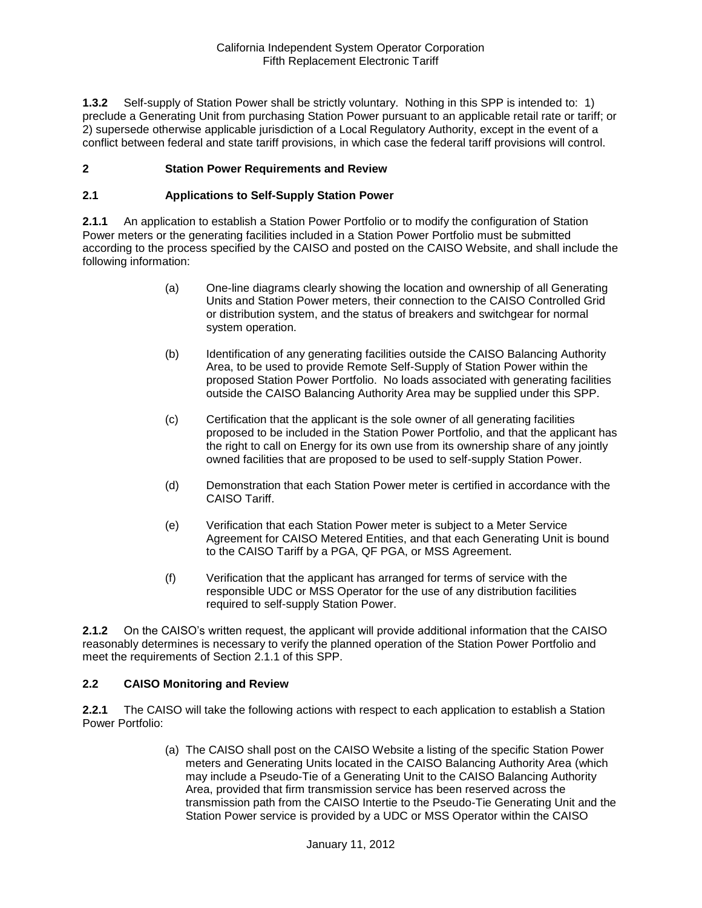**1.3.2** Self-supply of Station Power shall be strictly voluntary. Nothing in this SPP is intended to: 1) preclude a Generating Unit from purchasing Station Power pursuant to an applicable retail rate or tariff; or 2) supersede otherwise applicable jurisdiction of a Local Regulatory Authority, except in the event of a conflict between federal and state tariff provisions, in which case the federal tariff provisions will control.

### **2 Station Power Requirements and Review**

#### **2.1 Applications to Self-Supply Station Power**

**2.1.1** An application to establish a Station Power Portfolio or to modify the configuration of Station Power meters or the generating facilities included in a Station Power Portfolio must be submitted according to the process specified by the CAISO and posted on the CAISO Website, and shall include the following information:

- (a) One-line diagrams clearly showing the location and ownership of all Generating Units and Station Power meters, their connection to the CAISO Controlled Grid or distribution system, and the status of breakers and switchgear for normal system operation.
- (b) Identification of any generating facilities outside the CAISO Balancing Authority Area, to be used to provide Remote Self-Supply of Station Power within the proposed Station Power Portfolio. No loads associated with generating facilities outside the CAISO Balancing Authority Area may be supplied under this SPP.
- (c) Certification that the applicant is the sole owner of all generating facilities proposed to be included in the Station Power Portfolio, and that the applicant has the right to call on Energy for its own use from its ownership share of any jointly owned facilities that are proposed to be used to self-supply Station Power.
- (d) Demonstration that each Station Power meter is certified in accordance with the CAISO Tariff.
- (e) Verification that each Station Power meter is subject to a Meter Service Agreement for CAISO Metered Entities, and that each Generating Unit is bound to the CAISO Tariff by a PGA, QF PGA, or MSS Agreement.
- (f) Verification that the applicant has arranged for terms of service with the responsible UDC or MSS Operator for the use of any distribution facilities required to self-supply Station Power.

**2.1.2** On the CAISO's written request, the applicant will provide additional information that the CAISO reasonably determines is necessary to verify the planned operation of the Station Power Portfolio and meet the requirements of Section 2.1.1 of this SPP.

#### **2.2 CAISO Monitoring and Review**

**2.2.1** The CAISO will take the following actions with respect to each application to establish a Station Power Portfolio:

> (a) The CAISO shall post on the CAISO Website a listing of the specific Station Power meters and Generating Units located in the CAISO Balancing Authority Area (which may include a Pseudo-Tie of a Generating Unit to the CAISO Balancing Authority Area, provided that firm transmission service has been reserved across the transmission path from the CAISO Intertie to the Pseudo-Tie Generating Unit and the Station Power service is provided by a UDC or MSS Operator within the CAISO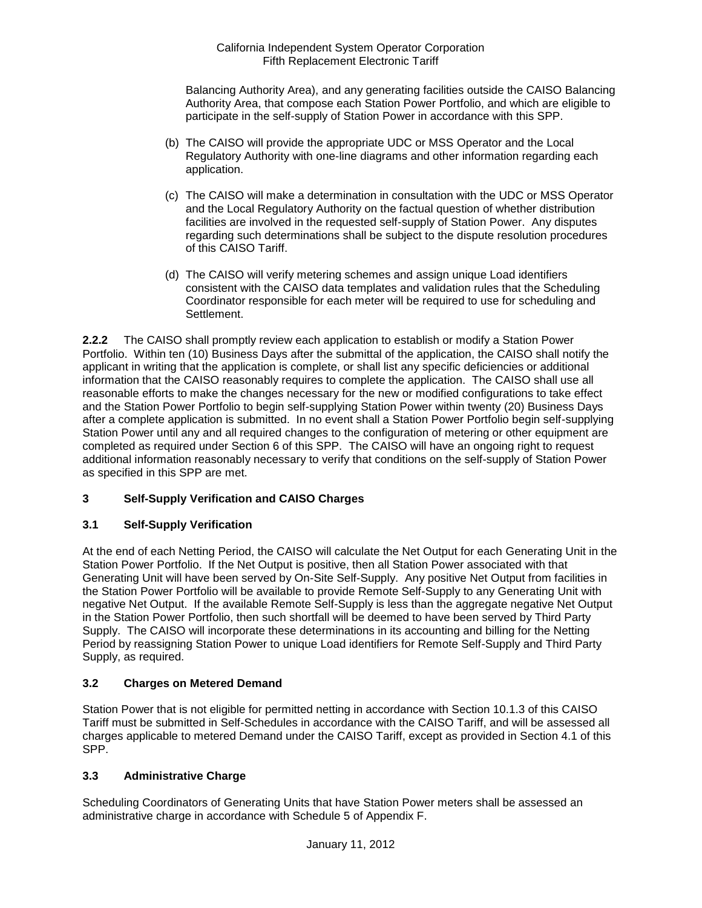Balancing Authority Area), and any generating facilities outside the CAISO Balancing Authority Area, that compose each Station Power Portfolio, and which are eligible to participate in the self-supply of Station Power in accordance with this SPP.

- (b) The CAISO will provide the appropriate UDC or MSS Operator and the Local Regulatory Authority with one-line diagrams and other information regarding each application.
- (c) The CAISO will make a determination in consultation with the UDC or MSS Operator and the Local Regulatory Authority on the factual question of whether distribution facilities are involved in the requested self-supply of Station Power. Any disputes regarding such determinations shall be subject to the dispute resolution procedures of this CAISO Tariff.
- (d) The CAISO will verify metering schemes and assign unique Load identifiers consistent with the CAISO data templates and validation rules that the Scheduling Coordinator responsible for each meter will be required to use for scheduling and Settlement.

**2.2.2** The CAISO shall promptly review each application to establish or modify a Station Power Portfolio. Within ten (10) Business Days after the submittal of the application, the CAISO shall notify the applicant in writing that the application is complete, or shall list any specific deficiencies or additional information that the CAISO reasonably requires to complete the application. The CAISO shall use all reasonable efforts to make the changes necessary for the new or modified configurations to take effect and the Station Power Portfolio to begin self-supplying Station Power within twenty (20) Business Days after a complete application is submitted. In no event shall a Station Power Portfolio begin self-supplying Station Power until any and all required changes to the configuration of metering or other equipment are completed as required under Section 6 of this SPP. The CAISO will have an ongoing right to request additional information reasonably necessary to verify that conditions on the self-supply of Station Power as specified in this SPP are met.

# **3 Self-Supply Verification and CAISO Charges**

### **3.1 Self-Supply Verification**

At the end of each Netting Period, the CAISO will calculate the Net Output for each Generating Unit in the Station Power Portfolio. If the Net Output is positive, then all Station Power associated with that Generating Unit will have been served by On-Site Self-Supply. Any positive Net Output from facilities in the Station Power Portfolio will be available to provide Remote Self-Supply to any Generating Unit with negative Net Output. If the available Remote Self-Supply is less than the aggregate negative Net Output in the Station Power Portfolio, then such shortfall will be deemed to have been served by Third Party Supply. The CAISO will incorporate these determinations in its accounting and billing for the Netting Period by reassigning Station Power to unique Load identifiers for Remote Self-Supply and Third Party Supply, as required.

### **3.2 Charges on Metered Demand**

Station Power that is not eligible for permitted netting in accordance with Section 10.1.3 of this CAISO Tariff must be submitted in Self-Schedules in accordance with the CAISO Tariff, and will be assessed all charges applicable to metered Demand under the CAISO Tariff, except as provided in Section 4.1 of this SPP.

### **3.3 Administrative Charge**

Scheduling Coordinators of Generating Units that have Station Power meters shall be assessed an administrative charge in accordance with Schedule 5 of Appendix F.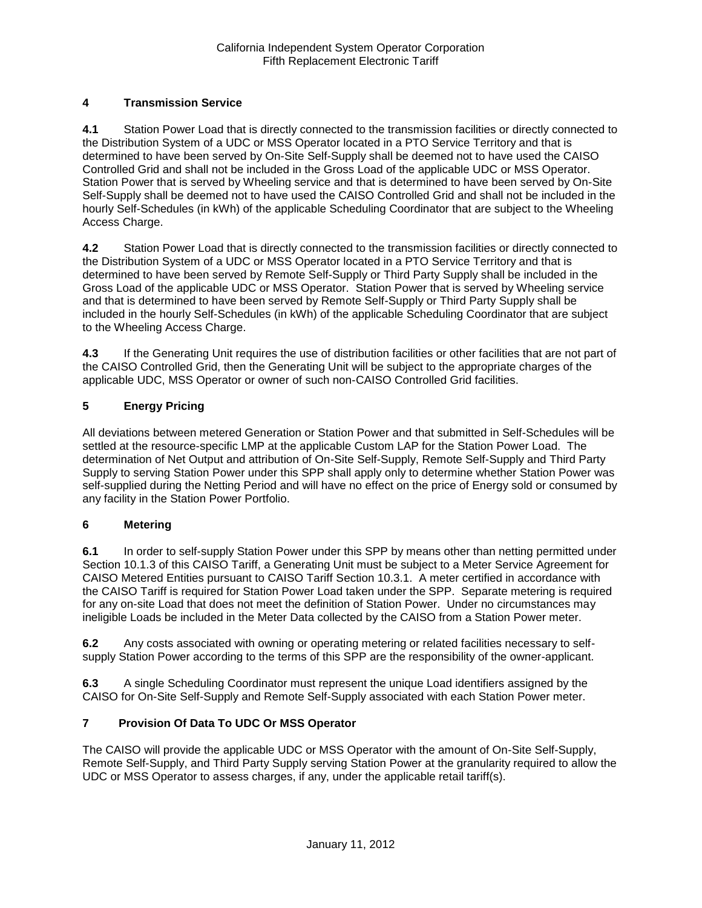# **4 Transmission Service**

**4.1** Station Power Load that is directly connected to the transmission facilities or directly connected to the Distribution System of a UDC or MSS Operator located in a PTO Service Territory and that is determined to have been served by On-Site Self-Supply shall be deemed not to have used the CAISO Controlled Grid and shall not be included in the Gross Load of the applicable UDC or MSS Operator. Station Power that is served by Wheeling service and that is determined to have been served by On-Site Self-Supply shall be deemed not to have used the CAISO Controlled Grid and shall not be included in the hourly Self-Schedules (in kWh) of the applicable Scheduling Coordinator that are subject to the Wheeling Access Charge.

**4.2** Station Power Load that is directly connected to the transmission facilities or directly connected to the Distribution System of a UDC or MSS Operator located in a PTO Service Territory and that is determined to have been served by Remote Self-Supply or Third Party Supply shall be included in the Gross Load of the applicable UDC or MSS Operator. Station Power that is served by Wheeling service and that is determined to have been served by Remote Self-Supply or Third Party Supply shall be included in the hourly Self-Schedules (in kWh) of the applicable Scheduling Coordinator that are subject to the Wheeling Access Charge.

**4.3** If the Generating Unit requires the use of distribution facilities or other facilities that are not part of the CAISO Controlled Grid, then the Generating Unit will be subject to the appropriate charges of the applicable UDC, MSS Operator or owner of such non-CAISO Controlled Grid facilities.

# **5 Energy Pricing**

All deviations between metered Generation or Station Power and that submitted in Self-Schedules will be settled at the resource-specific LMP at the applicable Custom LAP for the Station Power Load. The determination of Net Output and attribution of On-Site Self-Supply, Remote Self-Supply and Third Party Supply to serving Station Power under this SPP shall apply only to determine whether Station Power was self-supplied during the Netting Period and will have no effect on the price of Energy sold or consumed by any facility in the Station Power Portfolio.

### **6 Metering**

**6.1** In order to self-supply Station Power under this SPP by means other than netting permitted under Section 10.1.3 of this CAISO Tariff, a Generating Unit must be subject to a Meter Service Agreement for CAISO Metered Entities pursuant to CAISO Tariff Section 10.3.1. A meter certified in accordance with the CAISO Tariff is required for Station Power Load taken under the SPP. Separate metering is required for any on-site Load that does not meet the definition of Station Power. Under no circumstances may ineligible Loads be included in the Meter Data collected by the CAISO from a Station Power meter.

**6.2** Any costs associated with owning or operating metering or related facilities necessary to selfsupply Station Power according to the terms of this SPP are the responsibility of the owner-applicant.

**6.3** A single Scheduling Coordinator must represent the unique Load identifiers assigned by the CAISO for On-Site Self-Supply and Remote Self-Supply associated with each Station Power meter.

### **7 Provision Of Data To UDC Or MSS Operator**

The CAISO will provide the applicable UDC or MSS Operator with the amount of On-Site Self-Supply, Remote Self-Supply, and Third Party Supply serving Station Power at the granularity required to allow the UDC or MSS Operator to assess charges, if any, under the applicable retail tariff(s).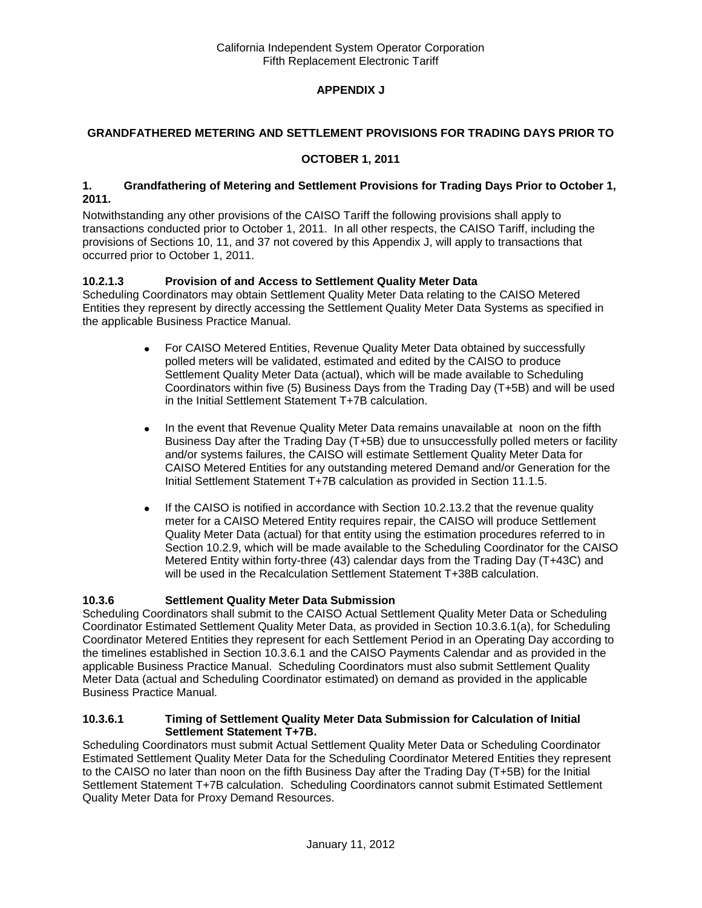# **APPENDIX J**

### **GRANDFATHERED METERING AND SETTLEMENT PROVISIONS FOR TRADING DAYS PRIOR TO**

### **OCTOBER 1, 2011**

#### **1. Grandfathering of Metering and Settlement Provisions for Trading Days Prior to October 1, 2011.**

Notwithstanding any other provisions of the CAISO Tariff the following provisions shall apply to transactions conducted prior to October 1, 2011. In all other respects, the CAISO Tariff, including the provisions of Sections 10, 11, and 37 not covered by this Appendix J, will apply to transactions that occurred prior to October 1, 2011.

## **10.2.1.3 Provision of and Access to Settlement Quality Meter Data**

Scheduling Coordinators may obtain Settlement Quality Meter Data relating to the CAISO Metered Entities they represent by directly accessing the Settlement Quality Meter Data Systems as specified in the applicable Business Practice Manual.

- For CAISO Metered Entities, Revenue Quality Meter Data obtained by successfully  $\bullet$ polled meters will be validated, estimated and edited by the CAISO to produce Settlement Quality Meter Data (actual), which will be made available to Scheduling Coordinators within five (5) Business Days from the Trading Day (T+5B) and will be used in the Initial Settlement Statement T+7B calculation.
- In the event that Revenue Quality Meter Data remains unavailable at noon on the fifth  $\bullet$ Business Day after the Trading Day (T+5B) due to unsuccessfully polled meters or facility and/or systems failures, the CAISO will estimate Settlement Quality Meter Data for CAISO Metered Entities for any outstanding metered Demand and/or Generation for the Initial Settlement Statement T+7B calculation as provided in Section 11.1.5.
- If the CAISO is notified in accordance with Section 10.2.13.2 that the revenue quality  $\bullet$ meter for a CAISO Metered Entity requires repair, the CAISO will produce Settlement Quality Meter Data (actual) for that entity using the estimation procedures referred to in Section 10.2.9, which will be made available to the Scheduling Coordinator for the CAISO Metered Entity within forty-three (43) calendar days from the Trading Day (T+43C) and will be used in the Recalculation Settlement Statement T+38B calculation.

### **10.3.6 Settlement Quality Meter Data Submission**

Scheduling Coordinators shall submit to the CAISO Actual Settlement Quality Meter Data or Scheduling Coordinator Estimated Settlement Quality Meter Data, as provided in Section 10.3.6.1(a), for Scheduling Coordinator Metered Entities they represent for each Settlement Period in an Operating Day according to the timelines established in Section 10.3.6.1 and the CAISO Payments Calendar and as provided in the applicable Business Practice Manual. Scheduling Coordinators must also submit Settlement Quality Meter Data (actual and Scheduling Coordinator estimated) on demand as provided in the applicable Business Practice Manual.

#### **10.3.6.1 Timing of Settlement Quality Meter Data Submission for Calculation of Initial Settlement Statement T+7B.**

Scheduling Coordinators must submit Actual Settlement Quality Meter Data or Scheduling Coordinator Estimated Settlement Quality Meter Data for the Scheduling Coordinator Metered Entities they represent to the CAISO no later than noon on the fifth Business Day after the Trading Day (T+5B) for the Initial Settlement Statement T+7B calculation. Scheduling Coordinators cannot submit Estimated Settlement Quality Meter Data for Proxy Demand Resources.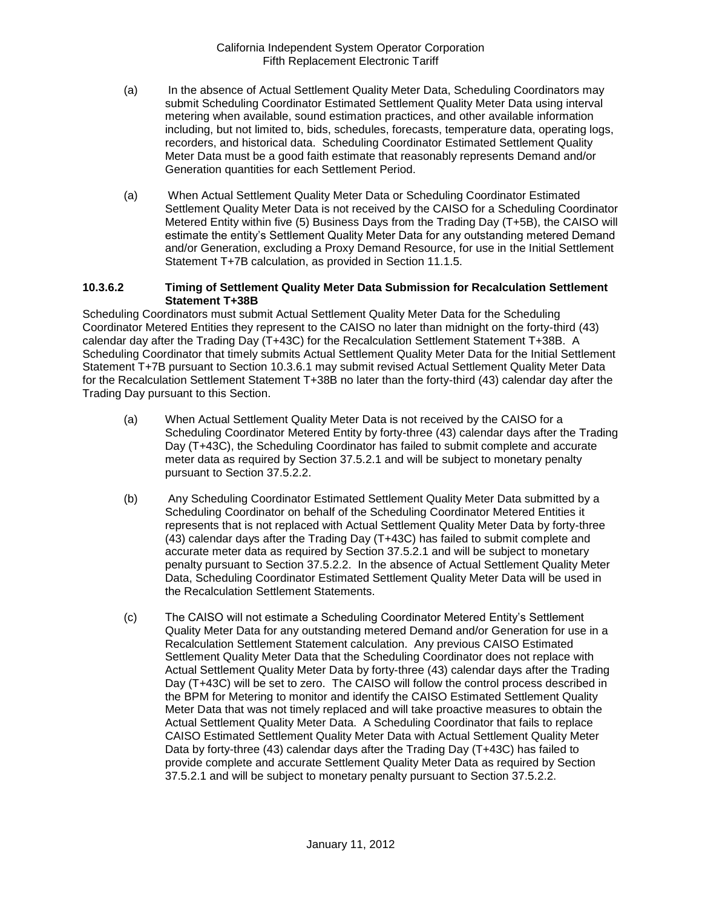- (a) In the absence of Actual Settlement Quality Meter Data, Scheduling Coordinators may submit Scheduling Coordinator Estimated Settlement Quality Meter Data using interval metering when available, sound estimation practices, and other available information including, but not limited to, bids, schedules, forecasts, temperature data, operating logs, recorders, and historical data. Scheduling Coordinator Estimated Settlement Quality Meter Data must be a good faith estimate that reasonably represents Demand and/or Generation quantities for each Settlement Period.
- (a) When Actual Settlement Quality Meter Data or Scheduling Coordinator Estimated Settlement Quality Meter Data is not received by the CAISO for a Scheduling Coordinator Metered Entity within five (5) Business Days from the Trading Day (T+5B), the CAISO will estimate the entity's Settlement Quality Meter Data for any outstanding metered Demand and/or Generation, excluding a Proxy Demand Resource, for use in the Initial Settlement Statement T+7B calculation, as provided in Section 11.1.5.

#### **10.3.6.2 Timing of Settlement Quality Meter Data Submission for Recalculation Settlement Statement T+38B**

Scheduling Coordinators must submit Actual Settlement Quality Meter Data for the Scheduling Coordinator Metered Entities they represent to the CAISO no later than midnight on the forty-third (43) calendar day after the Trading Day (T+43C) for the Recalculation Settlement Statement T+38B. A Scheduling Coordinator that timely submits Actual Settlement Quality Meter Data for the Initial Settlement Statement T+7B pursuant to Section 10.3.6.1 may submit revised Actual Settlement Quality Meter Data for the Recalculation Settlement Statement T+38B no later than the forty-third (43) calendar day after the Trading Day pursuant to this Section.

- (a) When Actual Settlement Quality Meter Data is not received by the CAISO for a Scheduling Coordinator Metered Entity by forty-three (43) calendar days after the Trading Day (T+43C), the Scheduling Coordinator has failed to submit complete and accurate meter data as required by Section 37.5.2.1 and will be subject to monetary penalty pursuant to Section 37.5.2.2.
- (b) Any Scheduling Coordinator Estimated Settlement Quality Meter Data submitted by a Scheduling Coordinator on behalf of the Scheduling Coordinator Metered Entities it represents that is not replaced with Actual Settlement Quality Meter Data by forty-three (43) calendar days after the Trading Day (T+43C) has failed to submit complete and accurate meter data as required by Section 37.5.2.1 and will be subject to monetary penalty pursuant to Section 37.5.2.2. In the absence of Actual Settlement Quality Meter Data, Scheduling Coordinator Estimated Settlement Quality Meter Data will be used in the Recalculation Settlement Statements.
- (c) The CAISO will not estimate a Scheduling Coordinator Metered Entity's Settlement Quality Meter Data for any outstanding metered Demand and/or Generation for use in a Recalculation Settlement Statement calculation. Any previous CAISO Estimated Settlement Quality Meter Data that the Scheduling Coordinator does not replace with Actual Settlement Quality Meter Data by forty-three (43) calendar days after the Trading Day (T+43C) will be set to zero. The CAISO will follow the control process described in the BPM for Metering to monitor and identify the CAISO Estimated Settlement Quality Meter Data that was not timely replaced and will take proactive measures to obtain the Actual Settlement Quality Meter Data. A Scheduling Coordinator that fails to replace CAISO Estimated Settlement Quality Meter Data with Actual Settlement Quality Meter Data by forty-three (43) calendar days after the Trading Day (T+43C) has failed to provide complete and accurate Settlement Quality Meter Data as required by Section 37.5.2.1 and will be subject to monetary penalty pursuant to Section 37.5.2.2.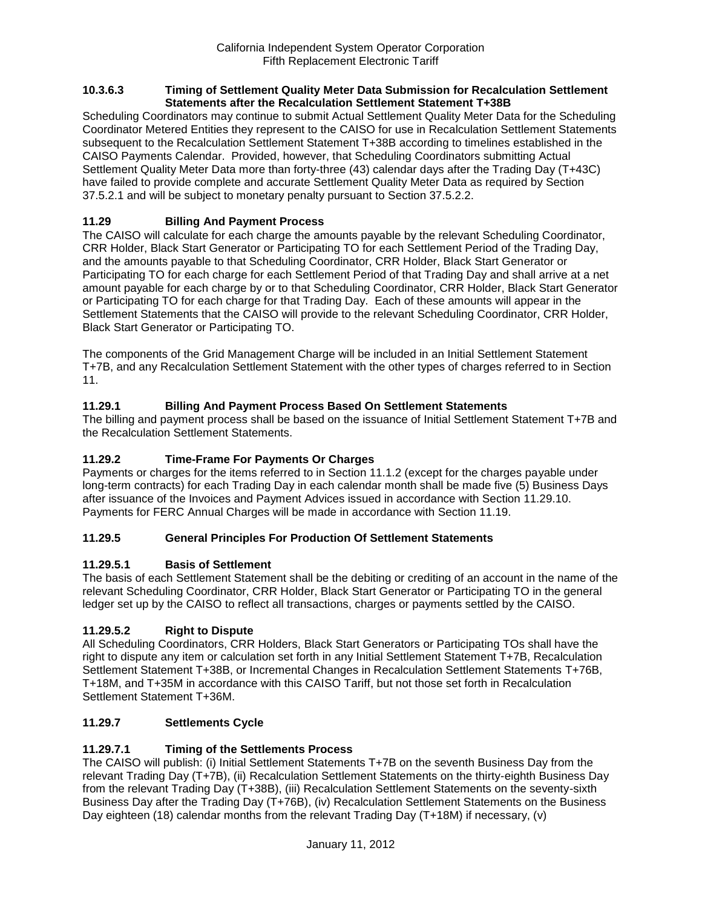#### **10.3.6.3 Timing of Settlement Quality Meter Data Submission for Recalculation Settlement Statements after the Recalculation Settlement Statement T+38B**

Scheduling Coordinators may continue to submit Actual Settlement Quality Meter Data for the Scheduling Coordinator Metered Entities they represent to the CAISO for use in Recalculation Settlement Statements subsequent to the Recalculation Settlement Statement T+38B according to timelines established in the CAISO Payments Calendar. Provided, however, that Scheduling Coordinators submitting Actual Settlement Quality Meter Data more than forty-three (43) calendar days after the Trading Day (T+43C) have failed to provide complete and accurate Settlement Quality Meter Data as required by Section 37.5.2.1 and will be subject to monetary penalty pursuant to Section 37.5.2.2.

# **11.29 Billing And Payment Process**

The CAISO will calculate for each charge the amounts payable by the relevant Scheduling Coordinator, CRR Holder, Black Start Generator or Participating TO for each Settlement Period of the Trading Day, and the amounts payable to that Scheduling Coordinator, CRR Holder, Black Start Generator or Participating TO for each charge for each Settlement Period of that Trading Day and shall arrive at a net amount payable for each charge by or to that Scheduling Coordinator, CRR Holder, Black Start Generator or Participating TO for each charge for that Trading Day. Each of these amounts will appear in the Settlement Statements that the CAISO will provide to the relevant Scheduling Coordinator, CRR Holder, Black Start Generator or Participating TO.

The components of the Grid Management Charge will be included in an Initial Settlement Statement T+7B, and any Recalculation Settlement Statement with the other types of charges referred to in Section 11.

# **11.29.1 Billing And Payment Process Based On Settlement Statements**

The billing and payment process shall be based on the issuance of Initial Settlement Statement T+7B and the Recalculation Settlement Statements.

### **11.29.2 Time-Frame For Payments Or Charges**

Payments or charges for the items referred to in Section 11.1.2 (except for the charges payable under long-term contracts) for each Trading Day in each calendar month shall be made five (5) Business Days after issuance of the Invoices and Payment Advices issued in accordance with Section 11.29.10. Payments for FERC Annual Charges will be made in accordance with Section 11.19.

### **11.29.5 General Principles For Production Of Settlement Statements**

### **11.29.5.1 Basis of Settlement**

The basis of each Settlement Statement shall be the debiting or crediting of an account in the name of the relevant Scheduling Coordinator, CRR Holder, Black Start Generator or Participating TO in the general ledger set up by the CAISO to reflect all transactions, charges or payments settled by the CAISO.

# **11.29.5.2 Right to Dispute**

All Scheduling Coordinators, CRR Holders, Black Start Generators or Participating TOs shall have the right to dispute any item or calculation set forth in any Initial Settlement Statement T+7B, Recalculation Settlement Statement T+38B, or Incremental Changes in Recalculation Settlement Statements T+76B, T+18M, and T+35M in accordance with this CAISO Tariff, but not those set forth in Recalculation Settlement Statement T+36M.

### **11.29.7 Settlements Cycle**

# **11.29.7.1 Timing of the Settlements Process**

The CAISO will publish: (i) Initial Settlement Statements T+7B on the seventh Business Day from the relevant Trading Day (T+7B), (ii) Recalculation Settlement Statements on the thirty-eighth Business Day from the relevant Trading Day (T+38B), (iii) Recalculation Settlement Statements on the seventy-sixth Business Day after the Trading Day (T+76B), (iv) Recalculation Settlement Statements on the Business Day eighteen (18) calendar months from the relevant Trading Day (T+18M) if necessary, (v)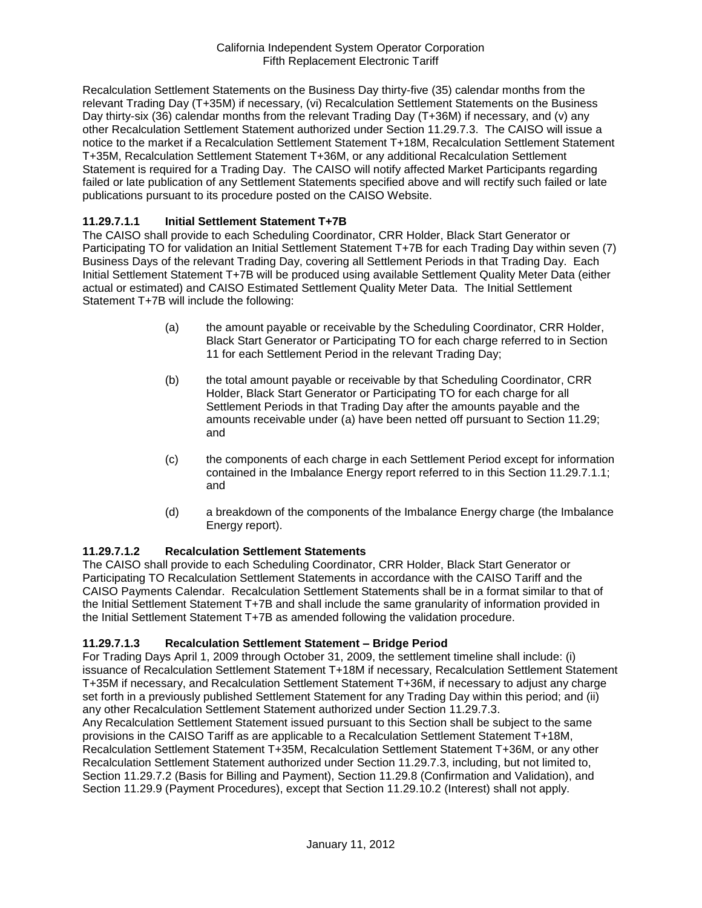Recalculation Settlement Statements on the Business Day thirty-five (35) calendar months from the relevant Trading Day (T+35M) if necessary, (vi) Recalculation Settlement Statements on the Business Day thirty-six (36) calendar months from the relevant Trading Day (T+36M) if necessary, and (v) any other Recalculation Settlement Statement authorized under Section 11.29.7.3. The CAISO will issue a notice to the market if a Recalculation Settlement Statement T+18M, Recalculation Settlement Statement T+35M, Recalculation Settlement Statement T+36M, or any additional Recalculation Settlement Statement is required for a Trading Day. The CAISO will notify affected Market Participants regarding failed or late publication of any Settlement Statements specified above and will rectify such failed or late publications pursuant to its procedure posted on the CAISO Website.

### **11.29.7.1.1 Initial Settlement Statement T+7B**

The CAISO shall provide to each Scheduling Coordinator, CRR Holder, Black Start Generator or Participating TO for validation an Initial Settlement Statement T+7B for each Trading Day within seven (7) Business Days of the relevant Trading Day, covering all Settlement Periods in that Trading Day. Each Initial Settlement Statement T+7B will be produced using available Settlement Quality Meter Data (either actual or estimated) and CAISO Estimated Settlement Quality Meter Data. The Initial Settlement Statement T+7B will include the following:

- (a) the amount payable or receivable by the Scheduling Coordinator, CRR Holder, Black Start Generator or Participating TO for each charge referred to in Section 11 for each Settlement Period in the relevant Trading Day;
- (b) the total amount payable or receivable by that Scheduling Coordinator, CRR Holder, Black Start Generator or Participating TO for each charge for all Settlement Periods in that Trading Day after the amounts payable and the amounts receivable under (a) have been netted off pursuant to Section 11.29; and
- (c) the components of each charge in each Settlement Period except for information contained in the Imbalance Energy report referred to in this Section 11.29.7.1.1; and
- (d) a breakdown of the components of the Imbalance Energy charge (the Imbalance Energy report).

### **11.29.7.1.2 Recalculation Settlement Statements**

The CAISO shall provide to each Scheduling Coordinator, CRR Holder, Black Start Generator or Participating TO Recalculation Settlement Statements in accordance with the CAISO Tariff and the CAISO Payments Calendar. Recalculation Settlement Statements shall be in a format similar to that of the Initial Settlement Statement T+7B and shall include the same granularity of information provided in the Initial Settlement Statement T+7B as amended following the validation procedure.

### **11.29.7.1.3 Recalculation Settlement Statement – Bridge Period**

For Trading Days April 1, 2009 through October 31, 2009, the settlement timeline shall include: (i) issuance of Recalculation Settlement Statement T+18M if necessary, Recalculation Settlement Statement T+35M if necessary, and Recalculation Settlement Statement T+36M, if necessary to adjust any charge set forth in a previously published Settlement Statement for any Trading Day within this period; and (ii) any other Recalculation Settlement Statement authorized under Section 11.29.7.3.

Any Recalculation Settlement Statement issued pursuant to this Section shall be subject to the same provisions in the CAISO Tariff as are applicable to a Recalculation Settlement Statement T+18M, Recalculation Settlement Statement T+35M, Recalculation Settlement Statement T+36M, or any other Recalculation Settlement Statement authorized under Section 11.29.7.3, including, but not limited to, Section 11.29.7.2 (Basis for Billing and Payment), Section 11.29.8 (Confirmation and Validation), and Section 11.29.9 (Payment Procedures), except that Section 11.29.10.2 (Interest) shall not apply.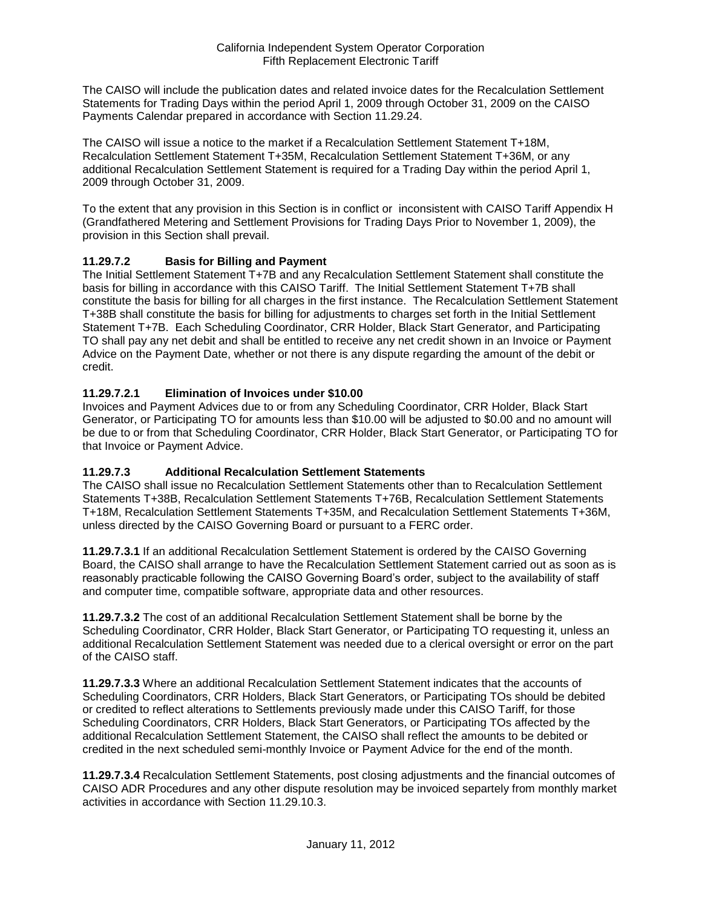The CAISO will include the publication dates and related invoice dates for the Recalculation Settlement Statements for Trading Days within the period April 1, 2009 through October 31, 2009 on the CAISO Payments Calendar prepared in accordance with Section 11.29.24.

The CAISO will issue a notice to the market if a Recalculation Settlement Statement T+18M, Recalculation Settlement Statement T+35M, Recalculation Settlement Statement T+36M, or any additional Recalculation Settlement Statement is required for a Trading Day within the period April 1, 2009 through October 31, 2009.

To the extent that any provision in this Section is in conflict or inconsistent with CAISO Tariff Appendix H (Grandfathered Metering and Settlement Provisions for Trading Days Prior to November 1, 2009), the provision in this Section shall prevail.

## **11.29.7.2 Basis for Billing and Payment**

The Initial Settlement Statement T+7B and any Recalculation Settlement Statement shall constitute the basis for billing in accordance with this CAISO Tariff. The Initial Settlement Statement T+7B shall constitute the basis for billing for all charges in the first instance. The Recalculation Settlement Statement T+38B shall constitute the basis for billing for adjustments to charges set forth in the Initial Settlement Statement T+7B. Each Scheduling Coordinator, CRR Holder, Black Start Generator, and Participating TO shall pay any net debit and shall be entitled to receive any net credit shown in an Invoice or Payment Advice on the Payment Date, whether or not there is any dispute regarding the amount of the debit or credit.

## **11.29.7.2.1 Elimination of Invoices under \$10.00**

Invoices and Payment Advices due to or from any Scheduling Coordinator, CRR Holder, Black Start Generator, or Participating TO for amounts less than \$10.00 will be adjusted to \$0.00 and no amount will be due to or from that Scheduling Coordinator, CRR Holder, Black Start Generator, or Participating TO for that Invoice or Payment Advice.

### **11.29.7.3 Additional Recalculation Settlement Statements**

The CAISO shall issue no Recalculation Settlement Statements other than to Recalculation Settlement Statements T+38B, Recalculation Settlement Statements T+76B, Recalculation Settlement Statements T+18M, Recalculation Settlement Statements T+35M, and Recalculation Settlement Statements T+36M, unless directed by the CAISO Governing Board or pursuant to a FERC order.

**11.29.7.3.1** If an additional Recalculation Settlement Statement is ordered by the CAISO Governing Board, the CAISO shall arrange to have the Recalculation Settlement Statement carried out as soon as is reasonably practicable following the CAISO Governing Board's order, subject to the availability of staff and computer time, compatible software, appropriate data and other resources.

**11.29.7.3.2** The cost of an additional Recalculation Settlement Statement shall be borne by the Scheduling Coordinator, CRR Holder, Black Start Generator, or Participating TO requesting it, unless an additional Recalculation Settlement Statement was needed due to a clerical oversight or error on the part of the CAISO staff.

**11.29.7.3.3** Where an additional Recalculation Settlement Statement indicates that the accounts of Scheduling Coordinators, CRR Holders, Black Start Generators, or Participating TOs should be debited or credited to reflect alterations to Settlements previously made under this CAISO Tariff, for those Scheduling Coordinators, CRR Holders, Black Start Generators, or Participating TOs affected by the additional Recalculation Settlement Statement, the CAISO shall reflect the amounts to be debited or credited in the next scheduled semi-monthly Invoice or Payment Advice for the end of the month.

**11.29.7.3.4** Recalculation Settlement Statements, post closing adjustments and the financial outcomes of CAISO ADR Procedures and any other dispute resolution may be invoiced separtely from monthly market activities in accordance with Section 11.29.10.3.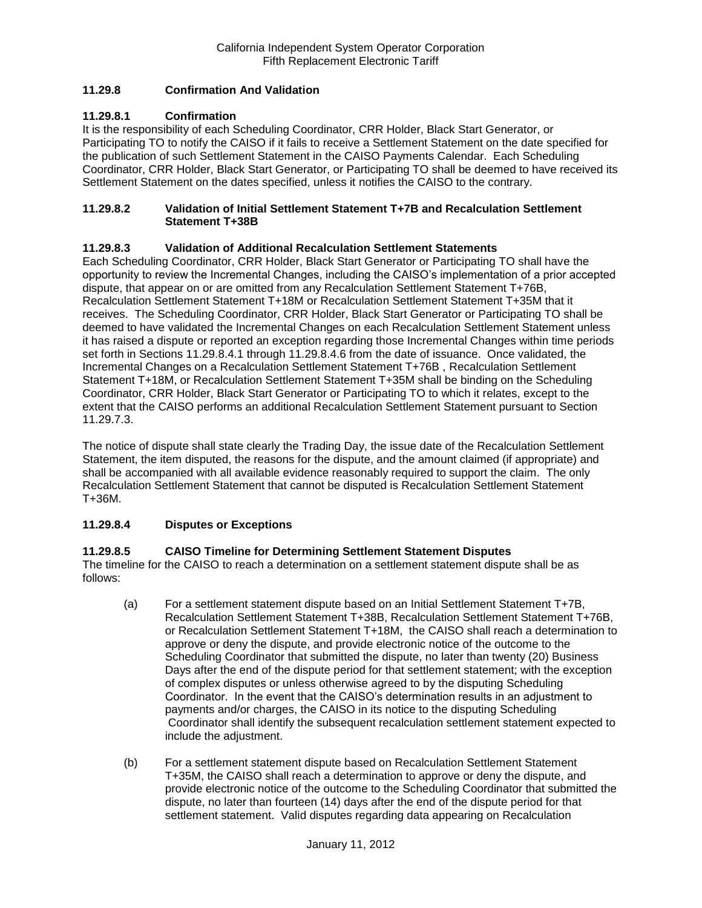## **11.29.8 Confirmation And Validation**

### **11.29.8.1 Confirmation**

It is the responsibility of each Scheduling Coordinator, CRR Holder, Black Start Generator, or Participating TO to notify the CAISO if it fails to receive a Settlement Statement on the date specified for the publication of such Settlement Statement in the CAISO Payments Calendar. Each Scheduling Coordinator, CRR Holder, Black Start Generator, or Participating TO shall be deemed to have received its Settlement Statement on the dates specified, unless it notifies the CAISO to the contrary.

#### **11.29.8.2 Validation of Initial Settlement Statement T+7B and Recalculation Settlement Statement T+38B**

### **11.29.8.3 Validation of Additional Recalculation Settlement Statements**

Each Scheduling Coordinator, CRR Holder, Black Start Generator or Participating TO shall have the opportunity to review the Incremental Changes, including the CAISO's implementation of a prior accepted dispute, that appear on or are omitted from any Recalculation Settlement Statement T+76B, Recalculation Settlement Statement T+18M or Recalculation Settlement Statement T+35M that it receives. The Scheduling Coordinator, CRR Holder, Black Start Generator or Participating TO shall be deemed to have validated the Incremental Changes on each Recalculation Settlement Statement unless it has raised a dispute or reported an exception regarding those Incremental Changes within time periods set forth in Sections 11.29.8.4.1 through 11.29.8.4.6 from the date of issuance. Once validated, the Incremental Changes on a Recalculation Settlement Statement T+76B , Recalculation Settlement Statement T+18M, or Recalculation Settlement Statement T+35M shall be binding on the Scheduling Coordinator, CRR Holder, Black Start Generator or Participating TO to which it relates, except to the extent that the CAISO performs an additional Recalculation Settlement Statement pursuant to Section 11.29.7.3.

The notice of dispute shall state clearly the Trading Day, the issue date of the Recalculation Settlement Statement, the item disputed, the reasons for the dispute, and the amount claimed (if appropriate) and shall be accompanied with all available evidence reasonably required to support the claim. The only Recalculation Settlement Statement that cannot be disputed is Recalculation Settlement Statement T+36M.

### **11.29.8.4 Disputes or Exceptions**

### **11.29.8.5 CAISO Timeline for Determining Settlement Statement Disputes**

The timeline for the CAISO to reach a determination on a settlement statement dispute shall be as follows:

- (a) For a settlement statement dispute based on an Initial Settlement Statement T+7B, Recalculation Settlement Statement T+38B, Recalculation Settlement Statement T+76B, or Recalculation Settlement Statement T+18M, the CAISO shall reach a determination to approve or deny the dispute, and provide electronic notice of the outcome to the Scheduling Coordinator that submitted the dispute, no later than twenty (20) Business Days after the end of the dispute period for that settlement statement; with the exception of complex disputes or unless otherwise agreed to by the disputing Scheduling Coordinator. In the event that the CAISO's determination results in an adjustment to payments and/or charges, the CAISO in its notice to the disputing Scheduling Coordinator shall identify the subsequent recalculation settlement statement expected to include the adjustment.
- (b) For a settlement statement dispute based on Recalculation Settlement Statement T+35M, the CAISO shall reach a determination to approve or deny the dispute, and provide electronic notice of the outcome to the Scheduling Coordinator that submitted the dispute, no later than fourteen (14) days after the end of the dispute period for that settlement statement. Valid disputes regarding data appearing on Recalculation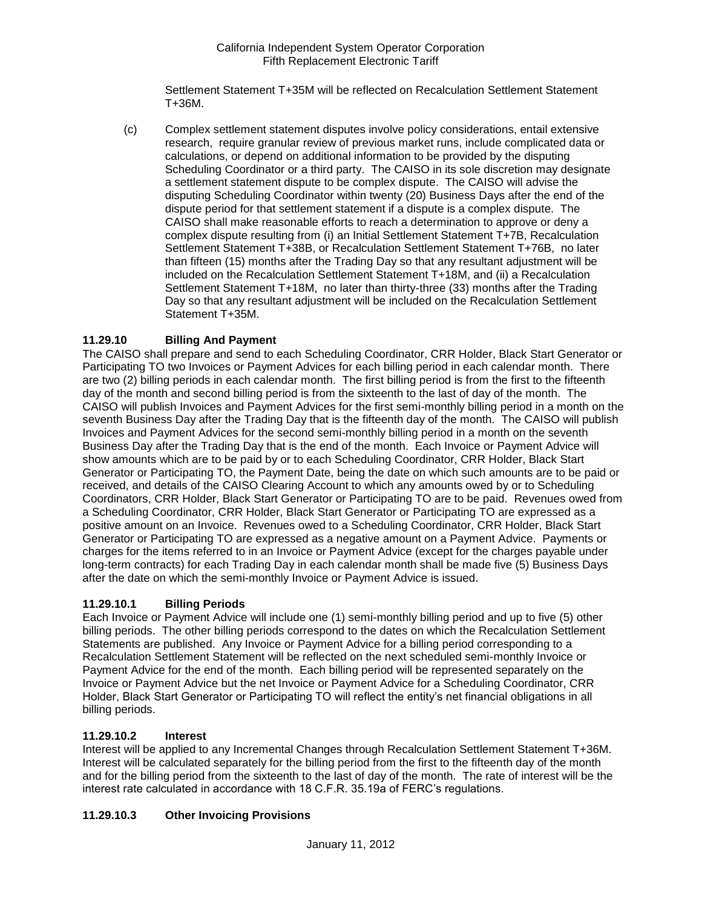Settlement Statement T+35M will be reflected on Recalculation Settlement Statement T+36M.

(c) Complex settlement statement disputes involve policy considerations, entail extensive research, require granular review of previous market runs, include complicated data or calculations, or depend on additional information to be provided by the disputing Scheduling Coordinator or a third party. The CAISO in its sole discretion may designate a settlement statement dispute to be complex dispute. The CAISO will advise the disputing Scheduling Coordinator within twenty (20) Business Days after the end of the dispute period for that settlement statement if a dispute is a complex dispute. The CAISO shall make reasonable efforts to reach a determination to approve or deny a complex dispute resulting from (i) an Initial Settlement Statement T+7B, Recalculation Settlement Statement T+38B, or Recalculation Settlement Statement T+76B, no later than fifteen (15) months after the Trading Day so that any resultant adjustment will be included on the Recalculation Settlement Statement T+18M, and (ii) a Recalculation Settlement Statement T+18M, no later than thirty-three (33) months after the Trading Day so that any resultant adjustment will be included on the Recalculation Settlement Statement T+35M.

# **11.29.10 Billing And Payment**

The CAISO shall prepare and send to each Scheduling Coordinator, CRR Holder, Black Start Generator or Participating TO two Invoices or Payment Advices for each billing period in each calendar month. There are two (2) billing periods in each calendar month. The first billing period is from the first to the fifteenth day of the month and second billing period is from the sixteenth to the last of day of the month. The CAISO will publish Invoices and Payment Advices for the first semi-monthly billing period in a month on the seventh Business Day after the Trading Day that is the fifteenth day of the month. The CAISO will publish Invoices and Payment Advices for the second semi-monthly billing period in a month on the seventh Business Day after the Trading Day that is the end of the month. Each Invoice or Payment Advice will show amounts which are to be paid by or to each Scheduling Coordinator, CRR Holder, Black Start Generator or Participating TO, the Payment Date, being the date on which such amounts are to be paid or received, and details of the CAISO Clearing Account to which any amounts owed by or to Scheduling Coordinators, CRR Holder, Black Start Generator or Participating TO are to be paid. Revenues owed from a Scheduling Coordinator, CRR Holder, Black Start Generator or Participating TO are expressed as a positive amount on an Invoice. Revenues owed to a Scheduling Coordinator, CRR Holder, Black Start Generator or Participating TO are expressed as a negative amount on a Payment Advice. Payments or charges for the items referred to in an Invoice or Payment Advice (except for the charges payable under long-term contracts) for each Trading Day in each calendar month shall be made five (5) Business Days after the date on which the semi-monthly Invoice or Payment Advice is issued.

# **11.29.10.1 Billing Periods**

Each Invoice or Payment Advice will include one (1) semi-monthly billing period and up to five (5) other billing periods. The other billing periods correspond to the dates on which the Recalculation Settlement Statements are published. Any Invoice or Payment Advice for a billing period corresponding to a Recalculation Settlement Statement will be reflected on the next scheduled semi-monthly Invoice or Payment Advice for the end of the month. Each billing period will be represented separately on the Invoice or Payment Advice but the net Invoice or Payment Advice for a Scheduling Coordinator, CRR Holder, Black Start Generator or Participating TO will reflect the entity's net financial obligations in all billing periods.

### **11.29.10.2 Interest**

Interest will be applied to any Incremental Changes through Recalculation Settlement Statement T+36M. Interest will be calculated separately for the billing period from the first to the fifteenth day of the month and for the billing period from the sixteenth to the last of day of the month. The rate of interest will be the interest rate calculated in accordance with 18 C.F.R. 35.19a of FERC's regulations.

# **11.29.10.3 Other Invoicing Provisions**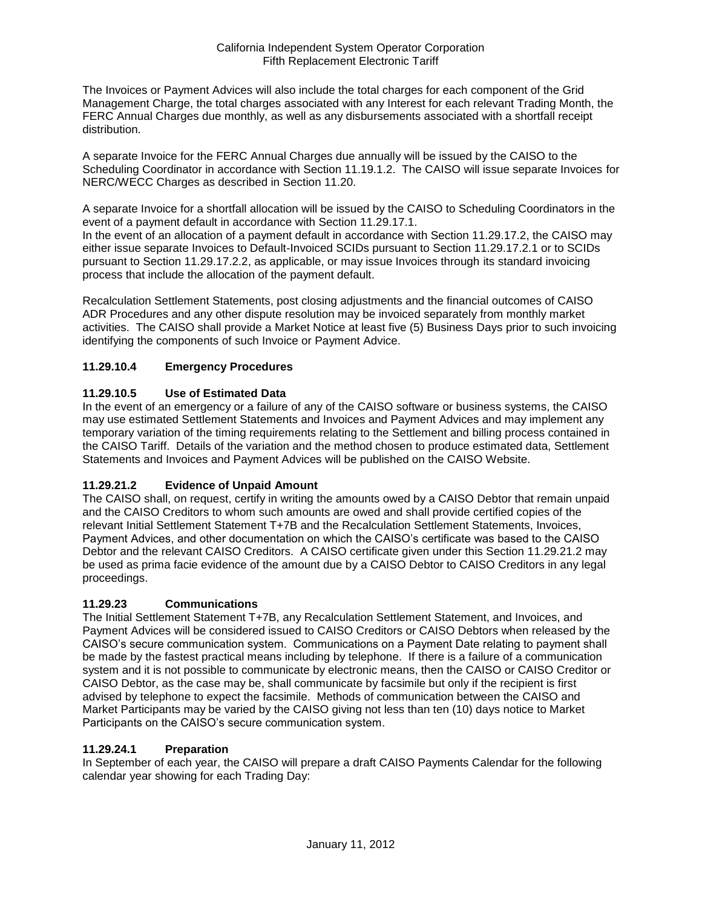The Invoices or Payment Advices will also include the total charges for each component of the Grid Management Charge, the total charges associated with any Interest for each relevant Trading Month, the FERC Annual Charges due monthly, as well as any disbursements associated with a shortfall receipt distribution.

A separate Invoice for the FERC Annual Charges due annually will be issued by the CAISO to the Scheduling Coordinator in accordance with Section 11.19.1.2. The CAISO will issue separate Invoices for NERC/WECC Charges as described in Section 11.20.

A separate Invoice for a shortfall allocation will be issued by the CAISO to Scheduling Coordinators in the event of a payment default in accordance with Section 11.29.17.1.

In the event of an allocation of a payment default in accordance with Section 11.29.17.2, the CAISO may either issue separate Invoices to Default-Invoiced SCIDs pursuant to Section 11.29.17.2.1 or to SCIDs pursuant to Section 11.29.17.2.2, as applicable, or may issue Invoices through its standard invoicing process that include the allocation of the payment default.

Recalculation Settlement Statements, post closing adjustments and the financial outcomes of CAISO ADR Procedures and any other dispute resolution may be invoiced separately from monthly market activities. The CAISO shall provide a Market Notice at least five (5) Business Days prior to such invoicing identifying the components of such Invoice or Payment Advice.

# **11.29.10.4 Emergency Procedures**

## **11.29.10.5 Use of Estimated Data**

In the event of an emergency or a failure of any of the CAISO software or business systems, the CAISO may use estimated Settlement Statements and Invoices and Payment Advices and may implement any temporary variation of the timing requirements relating to the Settlement and billing process contained in the CAISO Tariff. Details of the variation and the method chosen to produce estimated data, Settlement Statements and Invoices and Payment Advices will be published on the CAISO Website.

# **11.29.21.2 Evidence of Unpaid Amount**

The CAISO shall, on request, certify in writing the amounts owed by a CAISO Debtor that remain unpaid and the CAISO Creditors to whom such amounts are owed and shall provide certified copies of the relevant Initial Settlement Statement T+7B and the Recalculation Settlement Statements, Invoices, Payment Advices, and other documentation on which the CAISO's certificate was based to the CAISO Debtor and the relevant CAISO Creditors. A CAISO certificate given under this Section 11.29.21.2 may be used as prima facie evidence of the amount due by a CAISO Debtor to CAISO Creditors in any legal proceedings.

### **11.29.23 Communications**

The Initial Settlement Statement T+7B, any Recalculation Settlement Statement, and Invoices, and Payment Advices will be considered issued to CAISO Creditors or CAISO Debtors when released by the CAISO's secure communication system. Communications on a Payment Date relating to payment shall be made by the fastest practical means including by telephone. If there is a failure of a communication system and it is not possible to communicate by electronic means, then the CAISO or CAISO Creditor or CAISO Debtor, as the case may be, shall communicate by facsimile but only if the recipient is first advised by telephone to expect the facsimile. Methods of communication between the CAISO and Market Participants may be varied by the CAISO giving not less than ten (10) days notice to Market Participants on the CAISO's secure communication system.

### **11.29.24.1 Preparation**

In September of each year, the CAISO will prepare a draft CAISO Payments Calendar for the following calendar year showing for each Trading Day: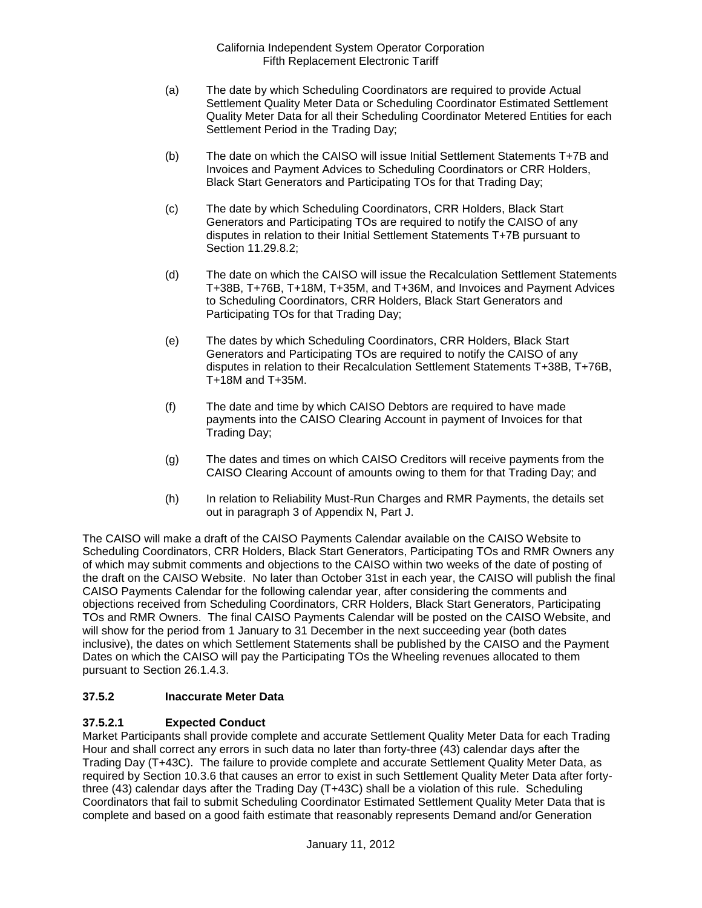- (a) The date by which Scheduling Coordinators are required to provide Actual Settlement Quality Meter Data or Scheduling Coordinator Estimated Settlement Quality Meter Data for all their Scheduling Coordinator Metered Entities for each Settlement Period in the Trading Day;
- (b) The date on which the CAISO will issue Initial Settlement Statements T+7B and Invoices and Payment Advices to Scheduling Coordinators or CRR Holders, Black Start Generators and Participating TOs for that Trading Day;
- (c) The date by which Scheduling Coordinators, CRR Holders, Black Start Generators and Participating TOs are required to notify the CAISO of any disputes in relation to their Initial Settlement Statements T+7B pursuant to Section 11.29.8.2;
- (d) The date on which the CAISO will issue the Recalculation Settlement Statements T+38B, T+76B, T+18M, T+35M, and T+36M, and Invoices and Payment Advices to Scheduling Coordinators, CRR Holders, Black Start Generators and Participating TOs for that Trading Day;
- (e) The dates by which Scheduling Coordinators, CRR Holders, Black Start Generators and Participating TOs are required to notify the CAISO of any disputes in relation to their Recalculation Settlement Statements T+38B, T+76B, T+18M and T+35M.
- (f) The date and time by which CAISO Debtors are required to have made payments into the CAISO Clearing Account in payment of Invoices for that Trading Day;
- (g) The dates and times on which CAISO Creditors will receive payments from the CAISO Clearing Account of amounts owing to them for that Trading Day; and
- (h) In relation to Reliability Must-Run Charges and RMR Payments, the details set out in paragraph 3 of Appendix N, Part J.

The CAISO will make a draft of the CAISO Payments Calendar available on the CAISO Website to Scheduling Coordinators, CRR Holders, Black Start Generators, Participating TOs and RMR Owners any of which may submit comments and objections to the CAISO within two weeks of the date of posting of the draft on the CAISO Website. No later than October 31st in each year, the CAISO will publish the final CAISO Payments Calendar for the following calendar year, after considering the comments and objections received from Scheduling Coordinators, CRR Holders, Black Start Generators, Participating TOs and RMR Owners. The final CAISO Payments Calendar will be posted on the CAISO Website, and will show for the period from 1 January to 31 December in the next succeeding year (both dates inclusive), the dates on which Settlement Statements shall be published by the CAISO and the Payment Dates on which the CAISO will pay the Participating TOs the Wheeling revenues allocated to them pursuant to Section 26.1.4.3.

# **37.5.2 Inaccurate Meter Data**

# **37.5.2.1 Expected Conduct**

Market Participants shall provide complete and accurate Settlement Quality Meter Data for each Trading Hour and shall correct any errors in such data no later than forty-three (43) calendar days after the Trading Day (T+43C). The failure to provide complete and accurate Settlement Quality Meter Data, as required by Section 10.3.6 that causes an error to exist in such Settlement Quality Meter Data after fortythree (43) calendar days after the Trading Day (T+43C) shall be a violation of this rule. Scheduling Coordinators that fail to submit Scheduling Coordinator Estimated Settlement Quality Meter Data that is complete and based on a good faith estimate that reasonably represents Demand and/or Generation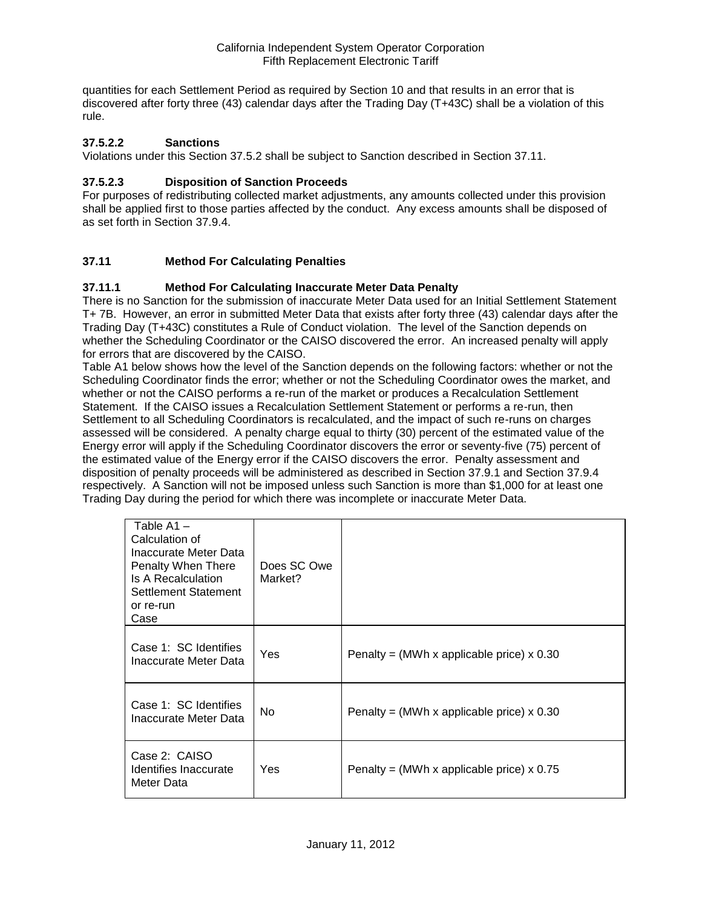quantities for each Settlement Period as required by Section 10 and that results in an error that is discovered after forty three (43) calendar days after the Trading Day (T+43C) shall be a violation of this rule.

### **37.5.2.2 Sanctions**

Violations under this Section 37.5.2 shall be subject to Sanction described in Section 37.11.

### **37.5.2.3 Disposition of Sanction Proceeds**

For purposes of redistributing collected market adjustments, any amounts collected under this provision shall be applied first to those parties affected by the conduct. Any excess amounts shall be disposed of as set forth in Section 37.9.4.

## **37.11 Method For Calculating Penalties**

### **37.11.1 Method For Calculating Inaccurate Meter Data Penalty**

There is no Sanction for the submission of inaccurate Meter Data used for an Initial Settlement Statement T+ 7B. However, an error in submitted Meter Data that exists after forty three (43) calendar days after the Trading Day (T+43C) constitutes a Rule of Conduct violation. The level of the Sanction depends on whether the Scheduling Coordinator or the CAISO discovered the error. An increased penalty will apply for errors that are discovered by the CAISO.

Table A1 below shows how the level of the Sanction depends on the following factors: whether or not the Scheduling Coordinator finds the error; whether or not the Scheduling Coordinator owes the market, and whether or not the CAISO performs a re-run of the market or produces a Recalculation Settlement Statement. If the CAISO issues a Recalculation Settlement Statement or performs a re-run, then Settlement to all Scheduling Coordinators is recalculated, and the impact of such re-runs on charges assessed will be considered. A penalty charge equal to thirty (30) percent of the estimated value of the Energy error will apply if the Scheduling Coordinator discovers the error or seventy-five (75) percent of the estimated value of the Energy error if the CAISO discovers the error. Penalty assessment and disposition of penalty proceeds will be administered as described in Section 37.9.1 and Section 37.9.4 respectively. A Sanction will not be imposed unless such Sanction is more than \$1,000 for at least one Trading Day during the period for which there was incomplete or inaccurate Meter Data.

| Table $A1 -$<br>Calculation of<br>Inaccurate Meter Data<br>Penalty When There<br>Is A Recalculation<br>Settlement Statement<br>or re-run<br>Case | Does SC Owe<br>Market? |                                             |
|--------------------------------------------------------------------------------------------------------------------------------------------------|------------------------|---------------------------------------------|
| Case 1: SC Identifies<br>Inaccurate Meter Data                                                                                                   | Yes                    | Penalty = (MWh x applicable price) $x$ 0.30 |
| Case 1: SC Identifies<br>Inaccurate Meter Data                                                                                                   | No.                    | Penalty = (MWh x applicable price) $x$ 0.30 |
| Case 2: CAISO<br>Identifies Inaccurate<br>Meter Data                                                                                             | Yes                    | Penalty = (MWh x applicable price) $x$ 0.75 |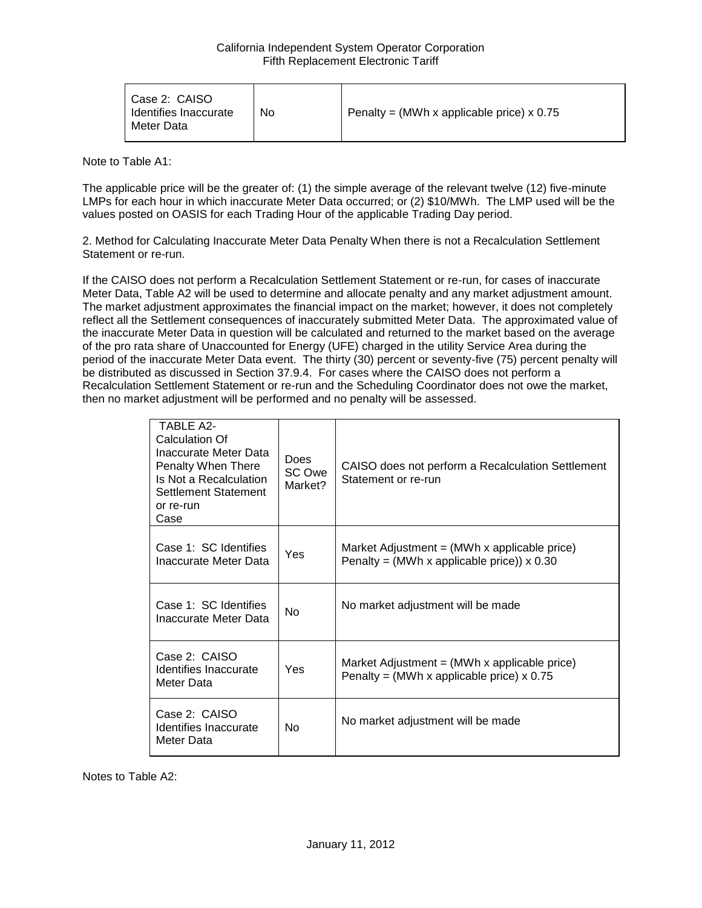| Case 2: CAISO<br>Identifies Inaccurate<br>Meter Data | No | Penalty = (MWh x applicable price) $x$ 0.75 |
|------------------------------------------------------|----|---------------------------------------------|
|------------------------------------------------------|----|---------------------------------------------|

Note to Table A1:

The applicable price will be the greater of: (1) the simple average of the relevant twelve (12) five-minute LMPs for each hour in which inaccurate Meter Data occurred; or (2) \$10/MWh. The LMP used will be the values posted on OASIS for each Trading Hour of the applicable Trading Day period.

2. Method for Calculating Inaccurate Meter Data Penalty When there is not a Recalculation Settlement Statement or re-run.

If the CAISO does not perform a Recalculation Settlement Statement or re-run, for cases of inaccurate Meter Data, Table A2 will be used to determine and allocate penalty and any market adjustment amount. The market adjustment approximates the financial impact on the market; however, it does not completely reflect all the Settlement consequences of inaccurately submitted Meter Data. The approximated value of the inaccurate Meter Data in question will be calculated and returned to the market based on the average of the pro rata share of Unaccounted for Energy (UFE) charged in the utility Service Area during the period of the inaccurate Meter Data event. The thirty (30) percent or seventy-five (75) percent penalty will be distributed as discussed in Section 37.9.4. For cases where the CAISO does not perform a Recalculation Settlement Statement or re-run and the Scheduling Coordinator does not owe the market, then no market adjustment will be performed and no penalty will be assessed.

| <b>TABLE A2-</b><br>Calculation Of<br>Inaccurate Meter Data<br>Penalty When There<br>Is Not a Recalculation<br>Settlement Statement<br>or re-run<br>Case | <b>Does</b><br>SC Owe<br>Market? | CAISO does not perform a Recalculation Settlement<br>Statement or re-run                                        |
|----------------------------------------------------------------------------------------------------------------------------------------------------------|----------------------------------|-----------------------------------------------------------------------------------------------------------------|
| Case 1: SC Identifies<br>Inaccurate Meter Data                                                                                                           | Yes                              | Market Adjustment = $(MWh \times \text{applicable price})$<br>Penalty = (MWh x applicable price)) $\times$ 0.30 |
| Case 1: SC Identifies<br>Inaccurate Meter Data                                                                                                           | <b>No</b>                        | No market adjustment will be made                                                                               |
| Case 2: CAISO<br>Identifies Inaccurate<br>Meter Data                                                                                                     | Yes                              | Market Adjustment $=$ (MWh x applicable price)<br>Penalty = (MWh x applicable price) $x$ 0.75                   |
| Case 2: CAISO<br>Identifies Inaccurate<br>Meter Data                                                                                                     | No                               | No market adjustment will be made                                                                               |

Notes to Table A2: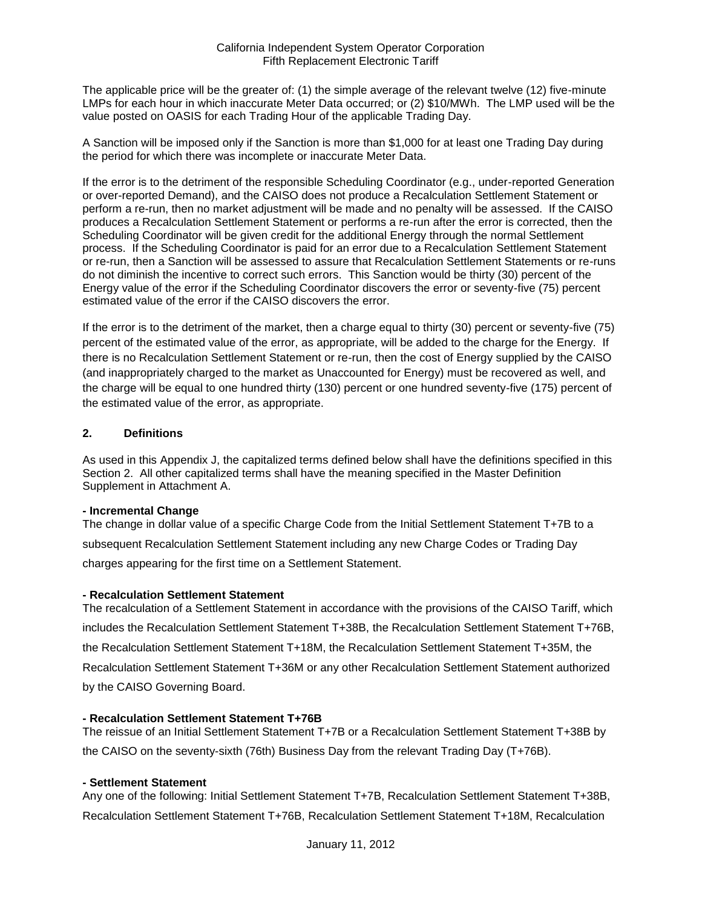The applicable price will be the greater of: (1) the simple average of the relevant twelve (12) five-minute LMPs for each hour in which inaccurate Meter Data occurred; or (2) \$10/MWh. The LMP used will be the value posted on OASIS for each Trading Hour of the applicable Trading Day.

A Sanction will be imposed only if the Sanction is more than \$1,000 for at least one Trading Day during the period for which there was incomplete or inaccurate Meter Data.

If the error is to the detriment of the responsible Scheduling Coordinator (e.g., under-reported Generation or over-reported Demand), and the CAISO does not produce a Recalculation Settlement Statement or perform a re-run, then no market adjustment will be made and no penalty will be assessed. If the CAISO produces a Recalculation Settlement Statement or performs a re-run after the error is corrected, then the Scheduling Coordinator will be given credit for the additional Energy through the normal Settlement process. If the Scheduling Coordinator is paid for an error due to a Recalculation Settlement Statement or re-run, then a Sanction will be assessed to assure that Recalculation Settlement Statements or re-runs do not diminish the incentive to correct such errors. This Sanction would be thirty (30) percent of the Energy value of the error if the Scheduling Coordinator discovers the error or seventy-five (75) percent estimated value of the error if the CAISO discovers the error.

If the error is to the detriment of the market, then a charge equal to thirty (30) percent or seventy-five (75) percent of the estimated value of the error, as appropriate, will be added to the charge for the Energy. If there is no Recalculation Settlement Statement or re-run, then the cost of Energy supplied by the CAISO (and inappropriately charged to the market as Unaccounted for Energy) must be recovered as well, and the charge will be equal to one hundred thirty (130) percent or one hundred seventy-five (175) percent of the estimated value of the error, as appropriate.

### **2. Definitions**

As used in this Appendix J, the capitalized terms defined below shall have the definitions specified in this Section 2. All other capitalized terms shall have the meaning specified in the Master Definition Supplement in Attachment A.

#### **- Incremental Change**

The change in dollar value of a specific Charge Code from the Initial Settlement Statement T+7B to a subsequent Recalculation Settlement Statement including any new Charge Codes or Trading Day charges appearing for the first time on a Settlement Statement.

### **- Recalculation Settlement Statement**

The recalculation of a Settlement Statement in accordance with the provisions of the CAISO Tariff, which includes the Recalculation Settlement Statement T+38B, the Recalculation Settlement Statement T+76B, the Recalculation Settlement Statement T+18M, the Recalculation Settlement Statement T+35M, the Recalculation Settlement Statement T+36M or any other Recalculation Settlement Statement authorized by the CAISO Governing Board.

### **- Recalculation Settlement Statement T+76B**

The reissue of an Initial Settlement Statement T+7B or a Recalculation Settlement Statement T+38B by the CAISO on the seventy-sixth (76th) Business Day from the relevant Trading Day (T+76B).

### **- Settlement Statement**

Any one of the following: Initial Settlement Statement T+7B, Recalculation Settlement Statement T+38B, Recalculation Settlement Statement T+76B, Recalculation Settlement Statement T+18M, Recalculation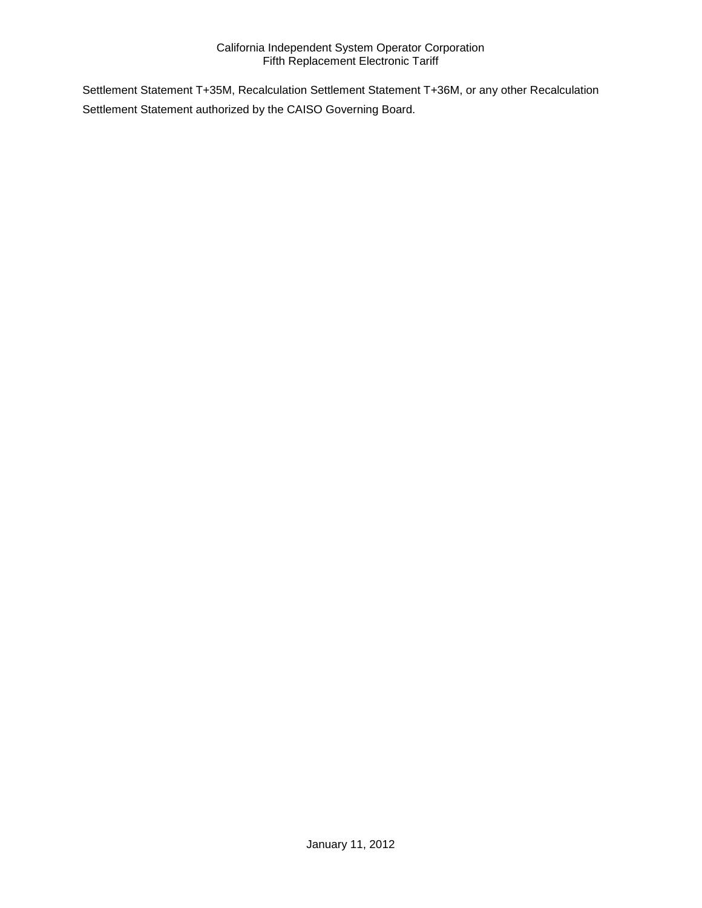Settlement Statement T+35M, Recalculation Settlement Statement T+36M, or any other Recalculation Settlement Statement authorized by the CAISO Governing Board.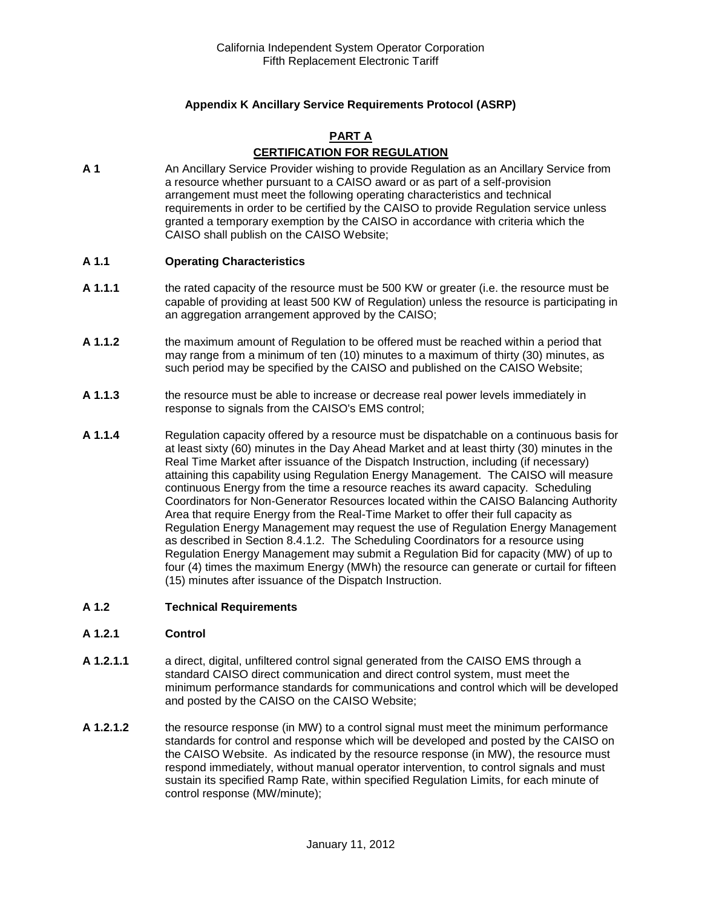## **Appendix K Ancillary Service Requirements Protocol (ASRP)**

### **PART A CERTIFICATION FOR REGULATION**

**A 1** An Ancillary Service Provider wishing to provide Regulation as an Ancillary Service from a resource whether pursuant to a CAISO award or as part of a self-provision arrangement must meet the following operating characteristics and technical requirements in order to be certified by the CAISO to provide Regulation service unless granted a temporary exemption by the CAISO in accordance with criteria which the CAISO shall publish on the CAISO Website;

#### **A 1.1 Operating Characteristics**

- **A 1.1.1** the rated capacity of the resource must be 500 KW or greater (i.e. the resource must be capable of providing at least 500 KW of Regulation) unless the resource is participating in an aggregation arrangement approved by the CAISO;
- **A 1.1.2** the maximum amount of Regulation to be offered must be reached within a period that may range from a minimum of ten (10) minutes to a maximum of thirty (30) minutes, as such period may be specified by the CAISO and published on the CAISO Website;
- **A 1.1.3** the resource must be able to increase or decrease real power levels immediately in response to signals from the CAISO's EMS control;
- **A 1.1.4** Regulation capacity offered by a resource must be dispatchable on a continuous basis for at least sixty (60) minutes in the Day Ahead Market and at least thirty (30) minutes in the Real Time Market after issuance of the Dispatch Instruction, including (if necessary) attaining this capability using Regulation Energy Management. The CAISO will measure continuous Energy from the time a resource reaches its award capacity. Scheduling Coordinators for Non-Generator Resources located within the CAISO Balancing Authority Area that require Energy from the Real-Time Market to offer their full capacity as Regulation Energy Management may request the use of Regulation Energy Management as described in Section 8.4.1.2. The Scheduling Coordinators for a resource using Regulation Energy Management may submit a Regulation Bid for capacity (MW) of up to four (4) times the maximum Energy (MWh) the resource can generate or curtail for fifteen (15) minutes after issuance of the Dispatch Instruction.

#### **A 1.2 Technical Requirements**

#### **A 1.2.1 Control**

- **A 1.2.1.1** a direct, digital, unfiltered control signal generated from the CAISO EMS through a standard CAISO direct communication and direct control system, must meet the minimum performance standards for communications and control which will be developed and posted by the CAISO on the CAISO Website;
- **A 1.2.1.2** the resource response (in MW) to a control signal must meet the minimum performance standards for control and response which will be developed and posted by the CAISO on the CAISO Website. As indicated by the resource response (in MW), the resource must respond immediately, without manual operator intervention, to control signals and must sustain its specified Ramp Rate, within specified Regulation Limits, for each minute of control response (MW/minute);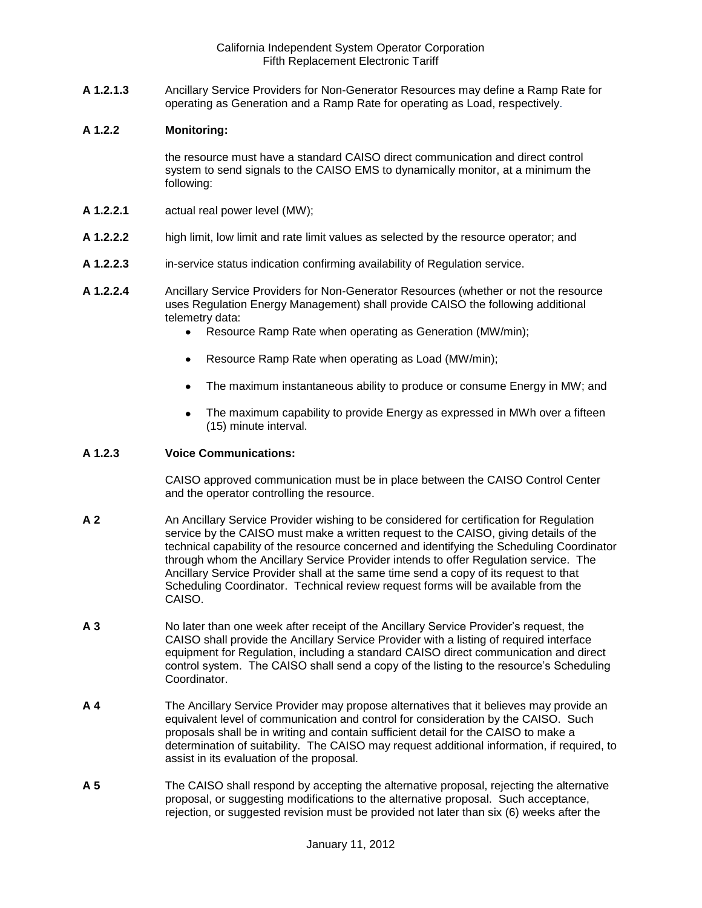**A 1.2.1.3** Ancillary Service Providers for Non-Generator Resources may define a Ramp Rate for operating as Generation and a Ramp Rate for operating as Load, respectively.

#### **A 1.2.2 Monitoring:**

the resource must have a standard CAISO direct communication and direct control system to send signals to the CAISO EMS to dynamically monitor, at a minimum the following:

- **A 1.2.2.1** actual real power level (MW);
- **A 1.2.2.2** high limit, low limit and rate limit values as selected by the resource operator; and
- **A 1.2.2.3** in-service status indication confirming availability of Regulation service.
- **A 1.2.2.4** Ancillary Service Providers for Non-Generator Resources (whether or not the resource uses Regulation Energy Management) shall provide CAISO the following additional telemetry data:
	- Resource Ramp Rate when operating as Generation (MW/min);
	- Resource Ramp Rate when operating as Load (MW/min);
	- The maximum instantaneous ability to produce or consume Energy in MW; and
	- The maximum capability to provide Energy as expressed in MWh over a fifteen  $\bullet$ (15) minute interval.

### **A 1.2.3 Voice Communications:**

CAISO approved communication must be in place between the CAISO Control Center and the operator controlling the resource.

- **A 2** An Ancillary Service Provider wishing to be considered for certification for Regulation service by the CAISO must make a written request to the CAISO, giving details of the technical capability of the resource concerned and identifying the Scheduling Coordinator through whom the Ancillary Service Provider intends to offer Regulation service. The Ancillary Service Provider shall at the same time send a copy of its request to that Scheduling Coordinator. Technical review request forms will be available from the CAISO.
- **A 3** No later than one week after receipt of the Ancillary Service Provider's request, the CAISO shall provide the Ancillary Service Provider with a listing of required interface equipment for Regulation, including a standard CAISO direct communication and direct control system. The CAISO shall send a copy of the listing to the resource's Scheduling **Coordinator**
- **A 4** The Ancillary Service Provider may propose alternatives that it believes may provide an equivalent level of communication and control for consideration by the CAISO. Such proposals shall be in writing and contain sufficient detail for the CAISO to make a determination of suitability. The CAISO may request additional information, if required, to assist in its evaluation of the proposal.
- **A 5** The CAISO shall respond by accepting the alternative proposal, rejecting the alternative proposal, or suggesting modifications to the alternative proposal. Such acceptance, rejection, or suggested revision must be provided not later than six (6) weeks after the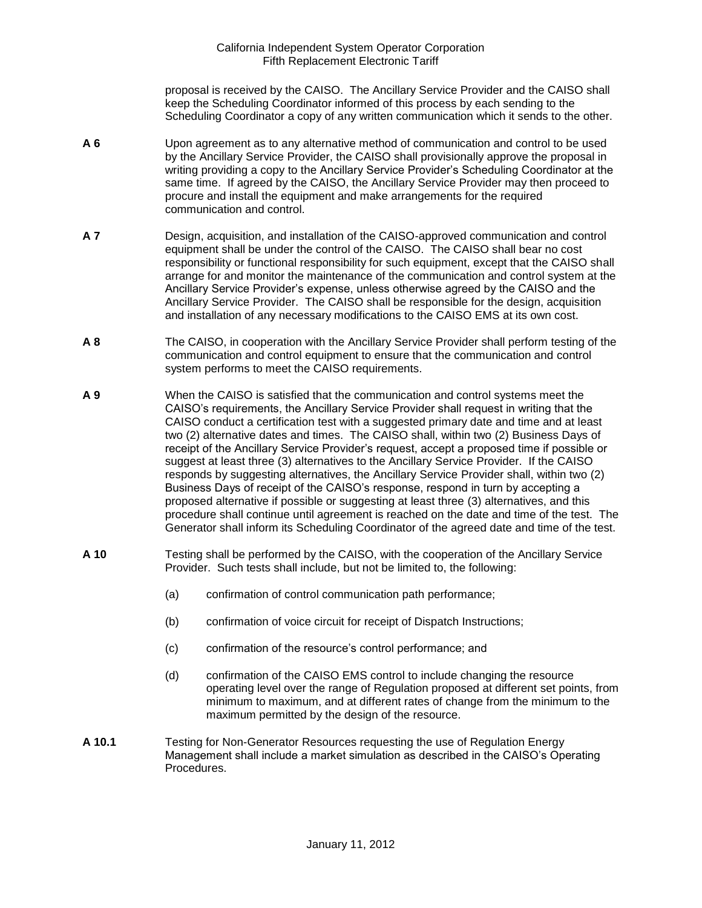proposal is received by the CAISO. The Ancillary Service Provider and the CAISO shall keep the Scheduling Coordinator informed of this process by each sending to the Scheduling Coordinator a copy of any written communication which it sends to the other.

- **A 6** Upon agreement as to any alternative method of communication and control to be used by the Ancillary Service Provider, the CAISO shall provisionally approve the proposal in writing providing a copy to the Ancillary Service Provider's Scheduling Coordinator at the same time. If agreed by the CAISO, the Ancillary Service Provider may then proceed to procure and install the equipment and make arrangements for the required communication and control.
- **A 7** Design, acquisition, and installation of the CAISO-approved communication and control equipment shall be under the control of the CAISO. The CAISO shall bear no cost responsibility or functional responsibility for such equipment, except that the CAISO shall arrange for and monitor the maintenance of the communication and control system at the Ancillary Service Provider's expense, unless otherwise agreed by the CAISO and the Ancillary Service Provider. The CAISO shall be responsible for the design, acquisition and installation of any necessary modifications to the CAISO EMS at its own cost.
- **A 8** The CAISO, in cooperation with the Ancillary Service Provider shall perform testing of the communication and control equipment to ensure that the communication and control system performs to meet the CAISO requirements.
- **A 9** When the CAISO is satisfied that the communication and control systems meet the CAISO's requirements, the Ancillary Service Provider shall request in writing that the CAISO conduct a certification test with a suggested primary date and time and at least two (2) alternative dates and times. The CAISO shall, within two (2) Business Days of receipt of the Ancillary Service Provider's request, accept a proposed time if possible or suggest at least three (3) alternatives to the Ancillary Service Provider. If the CAISO responds by suggesting alternatives, the Ancillary Service Provider shall, within two (2) Business Days of receipt of the CAISO's response, respond in turn by accepting a proposed alternative if possible or suggesting at least three (3) alternatives, and this procedure shall continue until agreement is reached on the date and time of the test. The Generator shall inform its Scheduling Coordinator of the agreed date and time of the test.
- **A 10** Testing shall be performed by the CAISO, with the cooperation of the Ancillary Service Provider. Such tests shall include, but not be limited to, the following:
	- (a) confirmation of control communication path performance;
	- (b) confirmation of voice circuit for receipt of Dispatch Instructions;
	- (c) confirmation of the resource's control performance; and
	- (d) confirmation of the CAISO EMS control to include changing the resource operating level over the range of Regulation proposed at different set points, from minimum to maximum, and at different rates of change from the minimum to the maximum permitted by the design of the resource.
- **A 10.1** Testing for Non-Generator Resources requesting the use of Regulation Energy Management shall include a market simulation as described in the CAISO's Operating Procedures.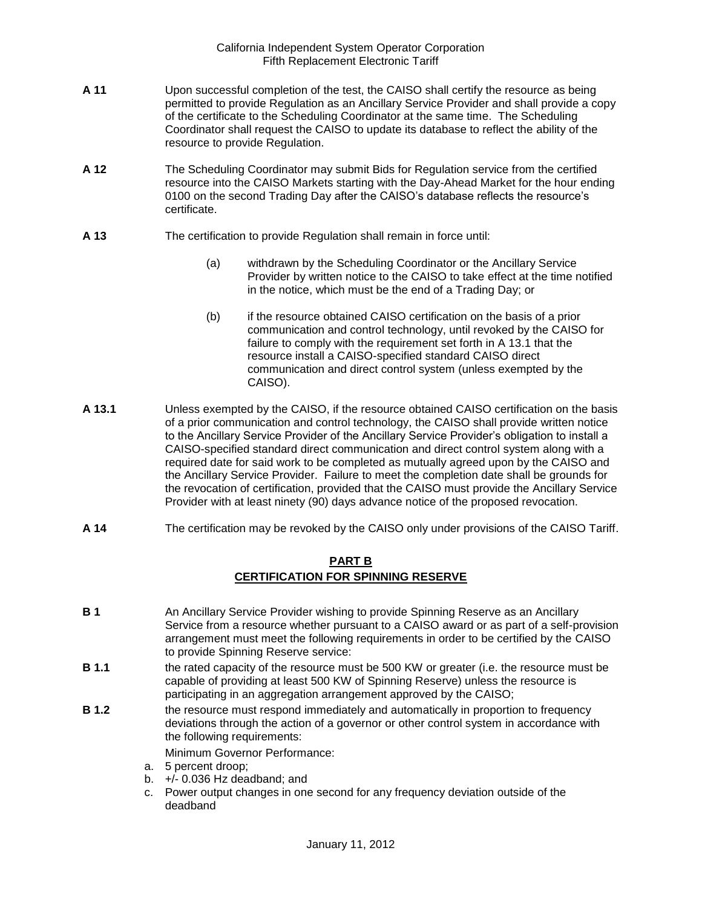- **A 11** Upon successful completion of the test, the CAISO shall certify the resource as being permitted to provide Regulation as an Ancillary Service Provider and shall provide a copy of the certificate to the Scheduling Coordinator at the same time. The Scheduling Coordinator shall request the CAISO to update its database to reflect the ability of the resource to provide Regulation.
- **A 12** The Scheduling Coordinator may submit Bids for Regulation service from the certified resource into the CAISO Markets starting with the Day-Ahead Market for the hour ending 0100 on the second Trading Day after the CAISO's database reflects the resource's certificate.
- **A 13** The certification to provide Regulation shall remain in force until:
	- (a) withdrawn by the Scheduling Coordinator or the Ancillary Service Provider by written notice to the CAISO to take effect at the time notified in the notice, which must be the end of a Trading Day; or
	- (b) if the resource obtained CAISO certification on the basis of a prior communication and control technology, until revoked by the CAISO for failure to comply with the requirement set forth in A 13.1 that the resource install a CAISO-specified standard CAISO direct communication and direct control system (unless exempted by the CAISO).
- **A 13.1** Unless exempted by the CAISO, if the resource obtained CAISO certification on the basis of a prior communication and control technology, the CAISO shall provide written notice to the Ancillary Service Provider of the Ancillary Service Provider's obligation to install a CAISO-specified standard direct communication and direct control system along with a required date for said work to be completed as mutually agreed upon by the CAISO and the Ancillary Service Provider. Failure to meet the completion date shall be grounds for the revocation of certification, provided that the CAISO must provide the Ancillary Service Provider with at least ninety (90) days advance notice of the proposed revocation.
- **A 14** The certification may be revoked by the CAISO only under provisions of the CAISO Tariff.

## **PART B CERTIFICATION FOR SPINNING RESERVE**

- **B 1** An Ancillary Service Provider wishing to provide Spinning Reserve as an Ancillary Service from a resource whether pursuant to a CAISO award or as part of a self-provision arrangement must meet the following requirements in order to be certified by the CAISO to provide Spinning Reserve service:
- **B 1.1** the rated capacity of the resource must be 500 KW or greater (i.e. the resource must be capable of providing at least 500 KW of Spinning Reserve) unless the resource is participating in an aggregation arrangement approved by the CAISO;
- **B 1.2** the resource must respond immediately and automatically in proportion to frequency deviations through the action of a governor or other control system in accordance with the following requirements:

Minimum Governor Performance:

- a. 5 percent droop;
- b.  $+/- 0.036$  Hz deadband; and
- c. Power output changes in one second for any frequency deviation outside of the deadband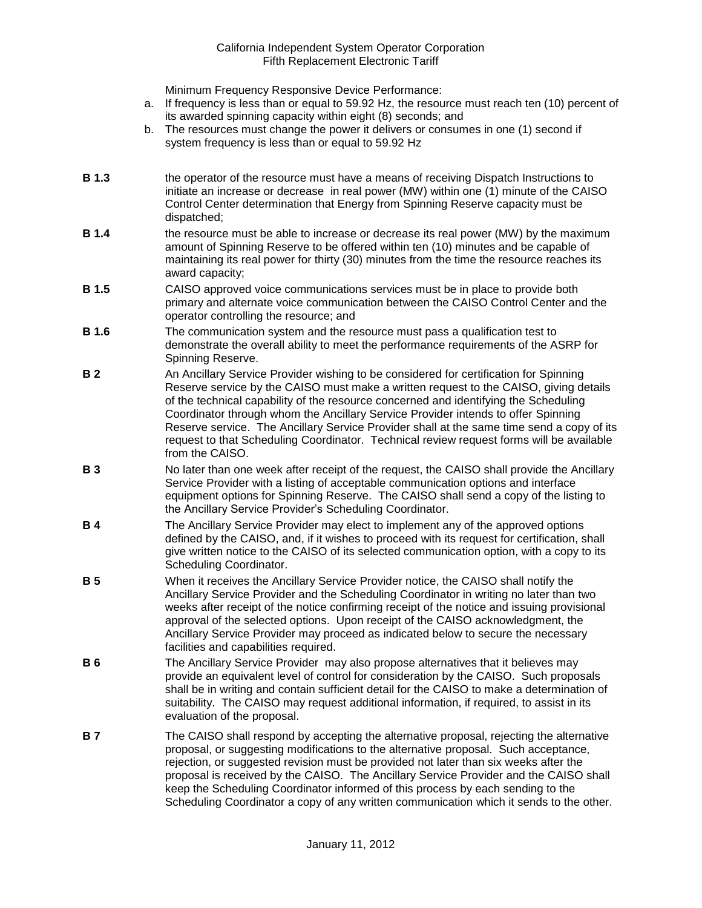Minimum Frequency Responsive Device Performance:

- a. If frequency is less than or equal to 59.92 Hz, the resource must reach ten (10) percent of its awarded spinning capacity within eight (8) seconds; and
- b. The resources must change the power it delivers or consumes in one (1) second if system frequency is less than or equal to 59.92 Hz
- **B 1.3** the operator of the resource must have a means of receiving Dispatch Instructions to initiate an increase or decrease in real power (MW) within one (1) minute of the CAISO Control Center determination that Energy from Spinning Reserve capacity must be dispatched;
- **B 1.4** the resource must be able to increase or decrease its real power (MW) by the maximum amount of Spinning Reserve to be offered within ten (10) minutes and be capable of maintaining its real power for thirty (30) minutes from the time the resource reaches its award capacity;
- **B 1.5** CAISO approved voice communications services must be in place to provide both primary and alternate voice communication between the CAISO Control Center and the operator controlling the resource; and
- **B 1.6** The communication system and the resource must pass a qualification test to demonstrate the overall ability to meet the performance requirements of the ASRP for Spinning Reserve.
- **B 2** An Ancillary Service Provider wishing to be considered for certification for Spinning Reserve service by the CAISO must make a written request to the CAISO, giving details of the technical capability of the resource concerned and identifying the Scheduling Coordinator through whom the Ancillary Service Provider intends to offer Spinning Reserve service. The Ancillary Service Provider shall at the same time send a copy of its request to that Scheduling Coordinator. Technical review request forms will be available from the CAISO.
- **B 3** No later than one week after receipt of the request, the CAISO shall provide the Ancillary Service Provider with a listing of acceptable communication options and interface equipment options for Spinning Reserve. The CAISO shall send a copy of the listing to the Ancillary Service Provider's Scheduling Coordinator.
- **B 4** The Ancillary Service Provider may elect to implement any of the approved options defined by the CAISO, and, if it wishes to proceed with its request for certification, shall give written notice to the CAISO of its selected communication option, with a copy to its Scheduling Coordinator.
- **B 5** When it receives the Ancillary Service Provider notice, the CAISO shall notify the Ancillary Service Provider and the Scheduling Coordinator in writing no later than two weeks after receipt of the notice confirming receipt of the notice and issuing provisional approval of the selected options. Upon receipt of the CAISO acknowledgment, the Ancillary Service Provider may proceed as indicated below to secure the necessary facilities and capabilities required.
- **B 6** The Ancillary Service Provider may also propose alternatives that it believes may provide an equivalent level of control for consideration by the CAISO. Such proposals shall be in writing and contain sufficient detail for the CAISO to make a determination of suitability. The CAISO may request additional information, if required, to assist in its evaluation of the proposal.
- **B 7** The CAISO shall respond by accepting the alternative proposal, rejecting the alternative proposal, or suggesting modifications to the alternative proposal. Such acceptance, rejection, or suggested revision must be provided not later than six weeks after the proposal is received by the CAISO. The Ancillary Service Provider and the CAISO shall keep the Scheduling Coordinator informed of this process by each sending to the Scheduling Coordinator a copy of any written communication which it sends to the other.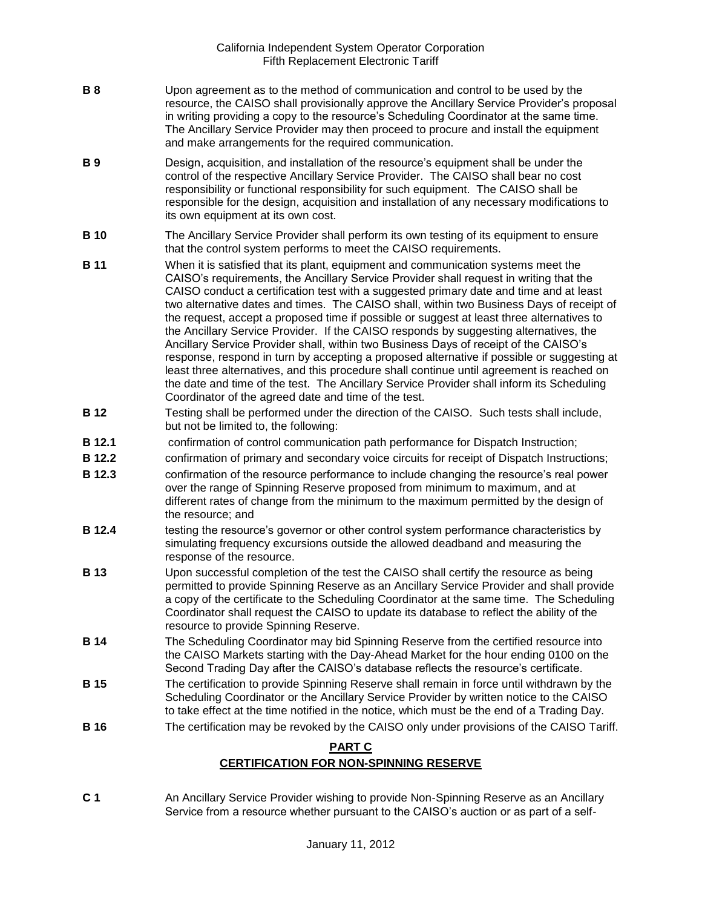- **B 8** Upon agreement as to the method of communication and control to be used by the resource, the CAISO shall provisionally approve the Ancillary Service Provider's proposal in writing providing a copy to the resource's Scheduling Coordinator at the same time. The Ancillary Service Provider may then proceed to procure and install the equipment and make arrangements for the required communication.
- **B 9** Design, acquisition, and installation of the resource's equipment shall be under the control of the respective Ancillary Service Provider. The CAISO shall bear no cost responsibility or functional responsibility for such equipment. The CAISO shall be responsible for the design, acquisition and installation of any necessary modifications to its own equipment at its own cost.
- **B 10** The Ancillary Service Provider shall perform its own testing of its equipment to ensure that the control system performs to meet the CAISO requirements.
- **B 11** When it is satisfied that its plant, equipment and communication systems meet the CAISO's requirements, the Ancillary Service Provider shall request in writing that the CAISO conduct a certification test with a suggested primary date and time and at least two alternative dates and times. The CAISO shall, within two Business Days of receipt of the request, accept a proposed time if possible or suggest at least three alternatives to the Ancillary Service Provider. If the CAISO responds by suggesting alternatives, the Ancillary Service Provider shall, within two Business Days of receipt of the CAISO's response, respond in turn by accepting a proposed alternative if possible or suggesting at least three alternatives, and this procedure shall continue until agreement is reached on the date and time of the test. The Ancillary Service Provider shall inform its Scheduling Coordinator of the agreed date and time of the test.
- **B 12** Testing shall be performed under the direction of the CAISO. Such tests shall include, but not be limited to, the following:
- **B 12.1** confirmation of control communication path performance for Dispatch Instruction;
- **B 12.2** confirmation of primary and secondary voice circuits for receipt of Dispatch Instructions;
- **B 12.3** confirmation of the resource performance to include changing the resource's real power over the range of Spinning Reserve proposed from minimum to maximum, and at different rates of change from the minimum to the maximum permitted by the design of the resource; and
- **B 12.4** testing the resource's governor or other control system performance characteristics by simulating frequency excursions outside the allowed deadband and measuring the response of the resource.
- **B 13** Upon successful completion of the test the CAISO shall certify the resource as being permitted to provide Spinning Reserve as an Ancillary Service Provider and shall provide a copy of the certificate to the Scheduling Coordinator at the same time. The Scheduling Coordinator shall request the CAISO to update its database to reflect the ability of the resource to provide Spinning Reserve.
- **B 14** The Scheduling Coordinator may bid Spinning Reserve from the certified resource into the CAISO Markets starting with the Day-Ahead Market for the hour ending 0100 on the Second Trading Day after the CAISO's database reflects the resource's certificate.
- **B 15** The certification to provide Spinning Reserve shall remain in force until withdrawn by the Scheduling Coordinator or the Ancillary Service Provider by written notice to the CAISO to take effect at the time notified in the notice, which must be the end of a Trading Day.
- **B 16** The certification may be revoked by the CAISO only under provisions of the CAISO Tariff.

## **PART C**

### **CERTIFICATION FOR NON-SPINNING RESERVE**

**C 1** An Ancillary Service Provider wishing to provide Non-Spinning Reserve as an Ancillary Service from a resource whether pursuant to the CAISO's auction or as part of a self-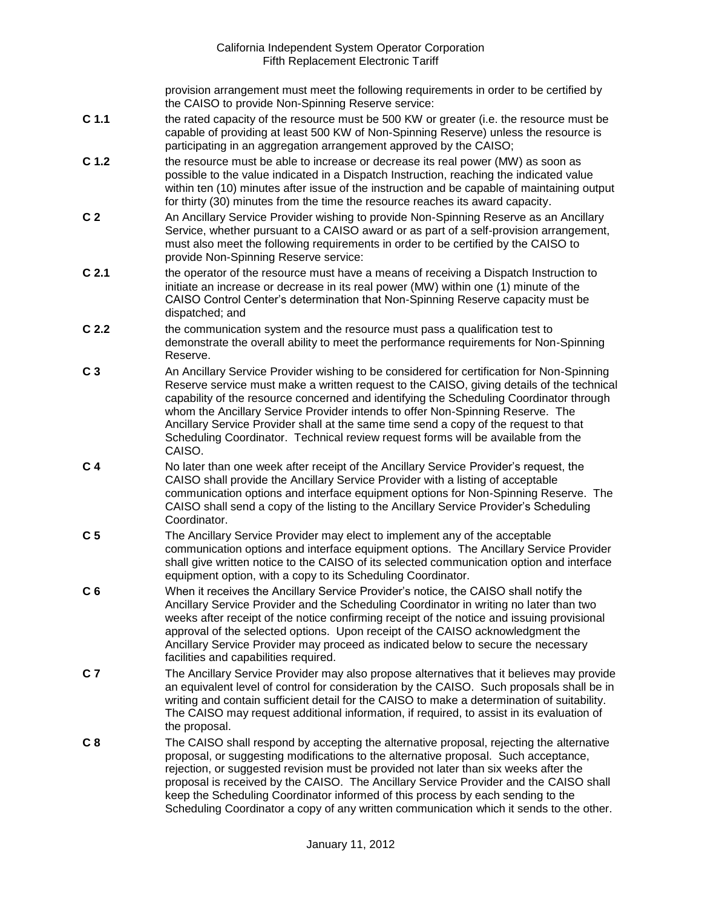provision arrangement must meet the following requirements in order to be certified by the CAISO to provide Non-Spinning Reserve service:

- **C 1.1** the rated capacity of the resource must be 500 KW or greater (i.e. the resource must be capable of providing at least 500 KW of Non-Spinning Reserve) unless the resource is participating in an aggregation arrangement approved by the CAISO;
- **C 1.2** the resource must be able to increase or decrease its real power (MW) as soon as possible to the value indicated in a Dispatch Instruction, reaching the indicated value within ten (10) minutes after issue of the instruction and be capable of maintaining output for thirty (30) minutes from the time the resource reaches its award capacity.
- **C 2** An Ancillary Service Provider wishing to provide Non-Spinning Reserve as an Ancillary Service, whether pursuant to a CAISO award or as part of a self-provision arrangement, must also meet the following requirements in order to be certified by the CAISO to provide Non-Spinning Reserve service:
- **C 2.1** the operator of the resource must have a means of receiving a Dispatch Instruction to initiate an increase or decrease in its real power (MW) within one (1) minute of the CAISO Control Center's determination that Non-Spinning Reserve capacity must be dispatched; and
- **C 2.2** the communication system and the resource must pass a qualification test to demonstrate the overall ability to meet the performance requirements for Non-Spinning Reserve.
- **C 3** An Ancillary Service Provider wishing to be considered for certification for Non-Spinning Reserve service must make a written request to the CAISO, giving details of the technical capability of the resource concerned and identifying the Scheduling Coordinator through whom the Ancillary Service Provider intends to offer Non-Spinning Reserve. The Ancillary Service Provider shall at the same time send a copy of the request to that Scheduling Coordinator. Technical review request forms will be available from the CAISO.
- **C 4** No later than one week after receipt of the Ancillary Service Provider's request, the CAISO shall provide the Ancillary Service Provider with a listing of acceptable communication options and interface equipment options for Non-Spinning Reserve. The CAISO shall send a copy of the listing to the Ancillary Service Provider's Scheduling Coordinator.
- **C 5** The Ancillary Service Provider may elect to implement any of the acceptable communication options and interface equipment options. The Ancillary Service Provider shall give written notice to the CAISO of its selected communication option and interface equipment option, with a copy to its Scheduling Coordinator.
- **C 6** When it receives the Ancillary Service Provider's notice, the CAISO shall notify the Ancillary Service Provider and the Scheduling Coordinator in writing no later than two weeks after receipt of the notice confirming receipt of the notice and issuing provisional approval of the selected options. Upon receipt of the CAISO acknowledgment the Ancillary Service Provider may proceed as indicated below to secure the necessary facilities and capabilities required.
- **C 7** The Ancillary Service Provider may also propose alternatives that it believes may provide an equivalent level of control for consideration by the CAISO. Such proposals shall be in writing and contain sufficient detail for the CAISO to make a determination of suitability. The CAISO may request additional information, if required, to assist in its evaluation of the proposal.
- **C 8** The CAISO shall respond by accepting the alternative proposal, rejecting the alternative proposal, or suggesting modifications to the alternative proposal. Such acceptance, rejection, or suggested revision must be provided not later than six weeks after the proposal is received by the CAISO. The Ancillary Service Provider and the CAISO shall keep the Scheduling Coordinator informed of this process by each sending to the Scheduling Coordinator a copy of any written communication which it sends to the other.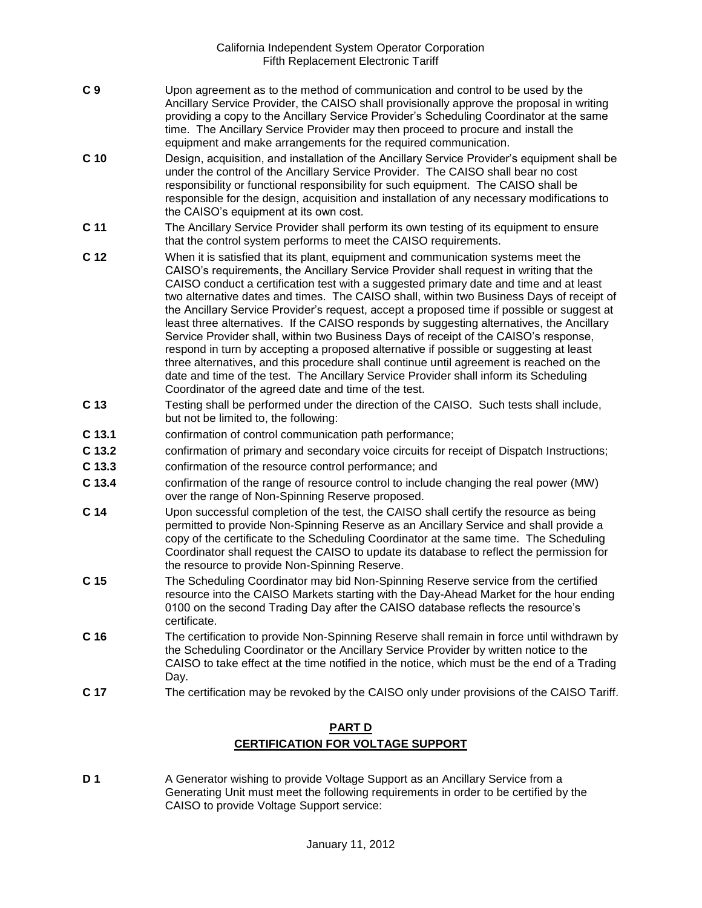- **C 9** Upon agreement as to the method of communication and control to be used by the Ancillary Service Provider, the CAISO shall provisionally approve the proposal in writing providing a copy to the Ancillary Service Provider's Scheduling Coordinator at the same time. The Ancillary Service Provider may then proceed to procure and install the equipment and make arrangements for the required communication.
- **C 10** Design, acquisition, and installation of the Ancillary Service Provider's equipment shall be under the control of the Ancillary Service Provider. The CAISO shall bear no cost responsibility or functional responsibility for such equipment. The CAISO shall be responsible for the design, acquisition and installation of any necessary modifications to the CAISO's equipment at its own cost.
- **C 11** The Ancillary Service Provider shall perform its own testing of its equipment to ensure that the control system performs to meet the CAISO requirements.
- **C 12** When it is satisfied that its plant, equipment and communication systems meet the CAISO's requirements, the Ancillary Service Provider shall request in writing that the CAISO conduct a certification test with a suggested primary date and time and at least two alternative dates and times. The CAISO shall, within two Business Days of receipt of the Ancillary Service Provider's request, accept a proposed time if possible or suggest at least three alternatives. If the CAISO responds by suggesting alternatives, the Ancillary Service Provider shall, within two Business Days of receipt of the CAISO's response, respond in turn by accepting a proposed alternative if possible or suggesting at least three alternatives, and this procedure shall continue until agreement is reached on the date and time of the test. The Ancillary Service Provider shall inform its Scheduling Coordinator of the agreed date and time of the test.
- **C 13** Testing shall be performed under the direction of the CAISO. Such tests shall include, but not be limited to, the following:
- **C 13.1** confirmation of control communication path performance;
- **C 13.2** confirmation of primary and secondary voice circuits for receipt of Dispatch Instructions;
- **C 13.3** confirmation of the resource control performance; and
- **C 13.4** confirmation of the range of resource control to include changing the real power (MW) over the range of Non-Spinning Reserve proposed.
- **C 14** Upon successful completion of the test, the CAISO shall certify the resource as being permitted to provide Non-Spinning Reserve as an Ancillary Service and shall provide a copy of the certificate to the Scheduling Coordinator at the same time. The Scheduling Coordinator shall request the CAISO to update its database to reflect the permission for the resource to provide Non-Spinning Reserve.
- **C 15** The Scheduling Coordinator may bid Non-Spinning Reserve service from the certified resource into the CAISO Markets starting with the Day-Ahead Market for the hour ending 0100 on the second Trading Day after the CAISO database reflects the resource's certificate.
- **C 16** The certification to provide Non-Spinning Reserve shall remain in force until withdrawn by the Scheduling Coordinator or the Ancillary Service Provider by written notice to the CAISO to take effect at the time notified in the notice, which must be the end of a Trading Day.
- **C 17** The certification may be revoked by the CAISO only under provisions of the CAISO Tariff.

# **PART D CERTIFICATION FOR VOLTAGE SUPPORT**

**D 1** A Generator wishing to provide Voltage Support as an Ancillary Service from a Generating Unit must meet the following requirements in order to be certified by the CAISO to provide Voltage Support service: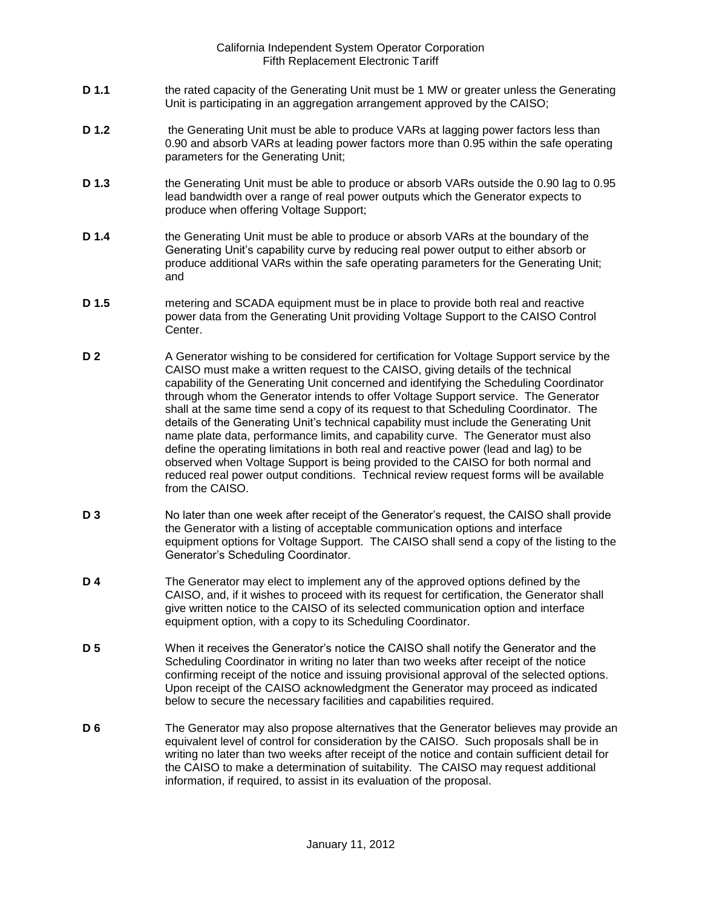- **D 1.1** the rated capacity of the Generating Unit must be 1 MW or greater unless the Generating Unit is participating in an aggregation arrangement approved by the CAISO;
- **D 1.2** the Generating Unit must be able to produce VARs at lagging power factors less than 0.90 and absorb VARs at leading power factors more than 0.95 within the safe operating parameters for the Generating Unit;
- **D 1.3** the Generating Unit must be able to produce or absorb VARs outside the 0.90 lag to 0.95 lead bandwidth over a range of real power outputs which the Generator expects to produce when offering Voltage Support;
- **D 1.4** the Generating Unit must be able to produce or absorb VARs at the boundary of the Generating Unit's capability curve by reducing real power output to either absorb or produce additional VARs within the safe operating parameters for the Generating Unit; and
- **D 1.5** metering and SCADA equipment must be in place to provide both real and reactive power data from the Generating Unit providing Voltage Support to the CAISO Control Center.
- **D 2** A Generator wishing to be considered for certification for Voltage Support service by the CAISO must make a written request to the CAISO, giving details of the technical capability of the Generating Unit concerned and identifying the Scheduling Coordinator through whom the Generator intends to offer Voltage Support service. The Generator shall at the same time send a copy of its request to that Scheduling Coordinator. The details of the Generating Unit's technical capability must include the Generating Unit name plate data, performance limits, and capability curve. The Generator must also define the operating limitations in both real and reactive power (lead and lag) to be observed when Voltage Support is being provided to the CAISO for both normal and reduced real power output conditions. Technical review request forms will be available from the CAISO.
- **D 3** No later than one week after receipt of the Generator's request, the CAISO shall provide the Generator with a listing of acceptable communication options and interface equipment options for Voltage Support. The CAISO shall send a copy of the listing to the Generator's Scheduling Coordinator.
- **D 4** The Generator may elect to implement any of the approved options defined by the CAISO, and, if it wishes to proceed with its request for certification, the Generator shall give written notice to the CAISO of its selected communication option and interface equipment option, with a copy to its Scheduling Coordinator.
- **D 5** When it receives the Generator's notice the CAISO shall notify the Generator and the Scheduling Coordinator in writing no later than two weeks after receipt of the notice confirming receipt of the notice and issuing provisional approval of the selected options. Upon receipt of the CAISO acknowledgment the Generator may proceed as indicated below to secure the necessary facilities and capabilities required.
- **D 6** The Generator may also propose alternatives that the Generator believes may provide an equivalent level of control for consideration by the CAISO. Such proposals shall be in writing no later than two weeks after receipt of the notice and contain sufficient detail for the CAISO to make a determination of suitability. The CAISO may request additional information, if required, to assist in its evaluation of the proposal.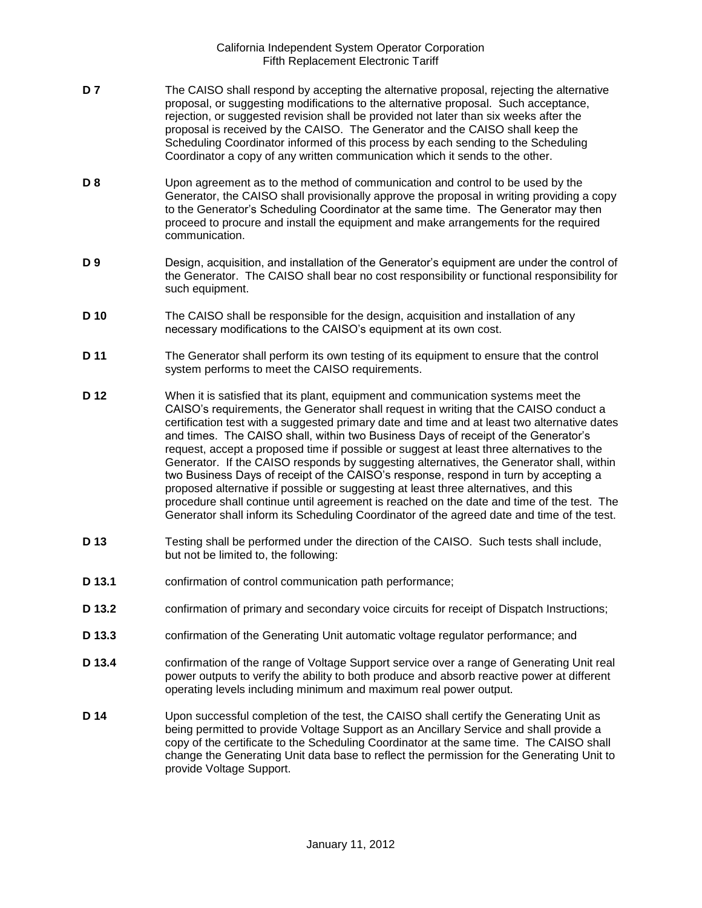- **D 7** The CAISO shall respond by accepting the alternative proposal, rejecting the alternative proposal, or suggesting modifications to the alternative proposal. Such acceptance, rejection, or suggested revision shall be provided not later than six weeks after the proposal is received by the CAISO. The Generator and the CAISO shall keep the Scheduling Coordinator informed of this process by each sending to the Scheduling Coordinator a copy of any written communication which it sends to the other.
- **D 8** Upon agreement as to the method of communication and control to be used by the Generator, the CAISO shall provisionally approve the proposal in writing providing a copy to the Generator's Scheduling Coordinator at the same time. The Generator may then proceed to procure and install the equipment and make arrangements for the required communication.
- **D 9** Design, acquisition, and installation of the Generator's equipment are under the control of the Generator. The CAISO shall bear no cost responsibility or functional responsibility for such equipment.
- **D 10** The CAISO shall be responsible for the design, acquisition and installation of any necessary modifications to the CAISO's equipment at its own cost.
- **D 11** The Generator shall perform its own testing of its equipment to ensure that the control system performs to meet the CAISO requirements.
- **D 12** When it is satisfied that its plant, equipment and communication systems meet the CAISO's requirements, the Generator shall request in writing that the CAISO conduct a certification test with a suggested primary date and time and at least two alternative dates and times. The CAISO shall, within two Business Days of receipt of the Generator's request, accept a proposed time if possible or suggest at least three alternatives to the Generator. If the CAISO responds by suggesting alternatives, the Generator shall, within two Business Days of receipt of the CAISO's response, respond in turn by accepting a proposed alternative if possible or suggesting at least three alternatives, and this procedure shall continue until agreement is reached on the date and time of the test. The Generator shall inform its Scheduling Coordinator of the agreed date and time of the test.
- **D 13** Testing shall be performed under the direction of the CAISO. Such tests shall include, but not be limited to, the following:
- **D 13.1** confirmation of control communication path performance;
- **D 13.2** confirmation of primary and secondary voice circuits for receipt of Dispatch Instructions;
- **D 13.3** confirmation of the Generating Unit automatic voltage regulator performance; and
- **D 13.4** confirmation of the range of Voltage Support service over a range of Generating Unit real power outputs to verify the ability to both produce and absorb reactive power at different operating levels including minimum and maximum real power output.
- **D 14** Upon successful completion of the test, the CAISO shall certify the Generating Unit as being permitted to provide Voltage Support as an Ancillary Service and shall provide a copy of the certificate to the Scheduling Coordinator at the same time. The CAISO shall change the Generating Unit data base to reflect the permission for the Generating Unit to provide Voltage Support.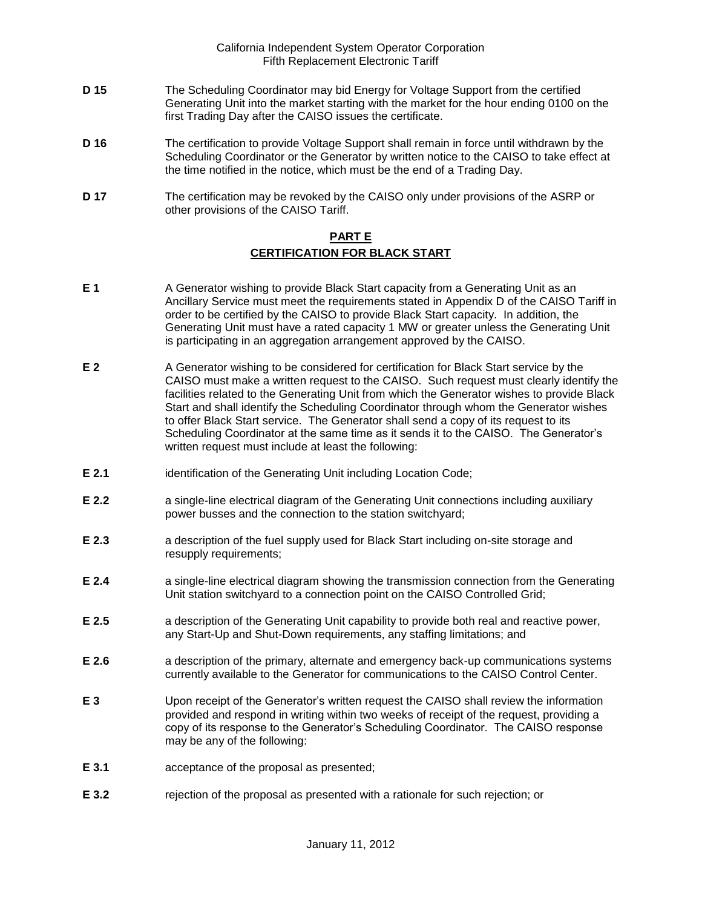- **D 15** The Scheduling Coordinator may bid Energy for Voltage Support from the certified Generating Unit into the market starting with the market for the hour ending 0100 on the first Trading Day after the CAISO issues the certificate.
- **D 16** The certification to provide Voltage Support shall remain in force until withdrawn by the Scheduling Coordinator or the Generator by written notice to the CAISO to take effect at the time notified in the notice, which must be the end of a Trading Day.
- **D 17** The certification may be revoked by the CAISO only under provisions of the ASRP or other provisions of the CAISO Tariff.

### **PART E CERTIFICATION FOR BLACK START**

- **E 1** A Generator wishing to provide Black Start capacity from a Generating Unit as an Ancillary Service must meet the requirements stated in Appendix D of the CAISO Tariff in order to be certified by the CAISO to provide Black Start capacity. In addition, the Generating Unit must have a rated capacity 1 MW or greater unless the Generating Unit is participating in an aggregation arrangement approved by the CAISO.
- **E 2** A Generator wishing to be considered for certification for Black Start service by the CAISO must make a written request to the CAISO. Such request must clearly identify the facilities related to the Generating Unit from which the Generator wishes to provide Black Start and shall identify the Scheduling Coordinator through whom the Generator wishes to offer Black Start service. The Generator shall send a copy of its request to its Scheduling Coordinator at the same time as it sends it to the CAISO. The Generator's written request must include at least the following:
- **E 2.1** identification of the Generating Unit including Location Code;
- **E 2.2 a** single-line electrical diagram of the Generating Unit connections including auxiliary power busses and the connection to the station switchyard;
- **E 2.3** a description of the fuel supply used for Black Start including on-site storage and resupply requirements;
- **E 2.4** a single-line electrical diagram showing the transmission connection from the Generating Unit station switchyard to a connection point on the CAISO Controlled Grid;
- **E 2.5** a description of the Generating Unit capability to provide both real and reactive power, any Start-Up and Shut-Down requirements, any staffing limitations; and
- **E 2.6** a description of the primary, alternate and emergency back-up communications systems currently available to the Generator for communications to the CAISO Control Center.
- **E 3** Upon receipt of the Generator's written request the CAISO shall review the information provided and respond in writing within two weeks of receipt of the request, providing a copy of its response to the Generator's Scheduling Coordinator. The CAISO response may be any of the following:
- **E 3.1** acceptance of the proposal as presented;
- **E 3.2** rejection of the proposal as presented with a rationale for such rejection; or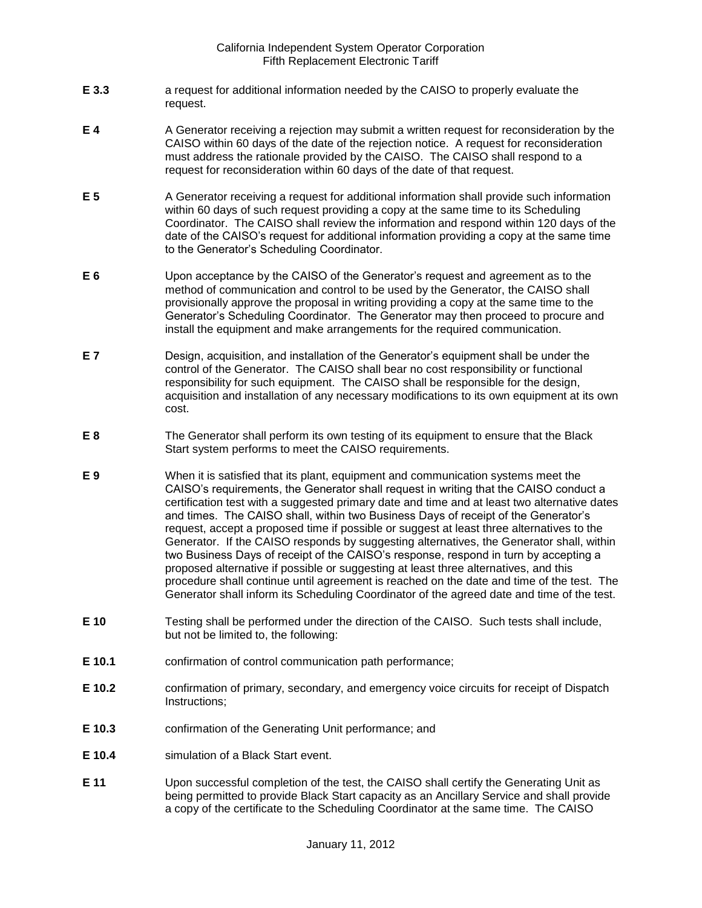- **E 3.3** a request for additional information needed by the CAISO to properly evaluate the request.
- **E 4** A Generator receiving a rejection may submit a written request for reconsideration by the CAISO within 60 days of the date of the rejection notice. A request for reconsideration must address the rationale provided by the CAISO. The CAISO shall respond to a request for reconsideration within 60 days of the date of that request.
- **E 5** A Generator receiving a request for additional information shall provide such information within 60 days of such request providing a copy at the same time to its Scheduling Coordinator. The CAISO shall review the information and respond within 120 days of the date of the CAISO's request for additional information providing a copy at the same time to the Generator's Scheduling Coordinator.
- **E 6** Upon acceptance by the CAISO of the Generator's request and agreement as to the method of communication and control to be used by the Generator, the CAISO shall provisionally approve the proposal in writing providing a copy at the same time to the Generator's Scheduling Coordinator. The Generator may then proceed to procure and install the equipment and make arrangements for the required communication.
- **E 7** Design, acquisition, and installation of the Generator's equipment shall be under the control of the Generator. The CAISO shall bear no cost responsibility or functional responsibility for such equipment. The CAISO shall be responsible for the design, acquisition and installation of any necessary modifications to its own equipment at its own cost.
- **E 8** The Generator shall perform its own testing of its equipment to ensure that the Black Start system performs to meet the CAISO requirements.
- **E 9** When it is satisfied that its plant, equipment and communication systems meet the CAISO's requirements, the Generator shall request in writing that the CAISO conduct a certification test with a suggested primary date and time and at least two alternative dates and times. The CAISO shall, within two Business Days of receipt of the Generator's request, accept a proposed time if possible or suggest at least three alternatives to the Generator. If the CAISO responds by suggesting alternatives, the Generator shall, within two Business Days of receipt of the CAISO's response, respond in turn by accepting a proposed alternative if possible or suggesting at least three alternatives, and this procedure shall continue until agreement is reached on the date and time of the test. The Generator shall inform its Scheduling Coordinator of the agreed date and time of the test.
- **E 10** Testing shall be performed under the direction of the CAISO. Such tests shall include, but not be limited to, the following:
- **E 10.1** confirmation of control communication path performance;
- **E 10.2** confirmation of primary, secondary, and emergency voice circuits for receipt of Dispatch Instructions;
- **E 10.3** confirmation of the Generating Unit performance; and
- **E 10.4** simulation of a Black Start event.
- **E 11** Upon successful completion of the test, the CAISO shall certify the Generating Unit as being permitted to provide Black Start capacity as an Ancillary Service and shall provide a copy of the certificate to the Scheduling Coordinator at the same time. The CAISO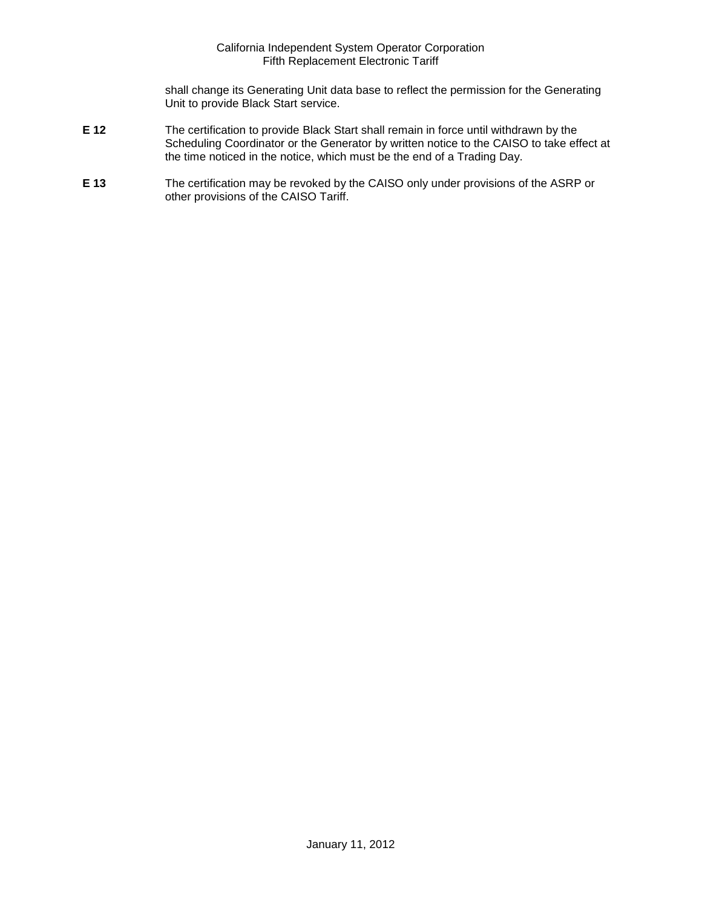shall change its Generating Unit data base to reflect the permission for the Generating Unit to provide Black Start service.

- **E 12** The certification to provide Black Start shall remain in force until withdrawn by the Scheduling Coordinator or the Generator by written notice to the CAISO to take effect at the time noticed in the notice, which must be the end of a Trading Day.
- **E 13** The certification may be revoked by the CAISO only under provisions of the ASRP or other provisions of the CAISO Tariff.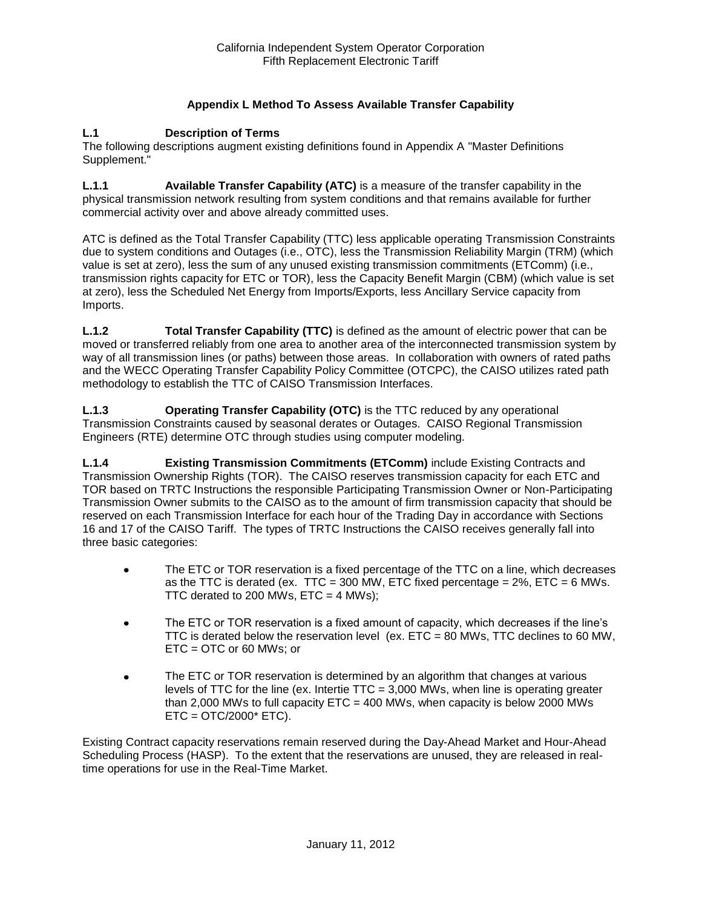# **Appendix L Method To Assess Available Transfer Capability**

#### **L.1 Description of Terms**

The following descriptions augment existing definitions found in Appendix A "Master Definitions Supplement."

**L.1.1 Available Transfer Capability (ATC)** is a measure of the transfer capability in the physical transmission network resulting from system conditions and that remains available for further commercial activity over and above already committed uses.

ATC is defined as the Total Transfer Capability (TTC) less applicable operating Transmission Constraints due to system conditions and Outages (i.e., OTC), less the Transmission Reliability Margin (TRM) (which value is set at zero), less the sum of any unused existing transmission commitments (ETComm) (i.e., transmission rights capacity for ETC or TOR), less the Capacity Benefit Margin (CBM) (which value is set at zero), less the Scheduled Net Energy from Imports/Exports, less Ancillary Service capacity from Imports.

**L.1.2 Total Transfer Capability (TTC)** is defined as the amount of electric power that can be moved or transferred reliably from one area to another area of the interconnected transmission system by way of all transmission lines (or paths) between those areas. In collaboration with owners of rated paths and the WECC Operating Transfer Capability Policy Committee (OTCPC), the CAISO utilizes rated path methodology to establish the TTC of CAISO Transmission Interfaces.

**L.1.3 Operating Transfer Capability (OTC)** is the TTC reduced by any operational Transmission Constraints caused by seasonal derates or Outages. CAISO Regional Transmission Engineers (RTE) determine OTC through studies using computer modeling.

**L.1.4 Existing Transmission Commitments (ETComm)** include Existing Contracts and Transmission Ownership Rights (TOR). The CAISO reserves transmission capacity for each ETC and TOR based on TRTC Instructions the responsible Participating Transmission Owner or Non-Participating Transmission Owner submits to the CAISO as to the amount of firm transmission capacity that should be reserved on each Transmission Interface for each hour of the Trading Day in accordance with Sections 16 and 17 of the CAISO Tariff. The types of TRTC Instructions the CAISO receives generally fall into three basic categories:

- The ETC or TOR reservation is a fixed percentage of the TTC on a line, which decreases  $\bullet$ as the TTC is derated (ex. TTC = 300 MW, ETC fixed percentage =  $2\%$ , ETC = 6 MWs. TTC derated to 200 MWs,  $ETC = 4$  MWs);
- The ETC or TOR reservation is a fixed amount of capacity, which decreases if the line's  $\bullet$ TTC is derated below the reservation level (ex. ETC = 80 MWs, TTC declines to 60 MW, ETC = OTC or 60 MWs; or
- The ETC or TOR reservation is determined by an algorithm that changes at various  $\bullet$ levels of TTC for the line (ex. Intertie TTC = 3,000 MWs, when line is operating greater than 2,000 MWs to full capacity  $ETC = 400$  MWs, when capacity is below 2000 MWs  $ETC = OTC/2000* ETC$ ).

Existing Contract capacity reservations remain reserved during the Day-Ahead Market and Hour-Ahead Scheduling Process (HASP). To the extent that the reservations are unused, they are released in realtime operations for use in the Real-Time Market.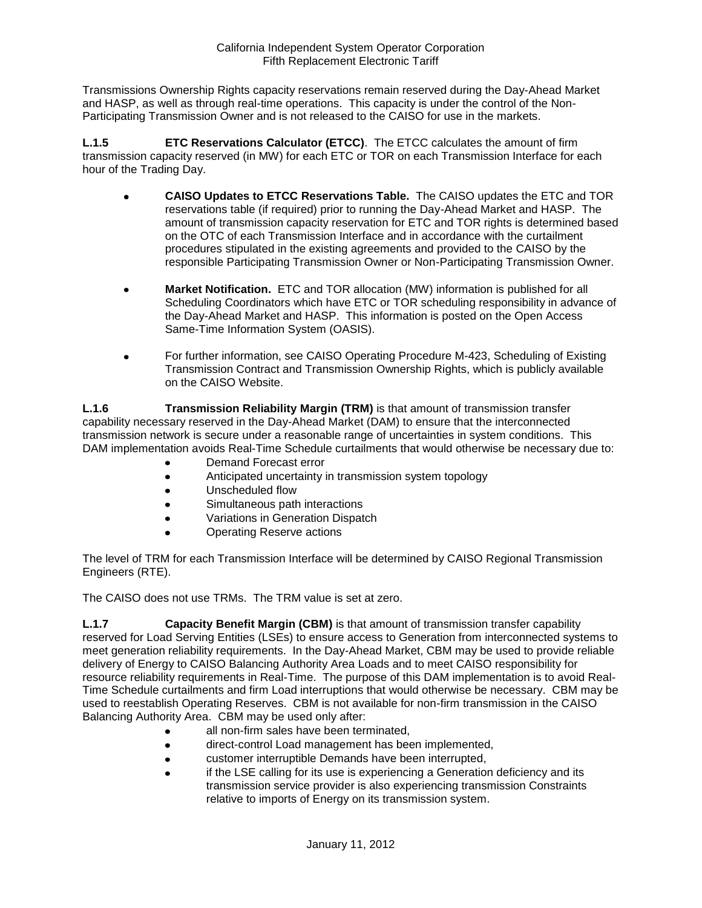Transmissions Ownership Rights capacity reservations remain reserved during the Day-Ahead Market and HASP, as well as through real-time operations. This capacity is under the control of the Non-Participating Transmission Owner and is not released to the CAISO for use in the markets.

**L.1.5 ETC Reservations Calculator (ETCC)**. The ETCC calculates the amount of firm transmission capacity reserved (in MW) for each ETC or TOR on each Transmission Interface for each hour of the Trading Day.

- **CAISO Updates to ETCC Reservations Table.** The CAISO updates the ETC and TOR  $\bullet$ reservations table (if required) prior to running the Day-Ahead Market and HASP. The amount of transmission capacity reservation for ETC and TOR rights is determined based on the OTC of each Transmission Interface and in accordance with the curtailment procedures stipulated in the existing agreements and provided to the CAISO by the responsible Participating Transmission Owner or Non-Participating Transmission Owner.
- **Market Notification.** ETC and TOR allocation (MW) information is published for all Scheduling Coordinators which have ETC or TOR scheduling responsibility in advance of the Day-Ahead Market and HASP. This information is posted on the Open Access Same-Time Information System (OASIS).
- For further information, see CAISO Operating Procedure M-423, Scheduling of Existing  $\bullet$ Transmission Contract and Transmission Ownership Rights, which is publicly available on the CAISO Website.

**L.1.6 Transmission Reliability Margin (TRM)** is that amount of transmission transfer capability necessary reserved in the Day-Ahead Market (DAM) to ensure that the interconnected transmission network is secure under a reasonable range of uncertainties in system conditions. This DAM implementation avoids Real-Time Schedule curtailments that would otherwise be necessary due to:

- Demand Forecast error
- Anticipated uncertainty in transmission system topology
- $\bullet$ Unscheduled flow
- Simultaneous path interactions  $\bullet$
- Variations in Generation Dispatch  $\bullet$
- Operating Reserve actions

The level of TRM for each Transmission Interface will be determined by CAISO Regional Transmission Engineers (RTE).

The CAISO does not use TRMs. The TRM value is set at zero.

**L.1.7 Capacity Benefit Margin (CBM)** is that amount of transmission transfer capability reserved for Load Serving Entities (LSEs) to ensure access to Generation from interconnected systems to meet generation reliability requirements. In the Day-Ahead Market, CBM may be used to provide reliable delivery of Energy to CAISO Balancing Authority Area Loads and to meet CAISO responsibility for resource reliability requirements in Real-Time. The purpose of this DAM implementation is to avoid Real-Time Schedule curtailments and firm Load interruptions that would otherwise be necessary. CBM may be used to reestablish Operating Reserves. CBM is not available for non-firm transmission in the CAISO Balancing Authority Area. CBM may be used only after:

- all non-firm sales have been terminated,
- direct-control Load management has been implemented,
- customer interruptible Demands have been interrupted,  $\bullet$
- if the LSE calling for its use is experiencing a Generation deficiency and its transmission service provider is also experiencing transmission Constraints relative to imports of Energy on its transmission system.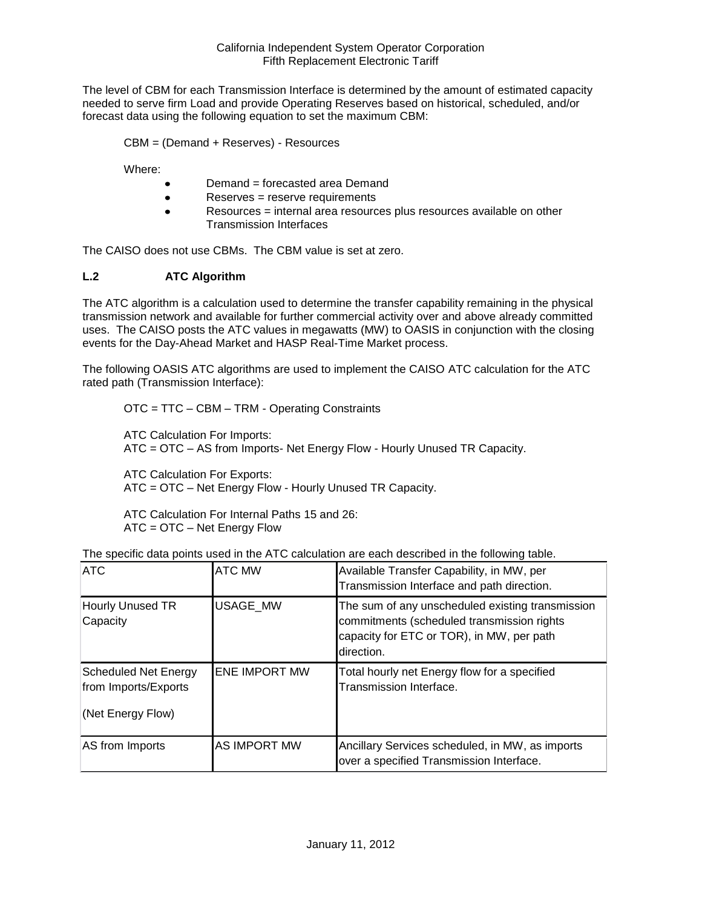The level of CBM for each Transmission Interface is determined by the amount of estimated capacity needed to serve firm Load and provide Operating Reserves based on historical, scheduled, and/or forecast data using the following equation to set the maximum CBM:

CBM = (Demand + Reserves) - Resources

Where:

- Demand = forecasted area Demand  $\bullet$
- Reserves = reserve requirements  $\bullet$
- Resources = internal area resources plus resources available on other  $\bullet$ Transmission Interfaces

The CAISO does not use CBMs. The CBM value is set at zero.

# **L.2 ATC Algorithm**

The ATC algorithm is a calculation used to determine the transfer capability remaining in the physical transmission network and available for further commercial activity over and above already committed uses. The CAISO posts the ATC values in megawatts (MW) to OASIS in conjunction with the closing events for the Day-Ahead Market and HASP Real-Time Market process.

The following OASIS ATC algorithms are used to implement the CAISO ATC calculation for the ATC rated path (Transmission Interface):

OTC = TTC – CBM – TRM - Operating Constraints

ATC Calculation For Imports: ATC = OTC – AS from Imports- Net Energy Flow - Hourly Unused TR Capacity.

ATC Calculation For Exports: ATC = OTC – Net Energy Flow - Hourly Unused TR Capacity.

ATC Calculation For Internal Paths 15 and 26: ATC = OTC – Net Energy Flow

| <b>ATC</b>                                                               | <b>ATC MW</b>        | Available Transfer Capability, in MW, per<br>Transmission Interface and path direction.                                                                   |
|--------------------------------------------------------------------------|----------------------|-----------------------------------------------------------------------------------------------------------------------------------------------------------|
| Hourly Unused TR<br>Capacity                                             | <b>USAGE MW</b>      | The sum of any unscheduled existing transmission<br>commitments (scheduled transmission rights<br>capacity for ETC or TOR), in MW, per path<br>direction. |
| <b>Scheduled Net Energy</b><br>from Imports/Exports<br>(Net Energy Flow) | <b>ENE IMPORT MW</b> | Total hourly net Energy flow for a specified<br>Transmission Interface.                                                                                   |
| AS from Imports                                                          | <b>AS IMPORT MW</b>  | Ancillary Services scheduled, in MW, as imports<br>over a specified Transmission Interface.                                                               |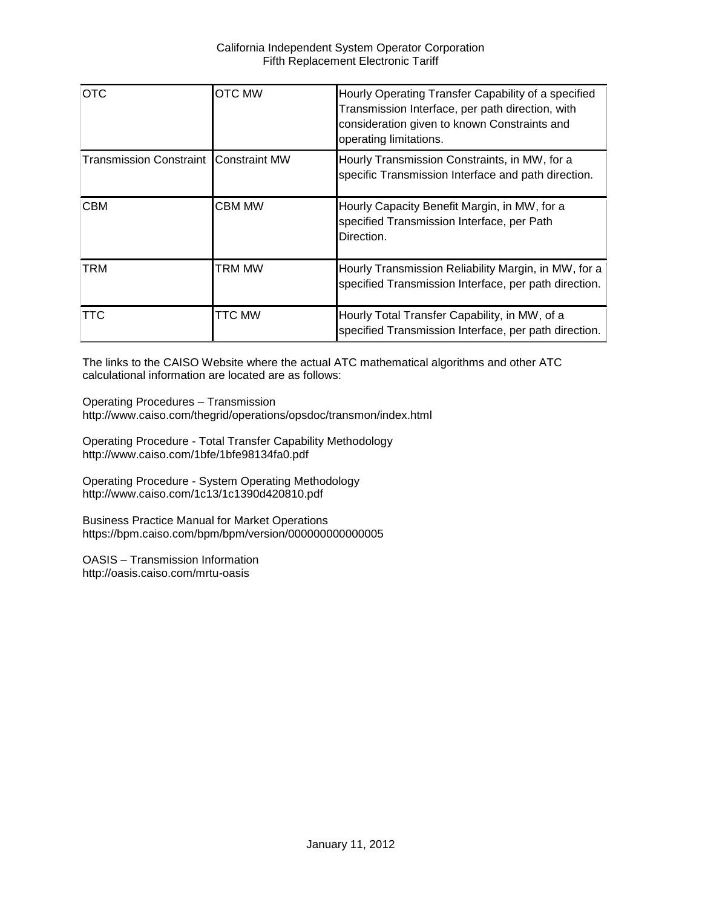| <b>OTC</b>                                   | <b>OTC MW</b> | Hourly Operating Transfer Capability of a specified<br>Transmission Interface, per path direction, with<br>consideration given to known Constraints and<br>operating limitations. |
|----------------------------------------------|---------------|-----------------------------------------------------------------------------------------------------------------------------------------------------------------------------------|
| <b>Transmission Constraint Constraint MW</b> |               | Hourly Transmission Constraints, in MW, for a<br>specific Transmission Interface and path direction.                                                                              |
| <b>CBM</b>                                   | <b>CBM MW</b> | Hourly Capacity Benefit Margin, in MW, for a<br>specified Transmission Interface, per Path<br>Direction.                                                                          |
| TRM                                          | TRM MW        | Hourly Transmission Reliability Margin, in MW, for a<br>specified Transmission Interface, per path direction.                                                                     |
| TTC                                          | <b>TTC MW</b> | Hourly Total Transfer Capability, in MW, of a<br>specified Transmission Interface, per path direction.                                                                            |

The links to the CAISO Website where the actual ATC mathematical algorithms and other ATC calculational information are located are as follows:

Operating Procedures – Transmission http://www.caiso.com/thegrid/operations/opsdoc/transmon/index.html

Operating Procedure - Total Transfer Capability Methodology http://www.caiso.com/1bfe/1bfe98134fa0.pdf

Operating Procedure - System Operating Methodology http://www.caiso.com/1c13/1c1390d420810.pdf

Business Practice Manual for Market Operations https://bpm.caiso.com/bpm/bpm/version/000000000000005

OASIS – Transmission Information http://oasis.caiso.com/mrtu-oasis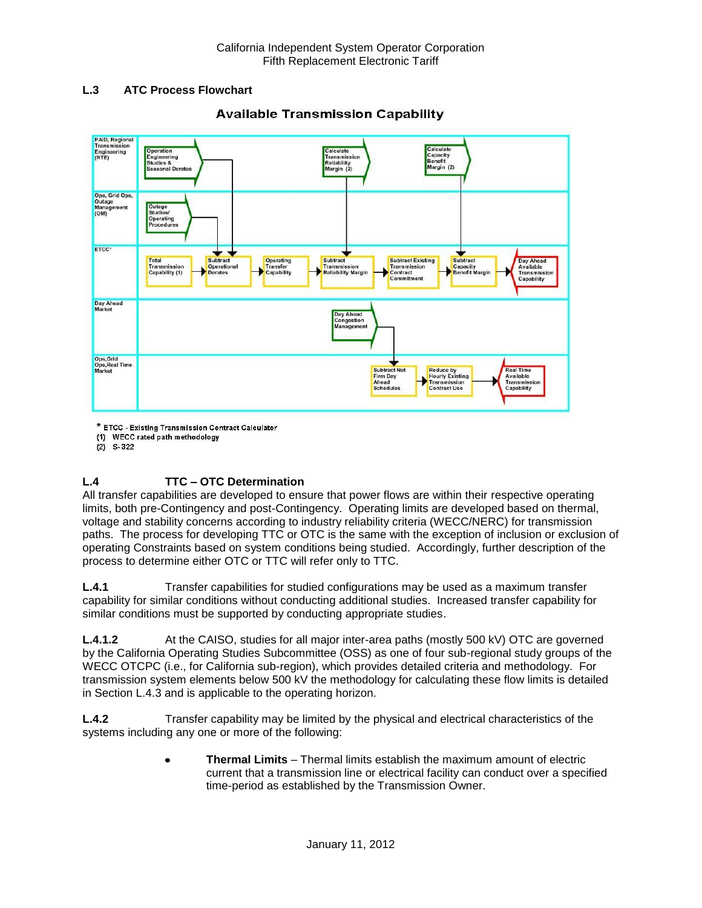### **L.3 ATC Process Flowchart**



# **Available Transmission Capability**

\* ETCC - Existing Transmission Contract Calculator

(1) WECC rated path methodology

 $(2)$  S-322

# **L.4 TTC – OTC Determination**

All transfer capabilities are developed to ensure that power flows are within their respective operating limits, both pre-Contingency and post-Contingency. Operating limits are developed based on thermal, voltage and stability concerns according to industry reliability criteria (WECC/NERC) for transmission paths. The process for developing TTC or OTC is the same with the exception of inclusion or exclusion of operating Constraints based on system conditions being studied. Accordingly, further description of the process to determine either OTC or TTC will refer only to TTC.

**L.4.1** Transfer capabilities for studied configurations may be used as a maximum transfer capability for similar conditions without conducting additional studies. Increased transfer capability for similar conditions must be supported by conducting appropriate studies.

**L.4.1.2** At the CAISO, studies for all major inter-area paths (mostly 500 kV) OTC are governed by the California Operating Studies Subcommittee (OSS) as one of four sub-regional study groups of the WECC OTCPC (i.e., for California sub-region), which provides detailed criteria and methodology. For transmission system elements below 500 kV the methodology for calculating these flow limits is detailed in Section L.4.3 and is applicable to the operating horizon.

**L.4.2** Transfer capability may be limited by the physical and electrical characteristics of the systems including any one or more of the following:

> **Thermal Limits** – Thermal limits establish the maximum amount of electric  $\bullet$ current that a transmission line or electrical facility can conduct over a specified time-period as established by the Transmission Owner.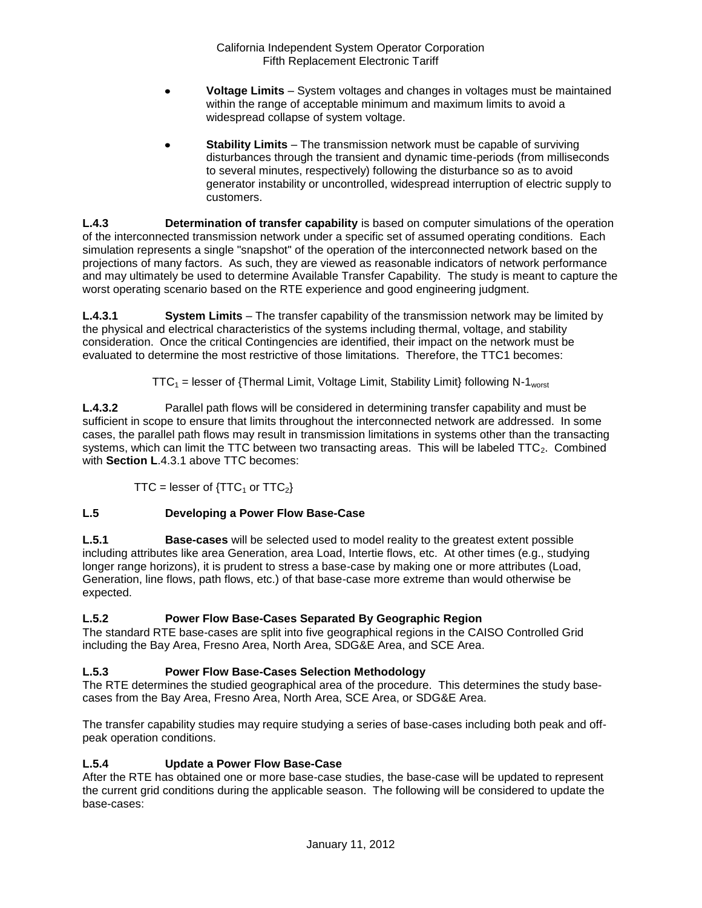- **Voltage Limits** System voltages and changes in voltages must be maintained within the range of acceptable minimum and maximum limits to avoid a widespread collapse of system voltage.
- **Stability Limits** The transmission network must be capable of surviving disturbances through the transient and dynamic time-periods (from milliseconds to several minutes, respectively) following the disturbance so as to avoid generator instability or uncontrolled, widespread interruption of electric supply to customers.

**L.4.3 Determination of transfer capability** is based on computer simulations of the operation of the interconnected transmission network under a specific set of assumed operating conditions. Each simulation represents a single "snapshot" of the operation of the interconnected network based on the projections of many factors. As such, they are viewed as reasonable indicators of network performance and may ultimately be used to determine Available Transfer Capability. The study is meant to capture the worst operating scenario based on the RTE experience and good engineering judgment.

**L.4.3.1 System Limits** – The transfer capability of the transmission network may be limited by the physical and electrical characteristics of the systems including thermal, voltage, and stability consideration. Once the critical Contingencies are identified, their impact on the network must be evaluated to determine the most restrictive of those limitations. Therefore, the TTC1 becomes:

 $TTC_1$  = lesser of {Thermal Limit, Voltage Limit, Stability Limit} following N-1<sub>worst</sub>

**L.4.3.2** Parallel path flows will be considered in determining transfer capability and must be sufficient in scope to ensure that limits throughout the interconnected network are addressed. In some cases, the parallel path flows may result in transmission limitations in systems other than the transacting systems, which can limit the TTC between two transacting areas. This will be labeled  $TTC_2$ . Combined with **Section L**.4.3.1 above TTC becomes:

TTC = lesser of  $\{TTC_1$  or  $TTC_2\}$ 

# **L.5 Developing a Power Flow Base-Case**

**L.5.1 Base-cases** will be selected used to model reality to the greatest extent possible including attributes like area Generation, area Load, Intertie flows, etc. At other times (e.g., studying longer range horizons), it is prudent to stress a base-case by making one or more attributes (Load, Generation, line flows, path flows, etc.) of that base-case more extreme than would otherwise be expected.

# **L.5.2 Power Flow Base-Cases Separated By Geographic Region**

The standard RTE base-cases are split into five geographical regions in the CAISO Controlled Grid including the Bay Area, Fresno Area, North Area, SDG&E Area, and SCE Area.

# **L.5.3 Power Flow Base-Cases Selection Methodology**

The RTE determines the studied geographical area of the procedure. This determines the study basecases from the Bay Area, Fresno Area, North Area, SCE Area, or SDG&E Area.

The transfer capability studies may require studying a series of base-cases including both peak and offpeak operation conditions.

# **L.5.4 Update a Power Flow Base-Case**

After the RTE has obtained one or more base-case studies, the base-case will be updated to represent the current grid conditions during the applicable season. The following will be considered to update the base-cases: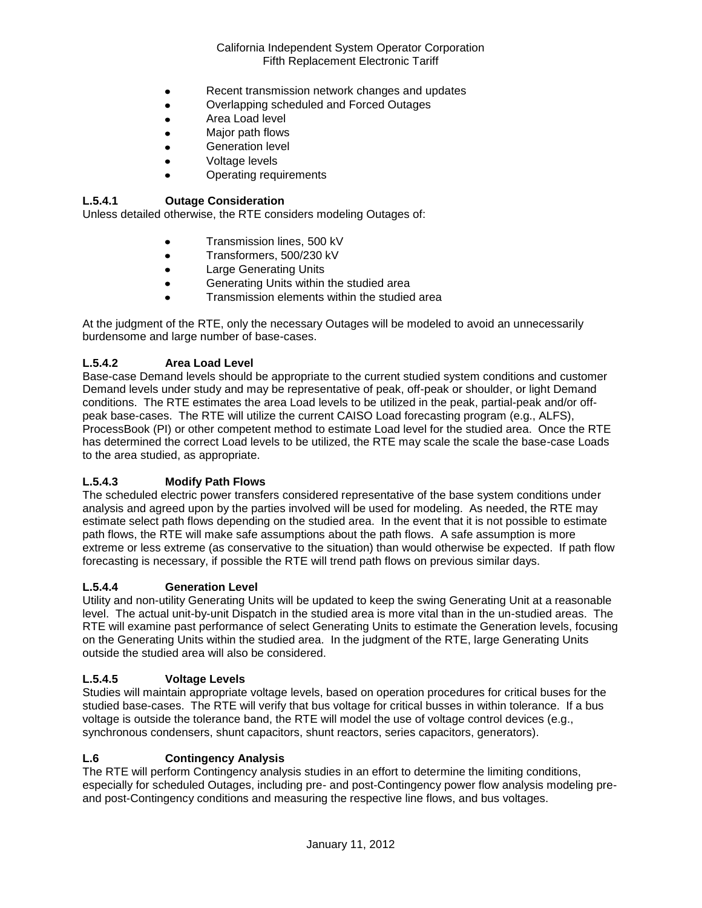- Recent transmission network changes and updates  $\bullet$
- Overlapping scheduled and Forced Outages  $\bullet$
- $\bullet$ Area Load level
- Major path flows
- Generation level
- Voltage levels
- Operating requirements

### **L.5.4.1 Outage Consideration**

Unless detailed otherwise, the RTE considers modeling Outages of:

- Transmission lines, 500 kV
- Transformers, 500/230 kV  $\bullet$
- Large Generating Units
- Generating Units within the studied area  $\bullet$
- Transmission elements within the studied area

At the judgment of the RTE, only the necessary Outages will be modeled to avoid an unnecessarily burdensome and large number of base-cases.

### **L.5.4.2 Area Load Level**

Base-case Demand levels should be appropriate to the current studied system conditions and customer Demand levels under study and may be representative of peak, off-peak or shoulder, or light Demand conditions. The RTE estimates the area Load levels to be utilized in the peak, partial-peak and/or offpeak base-cases. The RTE will utilize the current CAISO Load forecasting program (e.g., ALFS), ProcessBook (PI) or other competent method to estimate Load level for the studied area. Once the RTE has determined the correct Load levels to be utilized, the RTE may scale the scale the base-case Loads to the area studied, as appropriate.

### **L.5.4.3 Modify Path Flows**

The scheduled electric power transfers considered representative of the base system conditions under analysis and agreed upon by the parties involved will be used for modeling. As needed, the RTE may estimate select path flows depending on the studied area. In the event that it is not possible to estimate path flows, the RTE will make safe assumptions about the path flows. A safe assumption is more extreme or less extreme (as conservative to the situation) than would otherwise be expected. If path flow forecasting is necessary, if possible the RTE will trend path flows on previous similar days.

#### **L.5.4.4 Generation Level**

Utility and non-utility Generating Units will be updated to keep the swing Generating Unit at a reasonable level. The actual unit-by-unit Dispatch in the studied area is more vital than in the un-studied areas. The RTE will examine past performance of select Generating Units to estimate the Generation levels, focusing on the Generating Units within the studied area. In the judgment of the RTE, large Generating Units outside the studied area will also be considered.

### **L.5.4.5 Voltage Levels**

Studies will maintain appropriate voltage levels, based on operation procedures for critical buses for the studied base-cases. The RTE will verify that bus voltage for critical busses in within tolerance. If a bus voltage is outside the tolerance band, the RTE will model the use of voltage control devices (e.g., synchronous condensers, shunt capacitors, shunt reactors, series capacitors, generators).

#### **L.6 Contingency Analysis**

The RTE will perform Contingency analysis studies in an effort to determine the limiting conditions, especially for scheduled Outages, including pre- and post-Contingency power flow analysis modeling preand post-Contingency conditions and measuring the respective line flows, and bus voltages.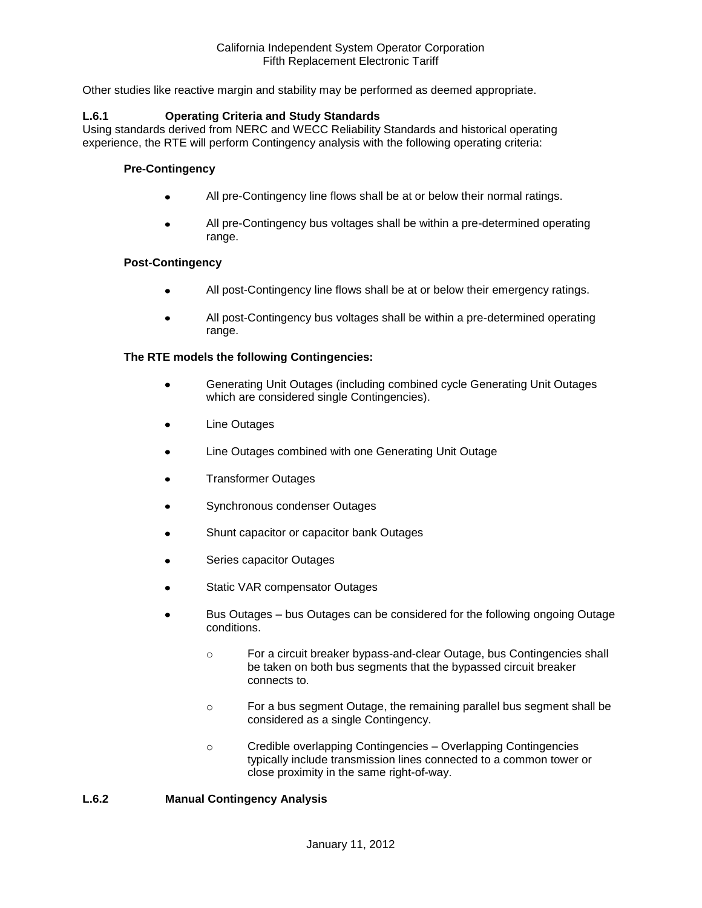Other studies like reactive margin and stability may be performed as deemed appropriate.

#### **L.6.1 Operating Criteria and Study Standards**

Using standards derived from NERC and WECC Reliability Standards and historical operating experience, the RTE will perform Contingency analysis with the following operating criteria:

#### **Pre-Contingency**

- All pre-Contingency line flows shall be at or below their normal ratings.
- All pre-Contingency bus voltages shall be within a pre-determined operating range.

#### **Post-Contingency**

- All post-Contingency line flows shall be at or below their emergency ratings.
- All post-Contingency bus voltages shall be within a pre-determined operating range.

#### **The RTE models the following Contingencies:**

- Generating Unit Outages (including combined cycle Generating Unit Outages which are considered single Contingencies).
- Line Outages
- Line Outages combined with one Generating Unit Outage
- Transformer Outages
- Synchronous condenser Outages
- Shunt capacitor or capacitor bank Outages
- Series capacitor Outages
- Static VAR compensator Outages
- Bus Outages bus Outages can be considered for the following ongoing Outage conditions.
	- o For a circuit breaker bypass-and-clear Outage, bus Contingencies shall be taken on both bus segments that the bypassed circuit breaker connects to.
	- o For a bus segment Outage, the remaining parallel bus segment shall be considered as a single Contingency.
	- o Credible overlapping Contingencies Overlapping Contingencies typically include transmission lines connected to a common tower or close proximity in the same right-of-way.

#### **L.6.2 Manual Contingency Analysis**